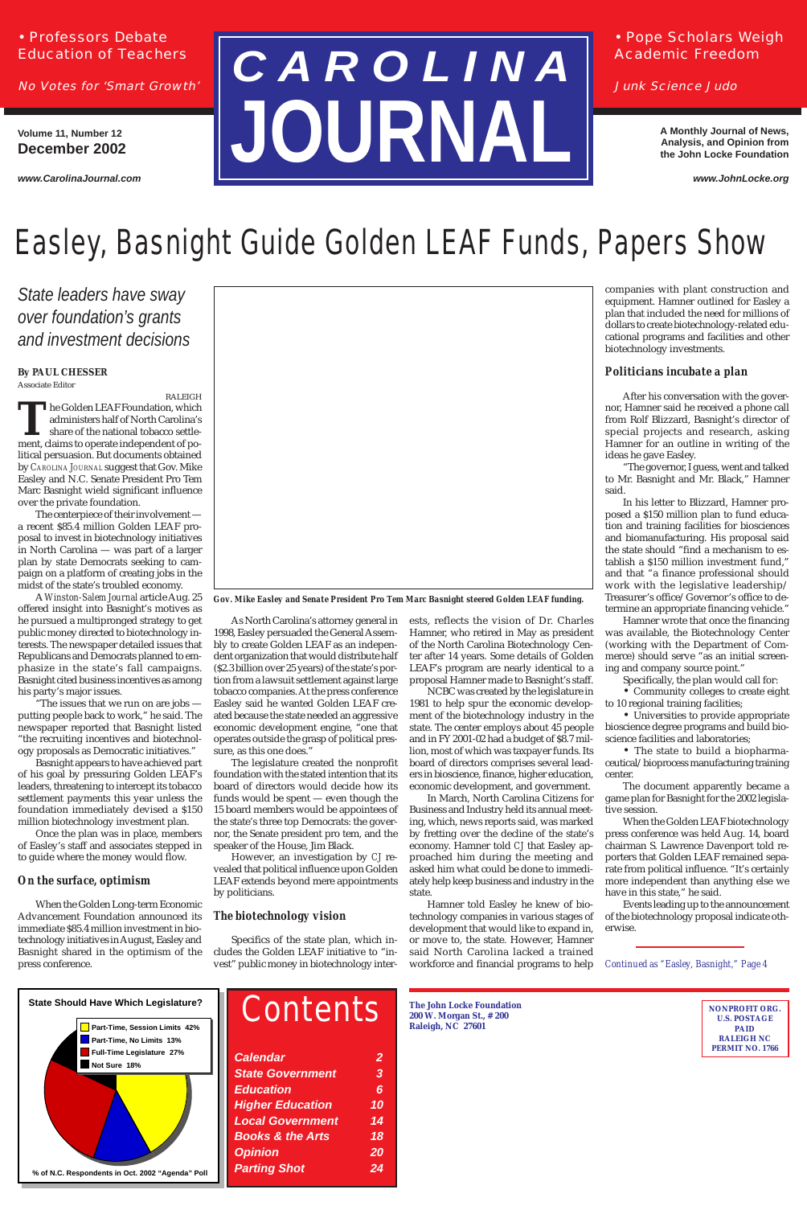## • Professors Debate Education of Teachers

No Votes for 'Smart Growth'

## • Pope Scholars Weigh Academic Freedom

Junk Science Judo

**Volume 11, Number 12 December 2002**

*www.CarolinaJournal.com*

**A Monthly Journal of News, Analysis, and Opinion from the John Locke Foundation**

*www.JohnLocke.org*

| <b>Calendar</b>             | $\overline{2}$ |
|-----------------------------|----------------|
| <b>State Government</b>     | 3              |
| <b>Education</b>            | 6              |
| <b>Higher Education</b>     | 10             |
| <b>Local Government</b>     | 14             |
| <b>Books &amp; the Arts</b> | 18             |
| <b>Opinion</b>              | 20             |
| <b>Parting Shot</b>         | 24             |
|                             |                |

**The John Locke Foundation 200 W. Morgan St., # 200 Raleigh, NC 27601**

**NONPROFIT ORG. U.S. POSTAGE PAID RALEIGH NC PERMIT NO. 1766**

# **C A R O L I N A JOURNAL**

*Continued as "Easley, Basnight," Page 4*

### **By PAUL CHESSER** Associate Editor

RALEIGH **The Golden LEAF Foundation, which administers half of North Carolina's share of the national tobacco settlement. claims to operate independent of po**administers half of North Carolina's share of the national tobacco settlement, claims to operate independent of political persuasion. But documents obtained by *CAROLINA JOURNAL* suggest that Gov. Mike Easley and N.C. Senate President Pro Tem Marc Basnight wield significant influence over the private foundation.

The centerpiece of their involvement a recent \$85.4 million Golden LEAF proposal to invest in biotechnology initiatives in North Carolina — was part of a larger plan by state Democrats seeking to campaign on a platform of creating jobs in the midst of the state's troubled economy.

A *Winston-Salem Journal* article Aug. 25 offered insight into Basnight's motives as he pursued a multipronged strategy to get public money directed to biotechnology interests. The newspaper detailed issues that Republicans and Democrats planned to emphasize in the state's fall campaigns. Basnight cited business incentives as among his party's major issues.

"The issues that we run on are jobs putting people back to work," he said. The newspaper reported that Basnight listed "the recruiting incentives and biotechnology proposals as Democratic initiatives."

Basnight appears to have achieved part of his goal by pressuring Golden LEAF's leaders, threatening to intercept its tobacco settlement payments this year unless the foundation immediately devised a \$150 million biotechnology investment plan.

Once the plan was in place, members of Easley's staff and associates stepped in to guide where the money would flow.

## *On the surface, optimism*

When the Golden Long-term Economic Advancement Foundation announced its immediate \$85.4 million investment in biotechnology initiatives in August, Easley and Basnight shared in the optimism of the press conference.

As North Carolina's attorney general in 1998, Easley persuaded the General Assembly to create Golden LEAF as an independent organization that would distribute half (\$2.3 billion over 25 years) of the state's portion from a lawsuit settlement against large tobacco companies. At the press conference Easley said he wanted Golden LEAF created because the state needed an aggressive economic development engine, "one that operates outside the grasp of political pressure, as this one does."

The legislature created the nonprofit foundation with the stated intention that its board of directors would decide how its funds would be spent — even though the 15 board members would be appointees of the state's three top Democrats: the governor, the Senate president pro tem, and the speaker of the House, Jim Black.

However, an investigation by *CJ* revealed that political influence upon Golden LEAF extends beyond mere appointments

by politicians.

## *The biotechnology vision*

Specifics of the state plan, which includes the Golden LEAF initiative to "invest" public money in biotechnology interests, reflects the vision of Dr. Charles Hamner, who retired in May as president of the North Carolina Biotechnology Center after 14 years. Some details of Golden LEAF's program are nearly identical to a proposal Hamner made to Basnight's staff.

NCBC was created by the legislature in 1981 to help spur the economic development of the biotechnology industry in the state. The center employs about 45 people and in FY 2001-02 had a budget of \$8.7 million, most of which was taxpayer funds. Its board of directors comprises several leaders in bioscience, finance, higher education, economic development, and government.

In March, North Carolina Citizens for Business and Industry held its annual meeting, which, news reports said, was marked by fretting over the decline of the state's economy. Hamner told *CJ* that Easley approached him during the meeting and asked him what could be done to immediately help keep business and industry in the

state.

Hamner told Easley he knew of biotechnology companies in various stages of development that would like to expand in, or move to, the state. However, Hamner said North Carolina lacked a trained workforce and financial programs to help companies with plant construction and equipment. Hamner outlined for Easley a plan that included the need for millions of dollars to create biotechnology-related educational programs and facilities and other biotechnology investments.

### *Politicians incubate a plan*

After his conversation with the governor, Hamner said he received a phone call from Rolf Blizzard, Basnight's director of special projects and research, asking Hamner for an outline in writing of the ideas he gave Easley.

"The governor, I guess, went and talked to Mr. Basnight and Mr. Black," Hamner said.

In his letter to Blizzard, Hamner proposed a \$150 million plan to fund education and training facilities for biosciences and biomanufacturing. His proposal said the state should "find a mechanism to establish a \$150 million investment fund," and that "a finance professional should work with the legislative leadership/ Treasurer's office/Governor's office to determine an appropriate financing vehicle."

Hamner wrote that once the financing was available, the Biotechnology Center (working with the Department of Commerce) should serve "as an initial screening and company source point."

Specifically, the plan would call for:

• Community colleges to create eight to 10 regional training facilities;

• Universities to provide appropriate bioscience degree programs and build bioscience facilities and laboratories;

• The state to build a biopharmaceutical/bioprocess manufacturing training center.

The document apparently became a game plan for Basnight for the 2002 legislative session.

When the Golden LEAF biotechnology press conference was held Aug. 14, board chairman S. Lawrence Davenport told reporters that Golden LEAF remained separate from political influence. "It's certainly more independent than anything else we have in this state," he said. Events leading up to the announcement of the biotechnology proposal indicate otherwise.

## Easley, Basnight Guide Golden LEAF Funds, Papers Show

*State leaders have sway over foundation's grants and investment decisions*



*Gov. Mike Easley and Senate President Pro Tem Marc Basnight steered Golden LEAF funding.*



## **Contents**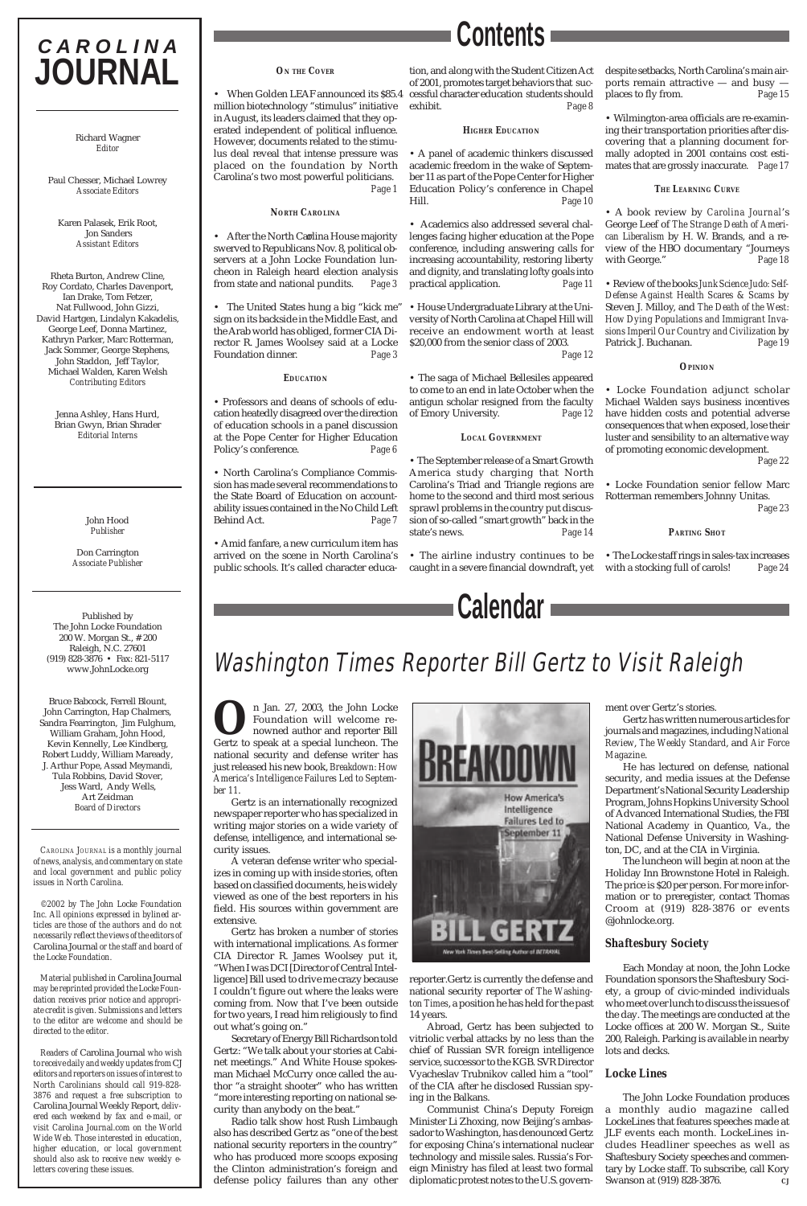**O**n Jan. 27, 2003, the John Locke<br>Foundation will welcome re-<br>nowned author and reporter Bill<br>Gertz to speak at a special luncheon. The Foundation will welcome renowned author and reporter Bill Gertz to speak at a special luncheon. The national security and defense writer has just released his new book, *Breakdown: How America's Intelligence Failures Led to September 11*.

Gertz is an internationally recognized newspaper reporter who has specialized in writing major stories on a wide variety of defense, intelligence, and international security issues.

A veteran defense writer who specializes in coming up with inside stories, often based on classified documents, he is widely viewed as one of the best reporters in his field. His sources within government are extensive.



Gertz has broken a number of stories with international implications. As former CIA Director R. James Woolsey put it, "When I was DCI [Director of Central Intelligence] Bill used to drive me crazy because I couldn't figure out where the leaks were coming from. Now that I've been outside for two years, I read him religiously to find out what's going on."

Secretary of Energy Bill Richardson told Gertz: "We talk about your stories at Cabinet meetings." And White House spokesman Michael McCurry once called the author "a straight shooter" who has written "more interesting reporting on national security than anybody on the beat."

Radio talk show host Rush Limbaugh also has described Gertz as "one of the best national security reporters in the country" who has produced more scoops exposing the Clinton administration's foreign and defense policy failures than any other

## Washington Times Reporter Bill Gertz to Visit Raleigh

## **C A R O L I N A JOURNAL**

Richard Wagner *Editor*

Paul Chesser, Michael Lowrey *Associate Editors*

Karen Palasek, Erik Root, Jon Sanders *Assistant Editors*

Rheta Burton, Andrew Cline, Roy Cordato, Charles Davenport, Ian Drake, Tom Fetzer, Nat Fullwood, John Gizzi, David Hartgen, Lindalyn Kakadelis, George Leef, Donna Martinez, Kathryn Parker, Marc Rotterman, Jack Sommer, George Stephens, John Staddon, Jeff Taylor, Michael Walden, Karen Welsh *Contributing Editors*

• When Golden LEAF announced its \$85.4 million biotechnology "stimulus" initiative in August, its leaders claimed that they operated independent of political influence. However, documents related to the stimulus deal reveal that intense pressure was placed on the foundation by North Carolina's two most powerful politicians. *Page 1*

Jenna Ashley, Hans Hurd, Brian Gwyn, Brian Shrader *Editorial Interns*

• After the North Carolina House majority swerved to Republicans Nov. 8, political observers at a John Locke Foundation luncheon in Raleigh heard election analysis from state and national pundits. *Page 3*

John Hood *Publisher*

Don Carrington *Associate Publisher*

• The United States hung a big "kick me" sign on its backside in the Middle East, and the Arab world has obliged, former CIA Director R. James Woolsey said at a Locke Foundation dinner. *Page 3*

Published by The John Locke Foundation 200 W. Morgan St., # 200 Raleigh, N.C. 27601 (919) 828-3876 • Fax: 821-5117 www.JohnLocke.org

Bruce Babcock, Ferrell Blount, John Carrington, Hap Chalmers, Sandra Fearrington, Jim Fulghum, William Graham, John Hood, Kevin Kennelly, Lee Kindberg, Robert Luddy, William Maready, J. Arthur Pope, Assad Meymandi, Tula Robbins, David Stover, Jess Ward, Andy Wells, Art Zeidman *Board of Directors*

*CAROLINA JOURNAL is a monthly journal of news, analysis, and commentary on state and local government and public policy issues in North Carolina.*

*©2002 by The John Locke Foundation Inc. All opinions expressed in bylined articles are those of the authors and do not necessarily reflect the views of the editors of* Carolina Journal *or the staff and board of the Locke Foundation.*

*Material published in* Carolina Journal *may be reprinted provided the Locke Foundation receives prior notice and appropriate credit is given. Submissions and letters to the editor are welcome and should be directed to the editor.*

*Readers of* Carolina Journal *who wish to receive daily and weekly updates from* CJ *editors and reporters on issues of interest to North Carolinians should call 919-828- 3876 and request a free subscription to* Carolina Journal Weekly Report*, delivered each weekend by fax and e-mail, or visit Carolina Journal.com on the World Wide Web. Those interested in education, higher education, or local government should also ask to receive new weekly eletters covering these issues.*



### *ON THE COVER*

### *NORTH CAROLINA*

### *EDUCATION*

• Professors and deans of schools of education heatedly disagreed over the direction of education schools in a panel discussion at the Pope Center for Higher Education Policy's conference. *Page 6*

> The John Locke Foundation produces a monthly audio magazine called LockeLines that features speeches made at JLF events each month. LockeLines includes Headliner speeches as well as Shaftesbury Society speeches and commentary by Locke staff. To subscribe, call Kory Swanson at (919) 828-3876.

• North Carolina's Compliance Commission has made several recommendations to the State Board of Education on accountability issues contained in the No Child Left Behind Act. *Page 7*

• Amid fanfare, a new curriculum item has arrived on the scene in North Carolina's public schools. It's called character educa-

tion, and along with the Student Citizen Act of 2001, promotes target behaviors that successful character education students should exhibit. *Page 8*

### *HIGHER EDUCATION*

• A panel of academic thinkers discussed academic freedom in the wake of September 11 as part of the Pope Center for Higher Education Policy's conference in Chapel Hill. *Page 10*

• Academics also addressed several challenges facing higher education at the Pope conference, including answering calls for increasing accountability, restoring liberty and dignity, and translating lofty goals into practical application. *Page 11*

• House Undergraduate Library at the University of North Carolina at Chapel Hill will receive an endowment worth at least \$20,000 from the senior class of 2003. *Page 12*

• The saga of Michael Bellesiles appeared to come to an end in late October when the antigun scholar resigned from the faculty of Emory University. *Page 12*

### *LOCAL GOVERNMENT*

• The September release of a Smart Growth America study charging that North Carolina's Triad and Triangle regions are home to the second and third most serious sprawl problems in the country put discussion of so-called "smart growth" back in the state's news. *Page 14* despite setbacks, North Carolina's main airports remain attractive — and busy places to fly from. *Page 15*

• Wilmington-area officials are re-examining their transportation priorities after discovering that a planning document formally adopted in 2001 contains cost estimates that are grossly inaccurate. *Page 17*

### *THE LEARNING CURVE*

• A book review by *Carolina Journal*'s George Leef of *The Strange Death of American Liberalism* by H. W. Brands, and a review of the HBO documentary "Journeys with George." *Page 18*

• The airline industry continues to be caught in a severe financial downdraft, yet with a stocking full of carols! *Page 24*

• Review of the books *Junk Science Judo: Self-Defense Against Health Scares & Scams* by Steven J. Milloy, and *The Death of the West: How Dying Populations and Immigrant Invasions Imperil Our Country and Civilization* by Patrick J. Buchanan. *Page 19*

### *OPINION*

• Locke Foundation adjunct scholar Michael Walden says business incentives have hidden costs and potential adverse consequences that when exposed, lose their luster and sensibility to an alternative way of promoting economic development.

 *Page 22*

• Locke Foundation senior fellow Marc Rotterman remembers Johnny Unitas.  *Page 23*

### *PARTING SHOT*

• The Locke staff rings in sales-tax increases

**Contents**

reporter.Gertz is currently the defense and national security reporter of *The Washington Times*, a position he has held for the past 14 years.

Abroad, Gertz has been subjected to vitriolic verbal attacks by no less than the chief of Russian SVR foreign intelligence service, successor to the KGB. SVR Director Vyacheslav Trubnikov called him a "tool" of the CIA after he disclosed Russian spying in the Balkans.

Communist China's Deputy Foreign Minister Li Zhoxing, now Beijing's ambassador to Washington, has denounced Gertz for exposing China's international nuclear technology and missile sales. Russia's Foreign Ministry has filed at least two formal diplomatic protest notes to the U.S. government over Gertz's stories.

Gertz has written numerous articles for journals and magazines, including *National Review*, *The Weekly Standard*, and *Air Force Magazine*.

He has lectured on defense, national security, and media issues at the Defense Department's National Security Leadership Program, Johns Hopkins University School of Advanced International Studies, the FBI National Academy in Quantico, Va., the National Defense University in Washington, DC, and at the CIA in Virginia.

The luncheon will begin at noon at the Holiday Inn Brownstone Hotel in Raleigh. The price is \$20 per person. For more information or to preregister, contact Thomas Croom at (919) 828-3876 or events @johnlocke.org.

## *Shaftesbury Society*

Each Monday at noon, the John Locke Foundation sponsors the Shaftesbury Society, a group of civic-minded individuals who meet over lunch to discuss the issues of the day. The meetings are conducted at the Locke offices at 200 W. Morgan St., Suite 200, Raleigh. Parking is available in nearby lots and decks.

## *Locke Lines*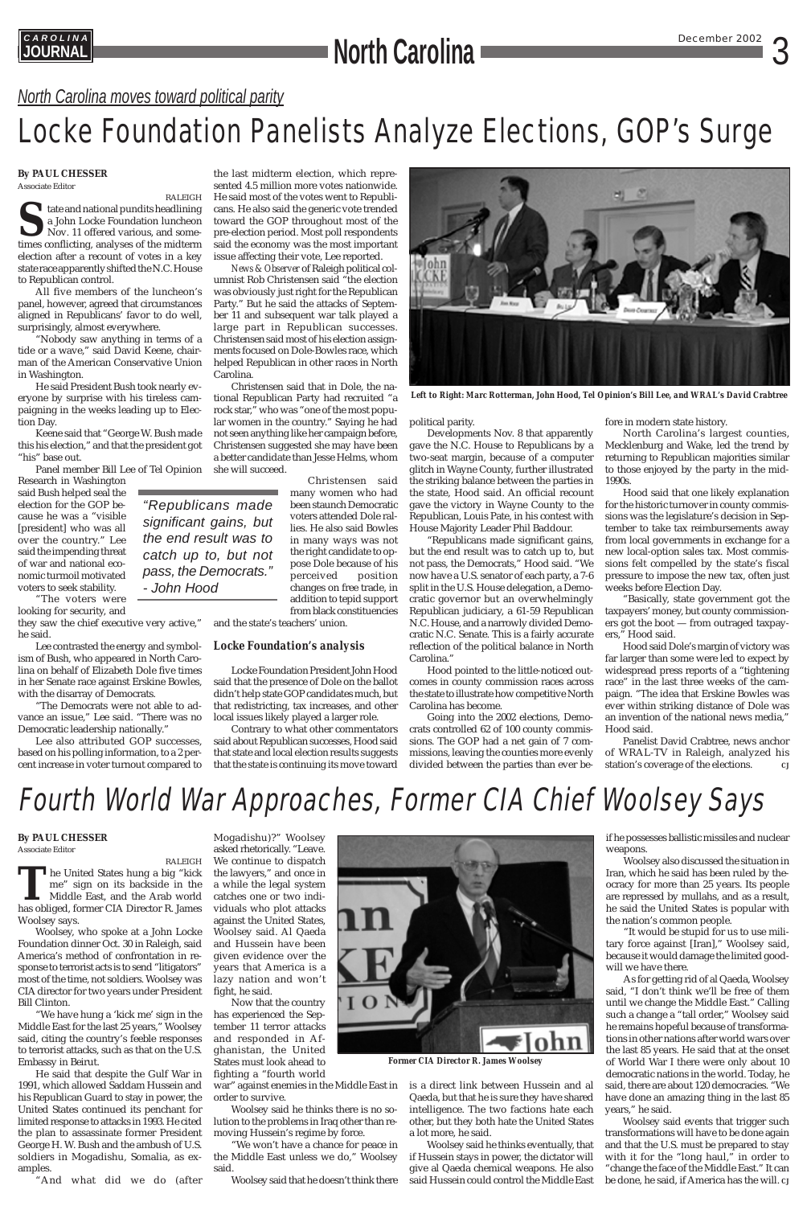## **CAROLINA**<br> **CAROLINAL December 2002** 3

## Fourth World War Approaches, Former CIA Chief Woolsey Says

RALEIGH The United States hung a big "kick"<br>me" sign on its backside in the<br>Middle East, and the Arab world<br>has obliged. former CIA Director R. James me" sign on its backside in the Middle East, and the Arab world has obliged, former CIA Director R. James Woolsey says. Woolsey, who spoke at a John Locke Foundation dinner Oct. 30 in Raleigh, said America's method of confrontation in response to terrorist acts is to send "litigators" most of the time, not soldiers. Woolsey was CIA director for two years under President Bill Clinton. The United States hung a big "kick the lawyers," and once in

*"Republicans made significant gains, but the end result was to catch up to, but not pass, the Democrats." - John Hood*

## **By PAUL CHESSER**

Associate Editor

"We have hung a 'kick me' sign in the Middle East for the last 25 years," Woolsey said, citing the country's feeble responses to terrorist attacks, such as that on the U.S. Embassy in Beirut.

He said that despite the Gulf War in 1991, which allowed Saddam Hussein and his Republican Guard to stay in power, the United States continued its penchant for limited response to attacks in 1993. He cited the plan to assassinate former President George H. W. Bush and the ambush of U.S. soldiers in Mogadishu, Somalia, as examples.

"And what did we do (after

Mogadishu)?" Woolsey asked rhetorically. "Leave. We continue to dispatch a while the legal system



catches one or two individuals who plot attacks against the United States, Woolsey said. Al Qaeda and Hussein have been given evidence over the years that America is a lazy nation and won't fight, he said.

Now that the country has experienced the September 11 terror attacks and responded in Afghanistan, the United States must look ahead to fighting a "fourth world

war" against enemies in the Middle East in order to survive.

Woolsey said he thinks there is no solution to the problems in Iraq other than removing Hussein's regime by force.

"We won't have a chance for peace in the Middle East unless we do," Woolsey said.

Woolsey said that he doesn't think there



is a direct link between Hussein and al Qaeda, but that he is sure they have shared intelligence. The two factions hate each other, but they both hate the United States a lot more, he said.

Woolsey said he thinks eventually, that if Hussein stays in power, the dictator will give al Qaeda chemical weapons. He also said Hussein could control the Middle East

## **By PAUL CHESSER**

Associate Editor

RALEIGH **S**tate and national pundits headlining a John Locke Foundation luncheon Nov. 11 offered various, and sometimes conflicting, analyses of the midterm election after a recount of votes in a key state race apparently shifted the N.C. House to Republican control.

All five members of the luncheon's panel, however, agreed that circumstances aligned in Republicans' favor to do well, surprisingly, almost everywhere.

"Nobody saw anything in terms of a tide or a wave," said David Keene, chairman of the American Conservative Union in Washington.

He said President Bush took nearly everyone by surprise with his tireless campaigning in the weeks leading up to Election Day.

Keene said that "George W. Bush made this his election," and that the president got "his" base out.

Panel member Bill Lee of Tel Opinion

Research in Washington said Bush helped seal the election for the GOP because he was a "visible [president] who was all over the country." Lee said the impending threat of war and national economic turmoil motivated voters to seek stability.

"The voters were

looking for security, and

they saw the chief executive very active," he said.

Lee contrasted the energy and symbolism of Bush, who appeared in North Carolina on behalf of Elizabeth Dole five times in her Senate race against Erskine Bowles, with the disarray of Democrats.

"The Democrats were not able to advance an issue," Lee said. "There was no Democratic leadership nationally."

Lee also attributed GOP successes, based on his polling information, to a 2 percent increase in voter turnout compared to

Panelist David Crabtree, news anchor of WRAL-TV in Raleigh, analyzed his station's coverage of the elections.

the last midterm election, which represented 4.5 million more votes nationwide. He said most of the votes went to Republicans. He also said the generic vote trended toward the GOP throughout most of the pre-election period. Most poll respondents said the economy was the most important issue affecting their vote, Lee reported.

*News & Observer* of Raleigh political columnist Rob Christensen said "the election was obviously just right for the Republican Party." But he said the attacks of September 11 and subsequent war talk played a large part in Republican successes. Christensen said most of his election assignments focused on Dole-Bowles race, which helped Republican in other races in North Carolina.

Christensen said that in Dole, the national Republican Party had recruited "a rock star," who was "one of the most popular women in the country." Saying he had not seen anything like her campaign before, Christensen suggested she may have been a better candidate than Jesse Helms, whom she will succeed.

> Christensen said many women who had been staunch Democratic voters attended Dole rallies. He also said Bowles in many ways was not the right candidate to oppose Dole because of his perceived position changes on free trade, in addition to tepid support from black constituencies

and the state's teachers' union.

## *Locke Foundation's analysis*

Locke Foundation President John Hood said that the presence of Dole on the ballot didn't help state GOP candidates much, but that redistricting, tax increases, and other local issues likely played a larger role.

Contrary to what other commentators said about Republican successes, Hood said that state and local election results suggests that the state is continuing its move toward

*North Carolina moves toward political parity*

## Locke Foundation Panelists Analyze Elections, GOP's Surge



*Left to Right: Marc Rotterman, John Hood, Tel Opinion's Bill Lee, and WRAL's David Crabtree*

political parity.

Developments Nov. 8 that apparently gave the N.C. House to Republicans by a two-seat margin, because of a computer glitch in Wayne County, further illustrated the striking balance between the parties in the state, Hood said. An official recount gave the victory in Wayne County to the Republican, Louis Pate, in his contest with House Majority Leader Phil Baddour.

"Republicans made significant gains, but the end result was to catch up to, but not pass, the Democrats," Hood said. "We now have a U.S. senator of each party, a 7-6 split in the U.S. House delegation, a Democratic governor but an overwhelmingly Republican judiciary, a 61-59 Republican N.C. House, and a narrowly divided Democratic N.C. Senate. This is a fairly accurate reflection of the political balance in North Carolina."

Hood pointed to the little-noticed outcomes in county commission races across the state to illustrate how competitive North Carolina has become.

Going into the 2002 elections, Democrats controlled 62 of 100 county commissions. The GOP had a net gain of 7 commissions, leaving the counties more evenly divided between the parties than ever before in modern state history.

North Carolina's largest counties, Mecklenburg and Wake, led the trend by returning to Republican majorities similar to those enjoyed by the party in the mid-1990s.

Hood said that one likely explanation for the historic turnover in county commissions was the legislature's decision in September to take tax reimbursements away from local governments in exchange for a new local-option sales tax. Most commissions felt compelled by the state's fiscal pressure to impose the new tax, often just weeks before Election Day.

"Basically, state government got the taxpayers' money, but county commissioners got the boot — from outraged taxpayers," Hood said.

Hood said Dole's margin of victory was far larger than some were led to expect by widespread press reports of a "tightening race" in the last three weeks of the campaign. "The idea that Erskine Bowles was ever within striking distance of Dole was an invention of the national news media," Hood said.

if he possesses ballistic missiles and nuclear weapons.

Woolsey also discussed the situation in Iran, which he said has been ruled by theocracy for more than 25 years. Its people

are repressed by mullahs, and as a result, he said the United States is popular with the nation's common people.

"It would be stupid for us to use military force against [Iran]," Woolsey said, because it would damage the limited goodwill we have there.

As for getting rid of al Qaeda, Woolsey said, "I don't think we'll be free of them until we change the Middle East." Calling such a change a "tall order," Woolsey said he remains hopeful because of transformations in other nations after world wars over the last 85 years. He said that at the onset of World War I there were only about 10 democratic nations in the world. Today, he said, there are about 120 democracies. "We have done an amazing thing in the last 85 years," he said.

Woolsey said events that trigger such transformations will have to be done again and that the U.S. must be prepared to stay with it for the "long haul," in order to "change the face of the Middle East." It can be done, he said, if America has the will. *CJ*

*Former CIA Director R. James Woolsey*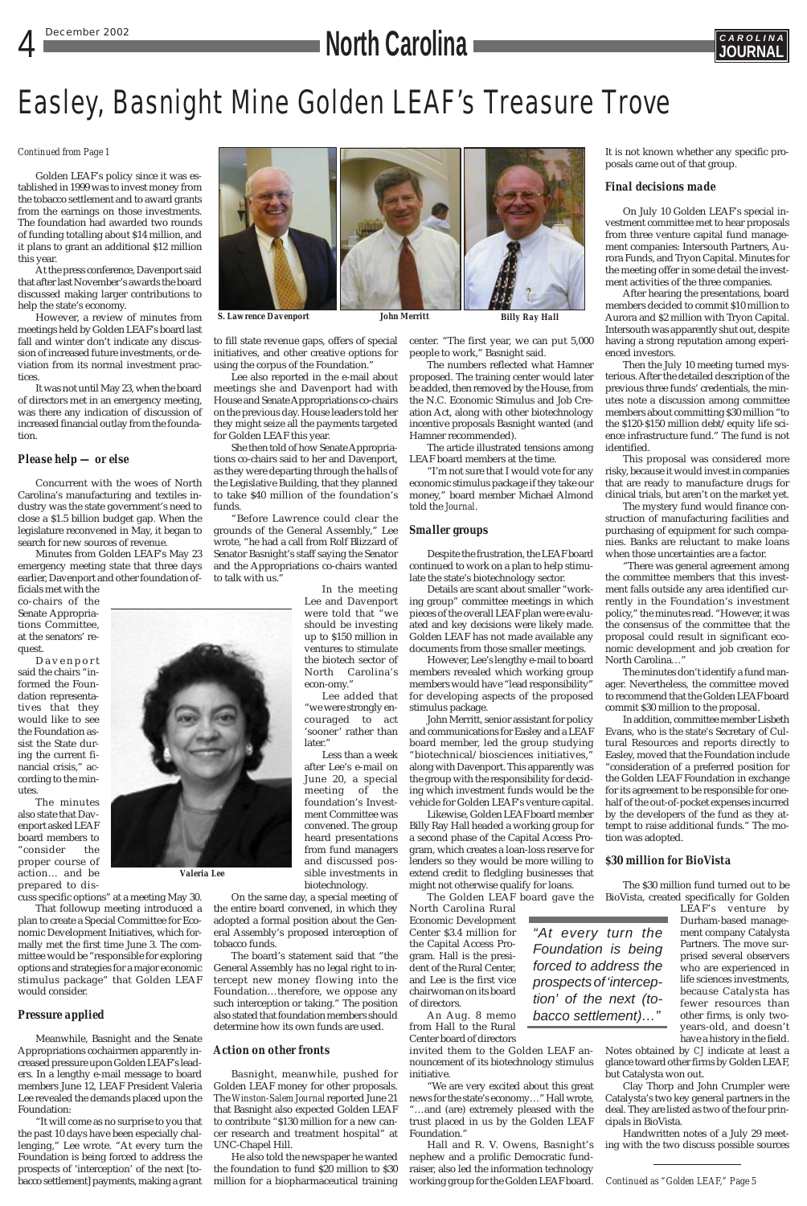## **December 2002 CAROLINA CAROLINA CAROLINA CAROLINA CAROLINA CAROLINA**



## Easley, Basnight Mine Golden LEAF's Treasure Trove

### *Continued from Page 1*

*Continued as "Golden LEAF," Page 5*

*"At every turn the Foundation is being forced to address the prospects of 'interception' of the next (tobacco settlement)…"*

*S. Lawrence Davenport John Merritt Billy Ray Hall*

Golden LEAF's policy since it was established in 1999 was to invest money from the tobacco settlement and to award grants from the earnings on those investments. The foundation had awarded two rounds of funding totalling about \$14 million, and it plans to grant an additional \$12 million this year.

At the press conference, Davenport said that after last November's awards the board discussed making larger contributions to help the state's economy.

However, a review of minutes from meetings held by Golden LEAF's board last fall and winter don't indicate any discussion of increased future investments, or deviation from its normal investment practices.

It was not until May 23, when the board of directors met in an emergency meeting, was there any indication of discussion of increased financial outlay from the foundation.

### *Please help — or else*

Concurrent with the woes of North Carolina's manufacturing and textiles industry was the state government's need to close a \$1.5 billion budget gap. When the legislature reconvened in May, it began to search for new sources of revenue.

Minutes from Golden LEAF's May 23 emergency meeting state that three days earlier, Davenport and other foundation of-

ficials met with the co-chairs of the Senate Appropriations Committee, at the senators' request.

Davenport said the chairs "informed the Foundation representatives that they would like to see the Foundation assist the State during the current financial crisis," according to the minutes.

The minutes also state that Davenport asked LEAF board members to "consider the proper course of action… and be



prepared to dis-

cuss specific options" at a meeting May 30.

That followup meeting introduced a plan to create a Special Committee for Economic Development Initiatives, which formally met the first time June 3. The committee would be "responsible for exploring options and strategies for a major economic stimulus package" that Golden LEAF would consider.

### *Pressure applied*

Meanwhile, Basnight and the Senate Appropriations cochairmen apparently increased pressure upon Golden LEAF's leaders. In a lengthy e-mail message to board members June 12, LEAF President Valeria Lee revealed the demands placed upon the Foundation:

"It will come as no surprise to you that the past 10 days have been especially challenging," Lee wrote. "At every turn the Foundation is being forced to address the prospects of 'interception' of the next [tobacco settlement] payments, making a grant to fill state revenue gaps, offers of special initiatives, and other creative options for using the corpus of the Foundation."

Lee also reported in the e-mail about meetings she and Davenport had with House and Senate Appropriations co-chairs on the previous day. House leaders told her they might seize all the payments targeted for Golden LEAF this year.

She then told of how Senate Appropriations co-chairs said to her and Davenport, as they were departing through the halls of the Legislative Building, that they planned to take \$40 million of the foundation's funds.

"Before Lawrence could clear the grounds of the General Assembly," Lee wrote, "he had a call from Rolf Blizzard of Senator Basnight's staff saying the Senator and the Appropriations co-chairs wanted to talk with us."

> In the meeting Lee and Davenport were told that "we should be investing up to \$150 million in ventures to stimulate the biotech sector of North Carolina's econ-omy."

Lee added that "we were strongly encouraged to act 'sooner' rather than later."

Less than a week after Lee's e-mail on June 20, a special meeting of the foundation's Investment Committee was convened. The group heard presentations from fund managers and discussed possible investments in

biotechnology.

On the same day, a special meeting of the entire board convened, in which they adopted a formal position about the General Assembly's proposed interception of tobacco funds.

The board's statement said that "the General Assembly has no legal right to intercept new money flowing into the Foundation…therefore, we oppose any such interception or taking." The position also stated that foundation members should determine how its own funds are used.

### *Action on other fronts*

Basnight, meanwhile, pushed for Golden LEAF money for other proposals. The *Winston-Salem Journal*reported June 21 that Basnight also expected Golden LEAF to contribute "\$130 million for a new cancer research and treatment hospital" at UNC-Chapel Hill.

He also told the newspaper he wanted the foundation to fund \$20 million to \$30 million for a biopharmaceutical training

center. "The first year, we can put 5,000 people to work," Basnight said.

The numbers reflected what Hamner proposed. The training center would later be added, then removed by the House, from the N.C. Economic Stimulus and Job Creation Act, along with other biotechnology incentive proposals Basnight wanted (and Hamner recommended).

The article illustrated tensions among LEAF board members at the time.

"I'm not sure that I would vote for any economic stimulus package if they take our money," board member Michael Almond told the *Journal*.

### *Smaller groups*

Despite the frustration, the LEAF board continued to work on a plan to help stimulate the state's biotechnology sector.

Details are scant about smaller "working group" committee meetings in which pieces of the overall LEAF plan were evaluated and key decisions were likely made. Golden LEAF has not made available any documents from those smaller meetings.

However, Lee's lengthy e-mail to board members revealed which working group members would have "lead responsibility" for developing aspects of the proposed stimulus package.

John Merritt, senior assistant for policy and communications for Easley and a LEAF board member, led the group studying "biotechnical/biosciences initiatives," along with Davenport. This apparently was the group with the responsibility for deciding which investment funds would be the vehicle for Golden LEAF's venture capital.

Likewise, Golden LEAF board member Billy Ray Hall headed a working group for a second phase of the Capital Access Program, which creates a loan-loss reserve for lenders so they would be more willing to extend credit to fledgling businesses that might not otherwise qualify for loans.

North Carolina Rural

Economic Development Center \$3.4 million for the Capital Access Program. Hall is the president of the Rural Center, and Lee is the first vice chairwoman on its board of directors.

An Aug. 8 memo from Hall to the Rural Center board of directors

invited them to the Golden LEAF announcement of its biotechnology stimulus initiative.

"We are very excited about this great news for the state's economy…" Hall wrote, "…and (are) extremely pleased with the trust placed in us by the Golden LEAF Foundation."

Hall and R. V. Owens, Basnight's nephew and a prolific Democratic fundraiser, also led the information technology working group for the Golden LEAF board. It is not known whether any specific proposals came out of that group.

### *Final decisions made*

On July 10 Golden LEAF's special investment committee met to hear proposals from three venture capital fund management companies: Intersouth Partners, Aurora Funds, and Tryon Capital. Minutes for the meeting offer in some detail the investment activities of the three companies.

After hearing the presentations, board members decided to commit \$10 million to Aurora and \$2 million with Tryon Capital. Intersouth was apparently shut out, despite having a strong reputation among experienced investors.

Then the July 10 meeting turned mysterious. After the detailed description of the previous three funds' credentials, the minutes note a discussion among committee members about committing \$30 million "to the \$120-\$150 million debt/equity life science infrastructure fund." The fund is not identified.

The Golden LEAF board gave the BioVista, created specifically for Golden

This proposal was considered more risky, because it would invest in companies that are ready to manufacture drugs for clinical trials, but aren't on the market yet.

The mystery fund would finance construction of manufacturing facilities and purchasing of equipment for such companies. Banks are reluctant to make loans when those uncertainties are a factor.

"There was general agreement among the committee members that this investment falls outside any area identified currently in the Foundation's investment policy," the minutes read. "However, it was the consensus of the committee that the proposal could result in significant economic development and job creation for North Carolina…"

The minutes don't identify a fund manager. Nevertheless, the committee moved to recommend that the Golden LEAF board commit \$30 million to the proposal.

In addition, committee member Lisbeth Evans, who is the state's Secretary of Cultural Resources and reports directly to Easley, moved that the Foundation include "consideration of a preferred position for the Golden LEAF Foundation in exchange for its agreement to be responsible for onehalf of the out-of-pocket expenses incurred by the developers of the fund as they attempt to raise additional funds." The motion was adopted.

### *\$30 million for BioVista*

The \$30 million fund turned out to be

LEAF's venture by Durham-based management company Catalysta Partners. The move surprised several observers who are experienced in life sciences investments, because Catalysta has fewer resources than other firms, is only twoyears-old, and doesn't have a history in the field.

Notes obtained by *CJ* indicate at least a glance toward other firms by Golden LEAF, but Catalysta won out.

Clay Thorp and John Crumpler were Catalysta's two key general partners in the deal. They are listed as two of the four principals in BioVista.

Handwritten notes of a July 29 meeting with the two discuss possible sources



*Valeria Lee*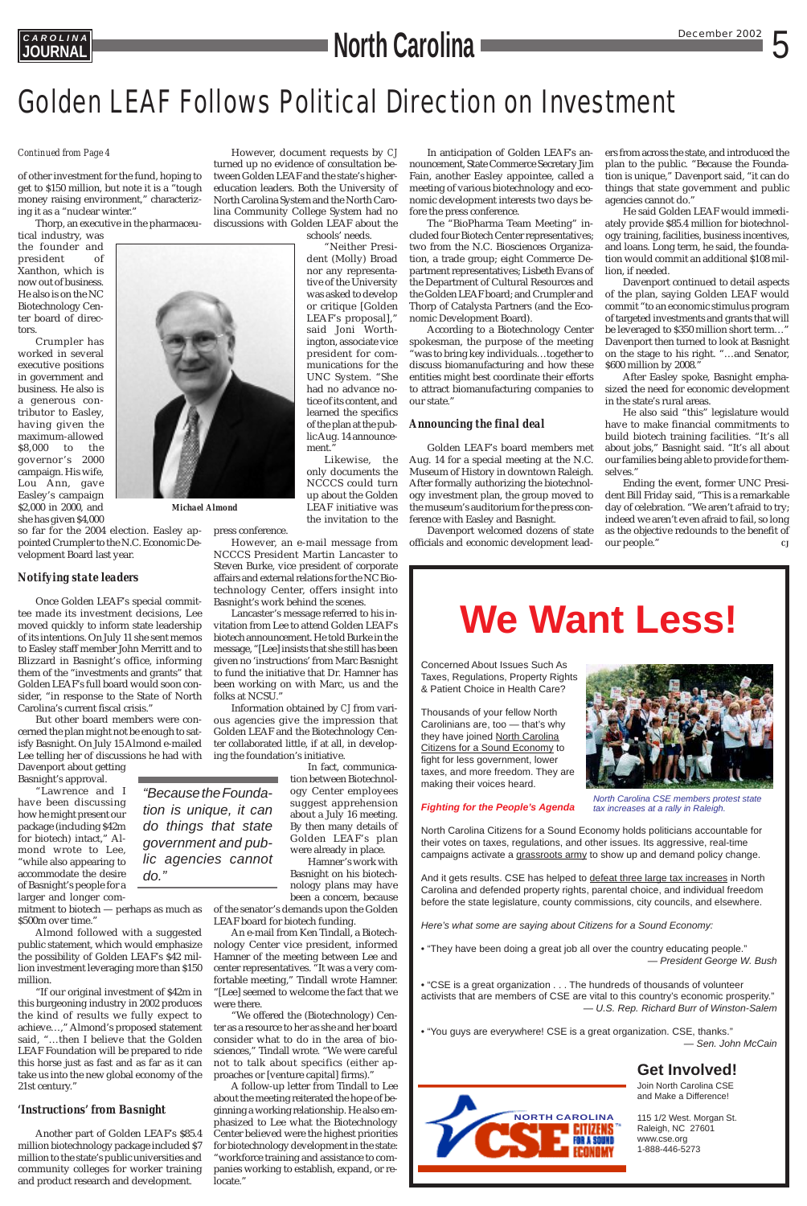## **CAROLINA**<br> **December 2002** 5

## Golden LEAF Follows Political Direction on Investment

## **We Want Less!**

Concerned About Issues Such As Taxes, Regulations, Property Rights & Patient Choice in Health Care?

Thousands of your fellow North Carolinians are, too — that's why they have joined North Carolina Citizens for a Sound Economy to fight for less government, lower taxes, and more freedom. They are making their voices heard.

### **Fighting for the People's Agenda**

North Carolina Citizens for a Sound Economy holds politicians accountable for their votes on taxes, regulations, and other issues. Its aggressive, real-time campaigns activate a grassroots army to show up and demand policy change.

And it gets results. CSE has helped to defeat three large tax increases in North

Carolina and defended property rights, parental choice, and individual freedom before the state legislature, county commissions, city councils, and elsewhere.

Here's what some are saying about Citizens for a Sound Economy:

• "They have been doing a great job all over the country educating people." — President George W. Bush

• "CSE is a great organization . . . The hundreds of thousands of volunteer activists that are members of CSE are vital to this country's economic prosperity." — U.S. Rep. Richard Burr of Winston-Salem

• "You guys are everywhere! CSE is a great organization. CSE, thanks." — Sen. John McCain

## **Get Involved!**

Join North Carolina CSE and Make a Difference!

115 1/2 West. Morgan St. Raleigh, NC 27601 www.cse.org 1-888-446-5273



North Carolina CSE members protest state tax increases at a rally in Raleigh.



### *Continued from Page 4*

*"Because the Foundation is unique, it can do things that state government and public agencies cannot*

*do."*

of other investment for the fund, hoping to get to \$150 million, but note it is a "tough money raising environment," characterizing it as a "nuclear winter."

Thorp, an executive in the pharmaceu-

tical industry, was the founder and president of Xanthon, which is now out of business. He also is on the NC Biotechnology Center board of directors.

Crumpler has worked in several executive positions in government and business. He also is a generous contributor to Easley, having given the maximum-allowed \$8,000 to the governor's 2000 campaign. His wife, Lou Ann, gave Easley's campaign \$2,000 in 2000, and she has given \$4,000

so far for the 2004 election. Easley appointed Crumpler to the N.C. Economic Development Board last year.

### *Notifying state leaders*

Once Golden LEAF's special committee made its investment decisions, Lee moved quickly to inform state leadership of its intentions. On July 11 she sent memos to Easley staff member John Merritt and to Blizzard in Basnight's office, informing them of the "investments and grants" that Golden LEAF's full board would soon consider, "in response to the State of North Carolina's current fiscal crisis."

But other board members were concerned the plan might not be enough to satisfy Basnight. On July 15 Almond e-mailed Lee telling her of discussions he had with Davenport about getting Basnight's approval.

"Lawrence and I have been discussing how he might present our package (including \$42m for biotech) intact," Almond wrote to Lee, "while also appearing to accommodate the desire

of Basnight's people for a larger and longer commitment to biotech — perhaps as much as \$500m over time."

Almond followed with a suggested public statement, which would emphasize the possibility of Golden LEAF's \$42 million investment leveraging more than \$150 million.

"If our original investment of \$42m in this burgeoning industry in 2002 produces the kind of results we fully expect to achieve…," Almond's proposed statement said, "…then I believe that the Golden LEAF Foundation will be prepared to ride this horse just as fast and as far as it can take us into the new global economy of the 21st century."

## *'Instructions' from Basnight*

Another part of Golden LEAF's \$85.4 million biotechnology package included \$7 million to the state's public universities and community colleges for worker training and product research and development.

However, document requests by *CJ* turned up no evidence of consultation between Golden LEAF and the state's highereducation leaders. Both the University of North Carolina System and the North Carolina Community College System had no discussions with Golden LEAF about the

"Neither Presi-

Ending the event, former UNC President Bill Friday said, "This is a remarkable day of celebration. "We aren't afraid to try; indeed we aren't even afraid to fail, so long as the objective redounds to the benefit of our people."



Likewise, the

the invitation to the

press conference.

However, an e-mail message from NCCCS President Martin Lancaster to Steven Burke, vice president of corporate affairs and external relations for the NC Biotechnology Center, offers insight into Basnight's work behind the scenes.

Lancaster's message referred to his invitation from Lee to attend Golden LEAF's biotech announcement. He told Burke in the message, "[Lee] insists that she still has been given no 'instructions' from Marc Basnight to fund the initiative that Dr. Hamner has been working on with Marc, us and the folks at NCSU."

Information obtained by *CJ* from various agencies give the impression that Golden LEAF and the Biotechnology Center collaborated little, if at all, in developing the foundation's initiative.

> In fact, communication between Biotechnology Center employees suggest apprehension about a July 16 meeting. By then many details of Golden LEAF's plan were already in place.

Hamner's work with Basnight on his biotechnology plans may have been a concern, because

of the senator's demands upon the Golden LEAF board for biotech funding.

An e-mail from Ken Tindall, a Biotechnology Center vice president, informed Hamner of the meeting between Lee and center representatives. "It was a very comfortable meeting," Tindall wrote Hamner. "[Lee] seemed to welcome the fact that we were there.

"We offered the (Biotechnology) Center as a resource to her as she and her board consider what to do in the area of biosciences," Tindall wrote. "We were careful not to talk about specifics (either approaches or [venture capital] firms)."

A follow-up letter from Tindall to Lee about the meeting reiterated the hope of beginning a working relationship. He also emphasized to Lee what the Biotechnology Center believed were the highest priorities for biotechnology development in the state: "workforce training and assistance to companies working to establish, expand, or relocate."

In anticipation of Golden LEAF's announcement, State Commerce Secretary Jim Fain, another Easley appointee, called a meeting of various biotechnology and economic development interests two days before the press conference.

The "BioPharma Team Meeting" included four Biotech Center representatives; two from the N.C. Biosciences Organization, a trade group; eight Commerce Department representatives; Lisbeth Evans of the Department of Cultural Resources and the Golden LEAF board; and Crumpler and Thorp of Catalysta Partners (and the Economic Development Board).

According to a Biotechnology Center spokesman, the purpose of the meeting "was to bring key individuals…together to discuss biomanufacturing and how these entities might best coordinate their efforts to attract biomanufacturing companies to our state."

### *Announcing the final deal*

Golden LEAF's board members met Aug. 14 for a special meeting at the N.C. Museum of History in downtown Raleigh. After formally authorizing the biotechnology investment plan, the group moved to the museum's auditorium for the press conference with Easley and Basnight.

Davenport welcomed dozens of state officials and economic development leaders from across the state, and introduced the plan to the public. "Because the Foundation is unique," Davenport said, "it can do things that state government and public agencies cannot do."

He said Golden LEAF would immediately provide \$85.4 million for biotechnology training, facilities, business incentives, and loans. Long term, he said, the foundation would commit an additional \$108 million, if needed.

Davenport continued to detail aspects of the plan, saying Golden LEAF would commit "to an economic stimulus program of targeted investments and grants that will be leveraged to \$350 million short term…" Davenport then turned to look at Basnight on the stage to his right. "…and Senator, \$600 million by 2008."

After Easley spoke, Basnight emphasized the need for economic development in the state's rural areas.

He also said "this" legislature would have to make financial commitments to build biotech training facilities. "It's all about jobs," Basnight said. "It's all about our families being able to provide for themselves."

*Michael Almond*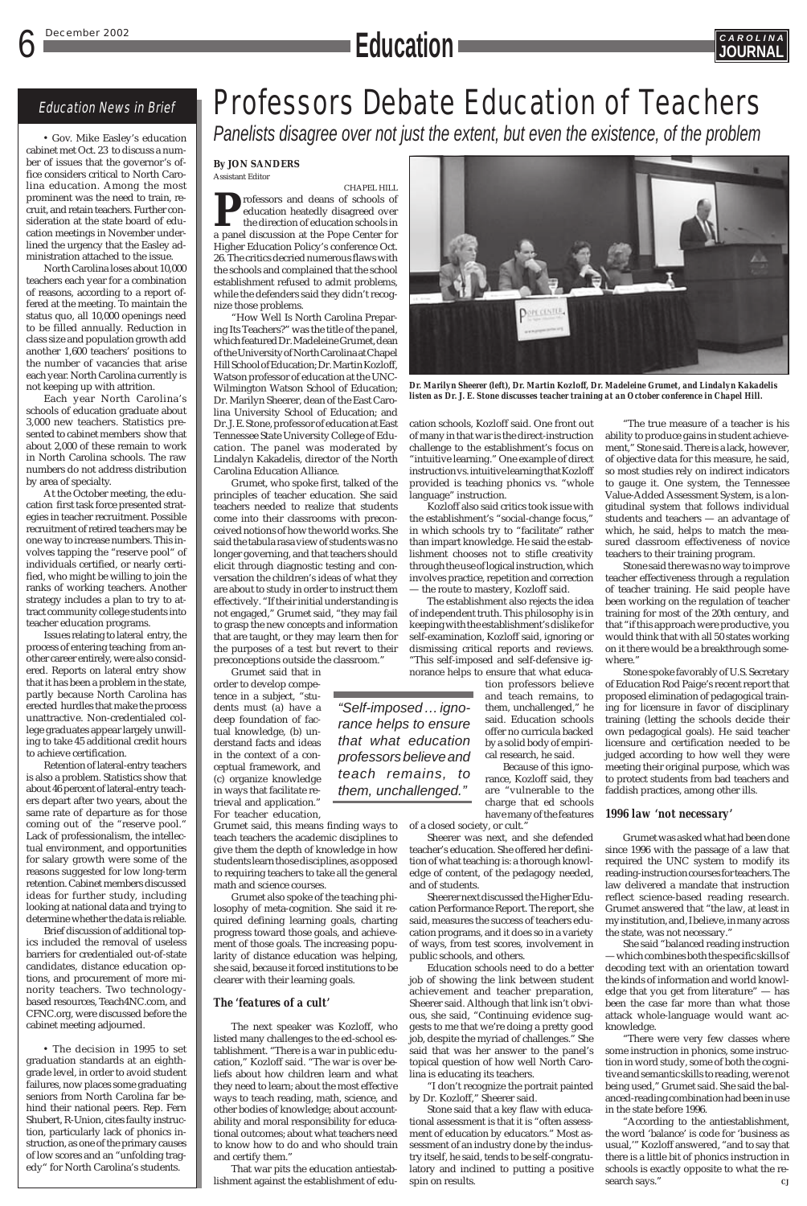## 6 December 2002 **C A R O L I N A Education JOURNAL**



*Panelists disagree over not just the extent, but even the existence, of the problem*

### **By JON SANDERS** Assistant Editor

CHAPEL HILL rofessors and deans of schools of education heatedly disagreed over the direction of education schools in a panel discussion at the Pope Center for Higher Education Policy's conference Oct. 26. The critics decried numerous flaws with the schools and complained that the school establishment refused to admit problems, while the defenders said they didn't recognize those problems.

"How Well Is North Carolina Preparing Its Teachers?" was the title of the panel, which featured Dr. Madeleine Grumet, dean of the University of North Carolina at Chapel Hill School of Education; Dr. Martin Kozloff, Watson professor of education at the UNC-Wilmington Watson School of Education; Dr. Marilyn Sheerer, dean of the East Carolina University School of Education; and Dr. J. E. Stone, professor of education at East Tennessee State University College of Education. The panel was moderated by Lindalyn Kakadelis, director of the North Carolina Education Alliance.

Grumet, who spoke first, talked of the principles of teacher education. She said teachers needed to realize that students come into their classrooms with preconceived notions of how the world works. She said the tabula rasa view of students was no longer governing, and that teachers should elicit through diagnostic testing and conversation the children's ideas of what they are about to study in order to instruct them effectively. "If their initial understanding is not engaged," Grumet said, "they may fail to grasp the new concepts and information that are taught, or they may learn then for the purposes of a test but revert to their preconceptions outside the classroom."

Grumet said that in order to develop competence in a subject, "students must (a) have a deep foundation of factual knowledge, (b) understand facts and ideas in the context of a conceptual framework, and (c) organize knowledge in ways that facilitate retrieval and application." For teacher education,

Grumet said, this means finding ways to teach teachers the academic disciplines to give them the depth of knowledge in how students learn those disciplines, as opposed to requiring teachers to take all the general math and science courses.

Grumet also spoke of the teaching philosophy of meta-cognition. She said it required defining learning goals, charting progress toward those goals, and achievement of those goals. The increasing popularity of distance education was helping, she said, because it forced institutions to be clearer with their learning goals.

### *The 'features of a cult'*

The next speaker was Kozloff, who listed many challenges to the ed-school establishment. "There is a war in public education," Kozloff said. "The war is over beliefs about how children learn and what they need to learn; about the most effective ways to teach reading, math, science, and other bodies of knowledge; about accountability and moral responsibility for educational outcomes; about what teachers need to know how to do and who should train and certify them."

That war pits the education antiestablishment against the establishment of edu-

of students.

cation schools, Kozloff said. One front out of many in that war is the direct-instruction challenge to the establishment's focus on "intuitive learning." One example of direct instruction vs. intuitive learning that Kozloff provided is teaching phonics vs. "whole language" instruction.

> Grumet was asked what had been done since 1996 with the passage of a law that required the UNC system to modify its reading-instruction courses for teachers. The law delivered a mandate that instruction reflect science-based reading research. Grumet answered that "the law, at least in my institution, and, I believe, in many across the state, was not necessary." She said "balanced reading instruction — which combines both the specific skills of decoding text with an orientation toward the kinds of information and world knowledge that you get from literature" — has been the case far more than what those attack whole-language would want acknowledge. "There were very few classes where some instruction in phonics, some instruction in word study, some of both the cognitive and semantic skills to reading, were not being used," Grumet said. She said the balanced-reading combination had been in use in the state before 1996. "According to the antiestablishment, the word 'balance' is code for 'business as usual,'" Kozloff answered, "and to say that there is a little bit of phonics instruction in schools is exactly opposite to what the research says."

Kozloff also said critics took issue with the establishment's "social-change focus," in which schools try to "facilitate" rather than impart knowledge. He said the establishment chooses not to stifle creativity through the use of logical instruction, which involves practice, repetition and correction — the route to mastery, Kozloff said.

The establishment also rejects the idea of independent truth. This philosophy is in keeping with the establishment's dislike for self-examination, Kozloff said, ignoring or dismissing critical reports and reviews. "This self-imposed and self-defensive ignorance helps to ensure that what educa-

tion professors believe and teach remains, to them, unchallenged," he said. Education schools offer no curricula backed by a solid body of empirical research, he said.

Because of this ignorance, Kozloff said, they are "vulnerable to the charge that ed schools have many of the features

of a closed society, or cult." Sheerer was next, and she defended teacher's education. She offered her definition of what teaching is: a thorough knowledge of content, of the pedagogy needed,

Sheerer next discussed the Higher Education Performance Report. The report, she said, measures the success of teachers education programs, and it does so in a variety of ways, from test scores, involvement in public schools, and others.

Education schools need to do a better job of showing the link between student achievement and teacher preparation, Sheerer said. Although that link isn't obvious, she said, "Continuing evidence suggests to me that we're doing a pretty good job, despite the myriad of challenges." She said that was her answer to the panel's topical question of how well North Carolina is educating its teachers.

"I don't recognize the portrait painted by Dr. Kozloff," Sheerer said.

Stone said that a key flaw with educational assessment is that it is "often assessment of education by educators." Most assessment of an industry done by the industry itself, he said, tends to be self-congratulatory and inclined to putting a positive spin on results.

"The true measure of a teacher is his ability to produce gains in student achievement," Stone said. There is a lack, however, of objective data for this measure, he said, so most studies rely on indirect indicators to gauge it. One system, the Tennessee Value-Added Assessment System, is a longitudinal system that follows individual students and teachers — an advantage of which, he said, helps to match the measured classroom effectiveness of novice teachers to their training program.

Stone said there was no way to improve teacher effectiveness through a regulation of teacher training. He said people have been working on the regulation of teacher training for most of the 20th century, and that "if this approach were productive, you would think that with all 50 states working on it there would be a breakthrough somewhere."

Stone spoke favorably of U.S. Secretary of Education Rod Paige's recent report that proposed elimination of pedagogical training for licensure in favor of disciplinary training (letting the schools decide their own pedagogical goals). He said teacher licensure and certification needed to be judged according to how well they were meeting their original purpose, which was to protect students from bad teachers and faddish practices, among other ills.

### *1996 law 'not necessary'*

• Gov. Mike Easley's education cabinet met Oct. 23 to discuss a number of issues that the governor's office considers critical to North Carolina education. Among the most prominent was the need to train, recruit, and retain teachers. Further consideration at the state board of education meetings in November underlined the urgency that the Easley administration attached to the issue.

North Carolina loses about 10,000 teachers each year for a combination of reasons, according to a report offered at the meeting. To maintain the status quo, all 10,000 openings need to be filled annually. Reduction in class size and population growth add another 1,600 teachers' positions to the number of vacancies that arise each year. North Carolina currently is not keeping up with attrition.

Each year North Carolina's schools of education graduate about 3,000 new teachers. Statistics presented to cabinet members show that about 2,000 of these remain to work in North Carolina schools. The raw numbers do not address distribution by area of specialty.

At the October meeting, the education first task force presented strategies in teacher recruitment. Possible recruitment of retired teachers may be one way to increase numbers. This involves tapping the "reserve pool" of individuals certified, or nearly certified, who might be willing to join the ranks of working teachers. Another strategy includes a plan to try to attract community college students into teacher education programs.

Issues relating to lateral entry, the process of entering teaching from another career entirely, were also considered. Reports on lateral entry show that it has been a problem in the state, partly because North Carolina has erected hurdles that make the process unattractive. Non-credentialed college graduates appear largely unwilling to take 45 additional credit hours to achieve certification.

Retention of lateral-entry teachers is also a problem. Statistics show that about 46 percent of lateral-entry teachers depart after two years, about the same rate of departure as for those coming out of the "reserve pool." Lack of professionalism, the intellectual environment, and opportunities for salary growth were some of the reasons suggested for low long-term retention. Cabinet members discussed ideas for further study, including looking at national data and trying to determine whether the data is reliable. Brief discussion of additional topics included the removal of useless barriers for credentialed out-of-state candidates, distance education options, and procurement of more minority teachers. Two technologybased resources, Teach4NC.com, and CFNC.org, were discussed before the cabinet meeting adjourned.

## Education News in Brief Professors Debate Education of Teachers

• The decision in 1995 to set graduation standards at an eighthgrade level, in order to avoid student failures, now places some graduating seniors from North Carolina far behind their national peers. Rep. Fern Shubert, R-Union, cites faulty instruction, particularly lack of phonics instruction, as one of the primary causes of low scores and an "unfolding tragedy" for North Carolina's students.

*"Self-imposed … ignorance helps to ensure that what education professors believe and teach remains, to them, unchallenged."*



*Dr. Marilyn Sheerer (left), Dr. Martin Kozloff, Dr. Madeleine Grumet, and Lindalyn Kakadelis listen as Dr. J. E. Stone discusses teacher training at an October conference in Chapel Hill.*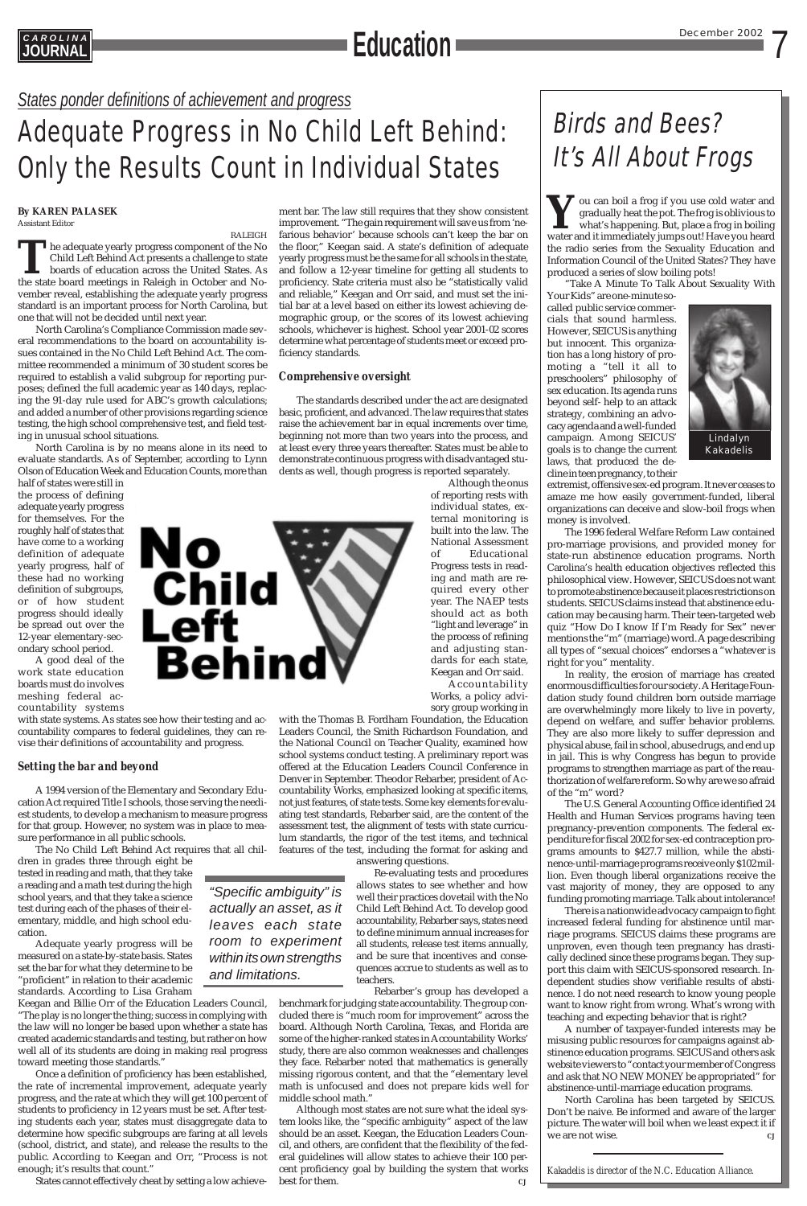7

*States ponder definitions of achievement and progress*

## CAROLINA December 2002 **JOURNAL Education**

## Adequate Progress in No Child Left Behind: Only the Results Count in Individual States

## Birds and Bees? It's All About Frogs

*"Specific ambiguity" is actually an asset, as it leaves each state room to experiment within its own strengths and limitations.*



**Y**ou can boil a frog if you use cold water and gradually heat the pot. The frog is oblivious to what's happening. But, place a frog in boiling water and it immediately jumps out! Have you heard the radio series from the Sexuality Education and Information Council of the United States? They have produced a series of slow boiling pots!

"Take A Minute To Talk About Sexuality With

Your Kids" are one-minute socalled public service commercials that sound harmless. However, SEICUS is anything but innocent. This organization has a long history of promoting a "tell it all to preschoolers" philosophy of sex education. Its agenda runs beyond self- help to an attack strategy, combining an advocacy agenda and a well-funded campaign. Among SEICUS' goals is to change the current laws, that produced the decline in teen pregnancy, to their

The U.S. General Accounting Office identified 24 Health and Human Services programs having teen pregnancy-prevention components. The federal expenditure for fiscal 2002 for sex-ed contraception programs amounts to \$427.7 million, while the abstinence-until-marriage programs receive only \$102 million. Even though liberal organizations receive the vast majority of money, they are opposed to any funding promoting marriage. Talk about intolerance! There is a nationwide advocacy campaign to fight increased federal funding for abstinence until marriage programs. SEICUS claims these programs are unproven, even though teen pregnancy has drastically declined since these programs began. They support this claim with SEICUS-sponsored research. Independent studies show verifiable results of abstinence. I do not need research to know young people want to know right from wrong. What's wrong with teaching and expecting behavior that is right? A number of taxpayer-funded interests may be misusing public resources for campaigns against abstinence education programs. SEICUS and others ask website viewers to "contact your member of Congress and ask that NO NEW MONEY be appropriated" for abstinence-until-marriage education programs. North Carolina has been targeted by SEICUS. Don't be naive. Be informed and aware of the larger picture. The water will boil when we least expect it if we are not wise.  $\qquad \qquad \qquad CJ$ 



extremist, offensive sex-ed program. It never ceases to amaze me how easily government-funded, liberal organizations can deceive and slow-boil frogs when money is involved.

The 1996 federal Welfare Reform Law contained pro-marriage provisions, and provided money for state-run abstinence education programs. North Carolina's health education objectives reflected this philosophical view. However, SEICUS does not want to promote abstinence because it places restrictions on students. SEICUS claims instead that abstinence education may be causing harm. Their teen-targeted web quiz "How Do I know If I'm Ready for Sex" never mentions the "m" (marriage) word. A page describing all types of "sexual choices" endorses a "whatever is right for you" mentality.

In reality, the erosion of marriage has created enormous difficulties for our society. A Heritage Foundation study found children born outside marriage are overwhelmingly more likely to live in poverty, depend on welfare, and suffer behavior problems. They are also more likely to suffer depression and physical abuse, fail in school, abuse drugs, and end up in jail. This is why Congress has begun to provide programs to strengthen marriage as part of the reauthorization of welfare reform. So why are we so afraid of the "m" word?

*Kakadelis is director of the N.C. Education Alliance.*

## **By KAREN PALASEK**

Assistant Editor

RALEIGH **T**he adequate yearly progress component of the No Child Left Behind Act presents a challenge to state boards of education across the United States. As the state board meetings in Raleigh in October and November reveal, establishing the adequate yearly progress standard is an important process for North Carolina, but one that will not be decided until next year.

North Carolina's Compliance Commission made several recommendations to the board on accountability issues contained in the No Child Left Behind Act. The committee recommended a minimum of 30 student scores be required to establish a valid subgroup for reporting purposes; defined the full academic year as 140 days, replacing the 91-day rule used for ABC's growth calculations; and added a number of other provisions regarding science testing, the high school comprehensive test, and field testing in unusual school situations.

North Carolina is by no means alone in its need to evaluate standards. As of September, according to Lynn Olson of Education Week and Education Counts, more than

> Although most states are not sure what the ideal system looks like, the "specific ambiguity" aspect of the law should be an asset. Keegan, the Education Leaders Council, and others, are confident that the flexibility of the federal guidelines will allow states to achieve their 100 percent proficiency goal by building the system that works best for them.

half of states were still in the process of defining adequate yearly progress for themselves. For the roughly half of states that have come to a working definition of adequate yearly progress, half of these had no working definition of subgroups, or of how student progress should ideally be spread out over the 12-year elementary-secondary school period.

A good deal of the work state education boards must do involves meshing federal accountability systems

with state systems. As states see how their testing and accountability compares to federal guidelines, they can revise their definitions of accountability and progress.

## *Setting the bar and beyond*

A 1994 version of the Elementary and Secondary Education Act required Title I schools, those serving the neediest students, to develop a mechanism to measure progress for that group. However, no system was in place to measure performance in all public schools.

The No Child Left Behind Act requires that all children in grades three through eight be tested in reading and math, that they take a reading and a math test during the high school years, and that they take a science test during each of the phases of their elementary, middle, and high school education.

Adequate yearly progress will be measured on a state-by-state basis. States set the bar for what they determine to be "proficient" in relation to their academic standards. According to Lisa Graham

Keegan and Billie Orr of the Education Leaders Council, "The play is no longer the thing; success in complying with the law will no longer be based upon whether a state has created academic standards and testing, but rather on how well all of its students are doing in making real progress toward meeting those standards."

Once a definition of proficiency has been established, the rate of incremental improvement, adequate yearly progress, and the rate at which they will get 100 percent of students to proficiency in 12 years must be set. After testing students each year, states must disaggregate data to determine how specific subgroups are faring at all levels (school, district, and state), and release the results to the public. According to Keegan and Orr, "Process is not enough; it's results that count."

States cannot effectively cheat by setting a low achieve-

ment bar. The law still requires that they show consistent improvement. "The gain requirement will save us from 'nefarious behavior' because schools can't keep the bar on the floor," Keegan said. A state's definition of adequate yearly progress must be the same for all schools in the state, and follow a 12-year timeline for getting all students to proficiency. State criteria must also be "statistically valid and reliable," Keegan and Orr said, and must set the initial bar at a level based on either its lowest achieving demographic group, or the scores of its lowest achieving schools, whichever is highest. School year 2001-02 scores determine what percentage of students meet or exceed proficiency standards.

## *Comprehensive oversight*

The standards described under the act are designated basic, proficient, and advanced. The law requires that states raise the achievement bar in equal increments over time, beginning not more than two years into the process, and at least every three years thereafter. States must be able to demonstrate continuous progress with disadvantaged students as well, though progress is reported separately.

> Although the onus of reporting rests with individual states, external monitoring is built into the law. The National Assessment of Educational Progress tests in reading and math are required every other year. The NAEP tests should act as both "light and leverage" in the process of refining and adjusting standards for each state, Keegan and Orr said. Accountability

Works, a policy advisory group working in

with the Thomas B. Fordham Foundation, the Education Leaders Council, the Smith Richardson Foundation, and the National Council on Teacher Quality, examined how school systems conduct testing. A preliminary report was offered at the Education Leaders Council Conference in Denver in September. Theodor Rebarber, president of Accountability Works, emphasized looking at specific items, not just features, of state tests. Some key elements for evaluating test standards, Rebarber said, are the content of the assessment test, the alignment of tests with state curriculum standards, the rigor of the test items, and technical features of the test, including the format for asking and answering questions.

Re-evaluating tests and procedures allows states to see whether and how well their practices dovetail with the No Child Left Behind Act*.* To develop good accountability, Rebarber says, states need to define minimum annual increases for all students, release test items annually, and be sure that incentives and consequences accrue to students as well as to teachers.

Rebarber's group has developed a

benchmark for judging state accountability. The group concluded there is "much room for improvement" across the board. Although North Carolina, Texas, and Florida are some of the higher-ranked states in Accountability Works' study, there are also common weaknesses and challenges they face. Rebarber noted that mathematics is generally missing rigorous content, and that the "elementary level math is unfocused and does not prepare kids well for middle school math."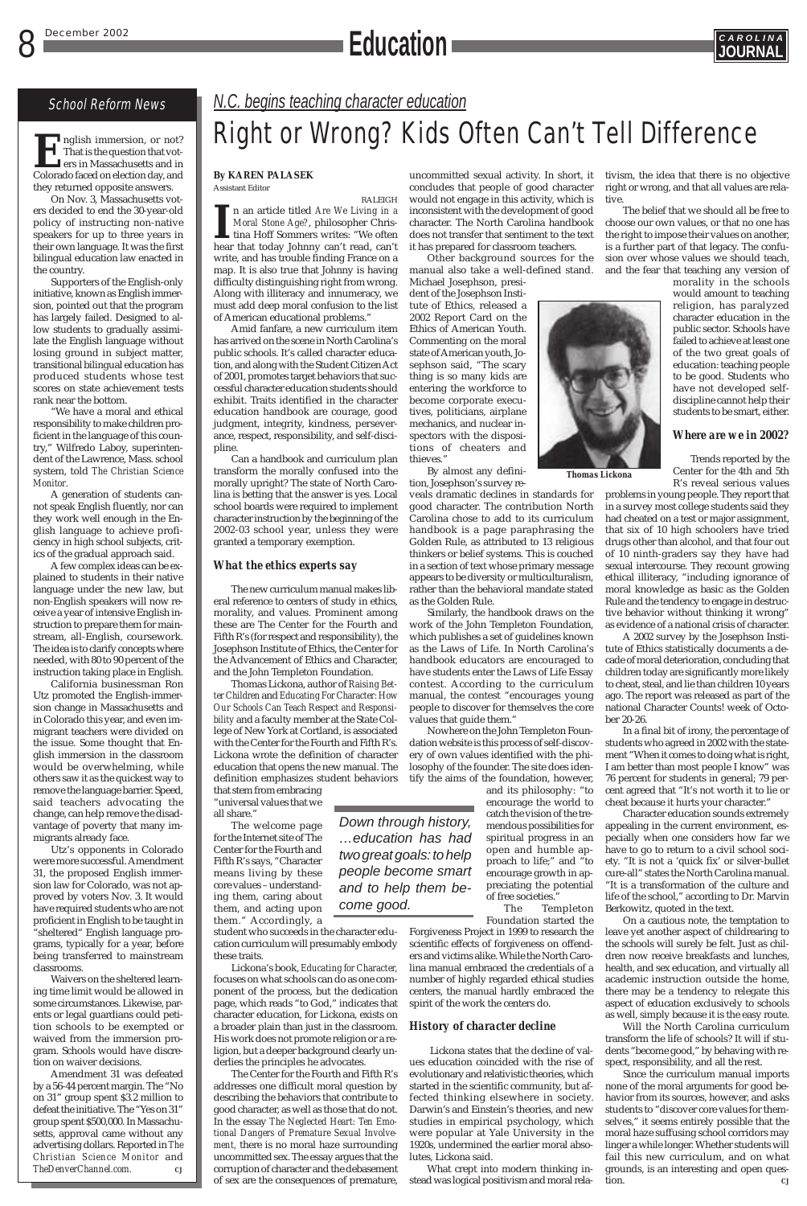

## School Reform News *N.C. begins teaching character education* Right or Wrong? Kids Often Can't Tell Difference

### **By KAREN PALASEK** Assistant Editor

RALEIGH Illet itled *Are We Living in a Moral Stone Age?*, philosopher Christina Hoff Sommers writes: "We often hear that today Johnny can't read, can't n an article titled *Are We Living in a Moral Stone Age?*, philosopher Christina Hoff Sommers writes: "We often write, and has trouble finding France on a map. It is also true that Johnny is having difficulty distinguishing right from wrong. Along with illiteracy and innumeracy, we must add deep moral confusion to the list of American educational problems."

Amid fanfare, a new curriculum item has arrived on the scene in North Carolina's public schools. It's called character education, and along with the Student Citizen Act of 2001, promotes target behaviors that successful character education students should exhibit. Traits identified in the character education handbook are courage, good judgment, integrity, kindness, perseverance, respect, responsibility, and self-discipline.

Can a handbook and curriculum plan transform the morally confused into the morally upright? The state of North Carolina is betting that the answer is yes. Local school boards were required to implement character instruction by the beginning of the 2002-03 school year, unless they were granted a temporary exemption.

## *What the ethics experts say*

The new curriculum manual makes liberal reference to centers of study in ethics, morality, and values. Prominent among these are The Center for the Fourth and Fifth R's (for respect and responsibility), the Josephson Institute of Ethics, the Center for the Advancement of Ethics and Character, and the John Templeton Foundation.

**E**nglish immersion, or not?<br>That is the question that vot-<br>ers in Massachusetts and in<br>Colorado faced on election day, and That is the question that voters in Massachusetts and in Colorado faced on election day, and they returned opposite answers.

> Thomas Lickona, author of *Raising Better Children* and *Educating For Character: How Our Schools Can Teach Respect and Responsibility* and a faculty member at the State College of New York at Cortland, is associated with the Center for the Fourth and Fifth R's. Lickona wrote the definition of character education that opens the new manual. The definition emphasizes student behaviors that stem from embracing

"universal values that we all share."

The welcome page for the Internet site of The Center for the Fourth and Fifth R's says, "Character means living by these core values – understanding them, caring about them, and acting upon them." Accordingly, a

student who succeeds in the character education curriculum will presumably embody these traits.

Lickona's book, *Educating for Character,* focuses on what schools can do as one component of the process, but the dedication page, which reads "to God," indicates that character education, for Lickona, exists on a broader plain than just in the classroom. His work does not promote religion or a religion, but a deeper background clearly underlies the principles he advocates.

The Center for the Fourth and Fifth R's addresses one difficult moral question by describing the behaviors that contribute to good character, as well as those that do not. In the essay *The Neglected Heart: Ten Emotional Dangers of Premature Sexual Involvement,* there is no moral haze surrounding uncommitted sex. The essay argues that the corruption of character and the debasement of sex are the consequences of premature,

*Down through history, …education has had two great goals: to help people become smart*

*and to help them become good.*

On Nov. 3, Massachusetts voters decided to end the 30-year-old policy of instructing non-native speakers for up to three years in their own language. It was the first bilingual education law enacted in the country.

Supporters of the English-only initiative, known as English immersion, pointed out that the program has largely failed. Designed to allow students to gradually assimilate the English language without losing ground in subject matter, transitional bilingual education has produced students whose test scores on state achievement tests rank near the bottom.

"We have a moral and ethical responsibility to make children proficient in the language of this country," Wilfredo Laboy, superintendent of the Lawrence, Mass. school system, told *The Christian Science Monitor*.

A generation of students cannot speak English fluently, nor can they work well enough in the English language to achieve proficiency in high school subjects, critics of the gradual approach said.

A few complex ideas can be explained to students in their native language under the new law, but non-English speakers will now receive a year of intensive English instruction to prepare them for mainstream, all-English, coursework. The idea is to clarify concepts where needed, with 80 to 90 percent of the instruction taking place in English.

California businessman Ron Utz promoted the English-immersion change in Massachusetts and in Colorado this year, and even immigrant teachers were divided on the issue. Some thought that English immersion in the classroom would be overwhelming, while others saw it as the quickest way to remove the language barrier. Speed, said teachers advocating the change, can help remove the disadvantage of poverty that many immigrants already face.

Utz's opponents in Colorado were more successful. Amendment 31, the proposed English immersion law for Colorado, was not approved by voters Nov. 3. It would have required students who are not proficient in English to be taught in "sheltered" English language programs, typically for a year, before being transferred to mainstream classrooms. Waivers on the sheltered learning time limit would be allowed in some circumstances. Likewise, parents or legal guardians could petition schools to be exempted or waived from the immersion program. Schools would have discretion on waiver decisions. Amendment 31 was defeated by a 56-44 percent margin. The "No on 31" group spent \$3.2 million to defeat the initiative. The "Yes on 31" group spent \$500,000. In Massachusetts, approval came without any advertising dollars. Reported in *The Christian Science Monitor* and *TheDenverChannel.com. CJ*

## 8 December 2002 **CAROLINA Education**

uncommitted sexual activity. In short, it concludes that people of good character would not engage in this activity, which is inconsistent with the development of good character. The North Carolina handbook does not transfer that sentiment to the text it has prepared for classroom teachers.

Other background sources for the manual also take a well-defined stand. Michael Josephson, presi-

dent of the Josephson Institute of Ethics, released a 2002 Report Card on the Ethics of American Youth. Commenting on the moral state of American youth, Josephson said, "The scary thing is so many kids are entering the workforce to become corporate executives, politicians, airplane mechanics, and nuclear inspectors with the dispositions of cheaters and thieves."

By almost any definition, Josephson's survey re-

veals dramatic declines in standards for good character. The contribution North Carolina chose to add to its curriculum handbook is a page paraphrasing the Golden Rule, as attributed to 13 religious thinkers or belief systems. This is couched in a section of text whose primary message appears to be diversity or multiculturalism, rather than the behavioral mandate stated as the Golden Rule.

Similarly, the handbook draws on the work of the John Templeton Foundation, which publishes a set of guidelines known as the Laws of Life. In North Carolina's handbook educators are encouraged to have students enter the Laws of Life Essay contest. According to the curriculum manual, the contest "encourages young people to discover for themselves the core values that guide them."

Nowhere on the John Templeton Foundation website is this process of self-discovery of own values identified with the philosophy of the founder. The site does identify the aims of the foundation, however,

> and its philosophy: "to encourage the world to catch the vision of the tremendous possibilities for spiritual progress in an open and humble approach to life;" and "to encourage growth in appreciating the potential of free societies."

The Templeton Foundation started the

Forgiveness Project in 1999 to research the scientific effects of forgiveness on offenders and victims alike. While the North Carolina manual embraced the credentials of a number of highly regarded ethical studies centers, the manual hardly embraced the spirit of the work the centers do.

### *History of character decline*

Lickona states that the decline of values education coincided with the rise of evolutionary and relativistic theories, which started in the scientific community, but affected thinking elsewhere in society. Darwin's and Einstein's theories, and new studies in empirical psychology, which were popular at Yale University in the 1920s, undermined the earlier moral absolutes, Lickona said.

What crept into modern thinking instead was logical positivism and moral relativism, the idea that there is no objective right or wrong, and that all values are relative.

The belief that we should all be free to choose our own values, or that no one has the right to impose their values on another, is a further part of that legacy. The confusion over whose values we should teach, and the fear that teaching any version of

morality in the schools would amount to teaching religion, has paralyzed character education in the public sector. Schools have failed to achieve at least one of the two great goals of education: teaching people to be good. Students who have not developed selfdiscipline cannot help their students to be smart, either.

### *Where are we in 2002?*

Trends reported by the Center for the 4th and 5th R's reveal serious values

problems in young people. They report that in a survey most college students said they had cheated on a test or major assignment, that six of 10 high schoolers have tried drugs other than alcohol, and that four out of 10 ninth-graders say they have had sexual intercourse. They recount growing ethical illiteracy, "including ignorance of moral knowledge as basic as the Golden Rule and the tendency to engage in destructive behavior without thinking it wrong" as evidence of a national crisis of character.

A 2002 survey by the Josephson Institute of Ethics statistically documents a decade of moral deterioration, concluding that children today are significantly more likely to cheat, steal, and lie than children 10 years ago. The report was released as part of the national Character Counts! week of October 20-26.

In a final bit of irony, the percentage of students who agreed in 2002 with the statement "When it comes to doing what is right, I am better than most people I know" was 76 percent for students in general; 79 percent agreed that "It's not worth it to lie or cheat because it hurts your character."

Character education sounds extremely appealing in the current environment, especially when one considers how far we have to go to return to a civil school society. "It is not a 'quick fix' or silver-bullet cure-all" states the North Carolina manual. "It is a transformation of the culture and life of the school," according to Dr. Marvin Berkowitz, quoted in the text. On a cautious note, the temptation to leave yet another aspect of childrearing to the schools will surely be felt. Just as children now receive breakfasts and lunches, health, and sex education, and virtually all academic instruction outside the home, there may be a tendency to relegate this aspect of education exclusively to schools as well, simply because it is the easy route. Will the North Carolina curriculum transform the life of schools? It will if students "become good," by behaving with respect, responsibility, and all the rest. Since the curriculum manual imports none of the moral arguments for good behavior from its sources, however, and asks students to "discover core values for themselves," it seems entirely possible that the moral haze suffusing school corridors may linger a while longer. Whether students will fail this new curriculum, and on what grounds, is an interesting and open question. *CJ*

*Thomas Lickona*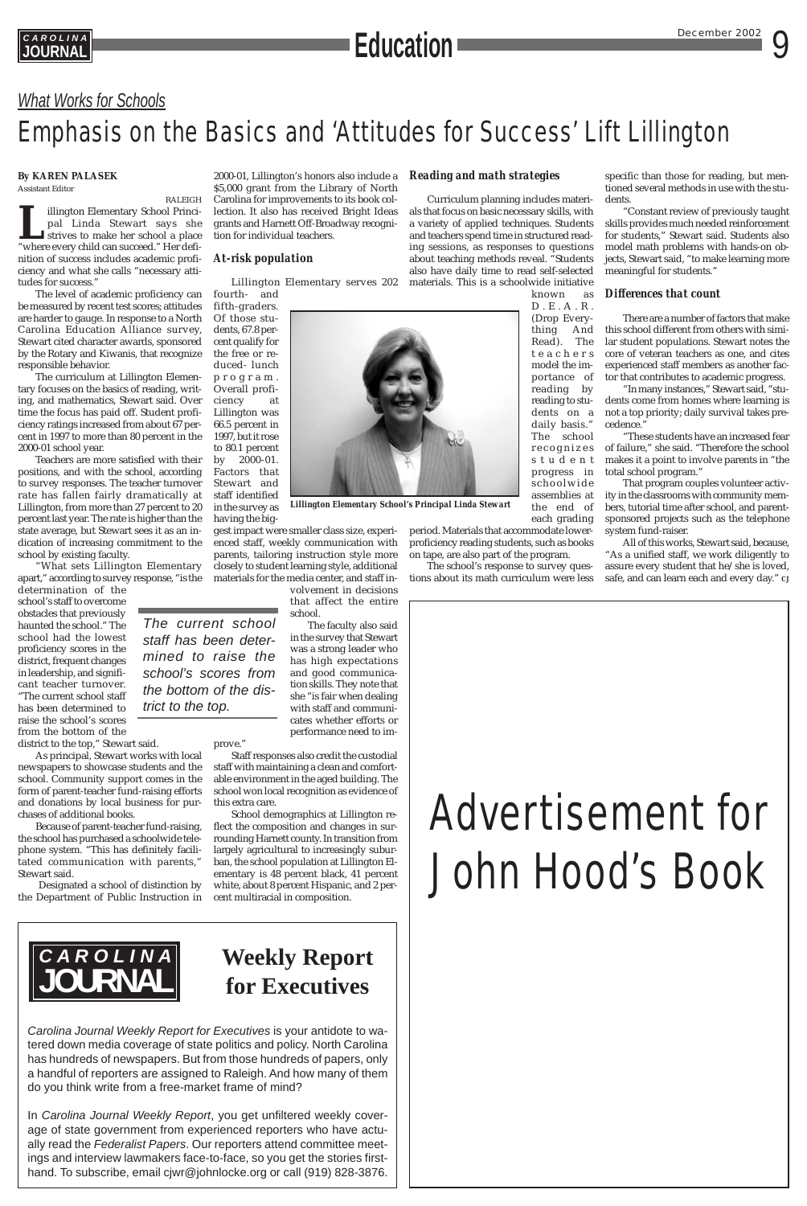



*The current school staff has been determined to raise the school's scores from the bottom of the dis-*

*trict to the top.*

## *What Works for Schools*

## Emphasis on the Basics and 'Attitudes for Success' Lift Lillington



*Carolina Journal Weekly Report for Executives* is your antidote to watered down media coverage of state politics and policy. North Carolina has hundreds of newspapers. But from those hundreds of papers, only a handful of reporters are assigned to Raleigh. And how many of them do you think write from a free-market frame of mind?

In *Carolina Journal Weekly Report*, you get unfiltered weekly coverage of state government from experienced reporters who have actually read the *Federalist Papers*. Our reporters attend committee meetings and interview lawmakers face-to-face, so you get the stories firsthand. To subscribe, email cjwr@johnlocke.org or call (919) 828-3876.

## **Weekly Report for Executives**

### **By KAREN PALASEK**

Assistant Editor

RALEIGH **L**illington Elementary School Principal Linda Stewart says she strives to make her school a place "where every child can succeed." Her definition of success includes academic proficiency and what she calls "necessary attitudes for success."

The level of academic proficiency can be measured by recent test scores; attitudes are harder to gauge. In response to a North Carolina Education Alliance survey, Stewart cited character awards, sponsored by the Rotary and Kiwanis, that recognize responsible behavior.

The curriculum at Lillington Elementary focuses on the basics of reading, writing, and mathematics, Stewart said. Over time the focus has paid off. Student proficiency ratings increased from about 67 percent in 1997 to more than 80 percent in the 2000-01 school year.

Teachers are more satisfied with their positions, and with the school, according to survey responses. The teacher turnover rate has fallen fairly dramatically at Lillington, from more than 27 percent to 20 percent last year. The rate is higher than the state average, but Stewart sees it as an indication of increasing commitment to the school by existing faculty.

"What sets Lillington Elementary apart," according to survey response, "is the

determination of the school's staff to overcome obstacles that previously haunted the school." The school had the lowest proficiency scores in the district, frequent changes in leadership, and significant teacher turnover. "The current school staff has been determined to raise the school's scores from the bottom of the district to the top," Stewart said.

As principal, Stewart works with local newspapers to showcase students and the school. Community support comes in the form of parent-teacher fund-raising efforts and donations by local business for purchases of additional books.

Because of parent-teacher fund-raising, the school has purchased a schoolwide telephone system. "This has definitely facilitated communication with parents," Stewart said.

2000-01, Lillington's honors also include a \$5,000 grant from the Library of North Carolina for improvements to its book collection. It also has received Bright Ideas grants and Harnett Off-Broadway recognition for individual teachers.

### *At-risk population*

Lillington Elementary serves 202

fourth- and fifth-graders. Of those students, 67.8 percent qualify for the free or reduced- lunch program. Overall proficiency at Lillington was 66.5 percent in 1997, but it rose to 80.1 percent by 2000-01. Factors that Stewart and staff identified in the survey as having the big-

gest impact were smaller class size, experienced staff, weekly communication with parents, tailoring instruction style more closely to student learning style, additional materials for the media center, and staff in-

Designated a school of distinction by white, about 8 percent Hispanic, and 2 per-School demographics at Lillington reflect the composition and changes in surrounding Harnett county. In transition from largely agricultural to increasingly suburban, the school population at Lillington Elementary is 48 percent black, 41 percent

the Department of Public Instruction in cent multiracial in composition.

volvement in decisions that affect the entire school.

The faculty also said in the survey that Stewart was a strong leader who has high expectations and good communication skills. They note that she "is fair when dealing with staff and communicates whether efforts or performance need to im-

prove."

Staff responses also credit the custodial staff with maintaining a clean and comfortable environment in the aged building. The school won local recognition as evidence of this extra care.

### *Reading and math strategies*

Curriculum planning includes materials that focus on basic necessary skills, with a variety of applied techniques. Students and teachers spend time in structured reading sessions, as responses to questions about teaching methods reveal. "Students also have daily time to read self-selected materials. This is a schoolwide initiative

known as D.E.A.R. (Drop Everything And Read). The teachers model the importance of reading by reading to students on a daily basis." The school r ecognizes student progress in schoolwide assemblies at the end of each grading

period. Materials that accommodate lowerproficiency reading students, such as books on tape, are also part of the program.

The school's response to survey questions about its math curriculum were less

specific than those for reading, but mentioned several methods in use with the students.

"Constant review of previously taught skills provides much needed reinforcement for students," Stewart said. Students also model math problems with hands-on objects, Stewart said, "to make learning more meaningful for students."

### *Differences that count*

There are a number of factors that make this school different from others with similar student populations. Stewart notes the core of veteran teachers as one, and cites experienced staff members as another factor that contributes to academic progress.

"In many instances," Stewart said, "students come from homes where learning is not a top priority; daily survival takes precedence."

"These students have an increased fear of failure," she said. "Therefore the school makes it a point to involve parents in "the total school program."

That program couples volunteer activity in the classrooms with community members, tutorial time after school, and parentsponsored projects such as the telephone system fund-raiser.

All of this works, Stewart said, because, "As a unified staff, we work diligently to assure every student that he/she is loved, safe, and can learn each and every day." *CJ*

*Lillington Elementary School's Principal Linda Stewart*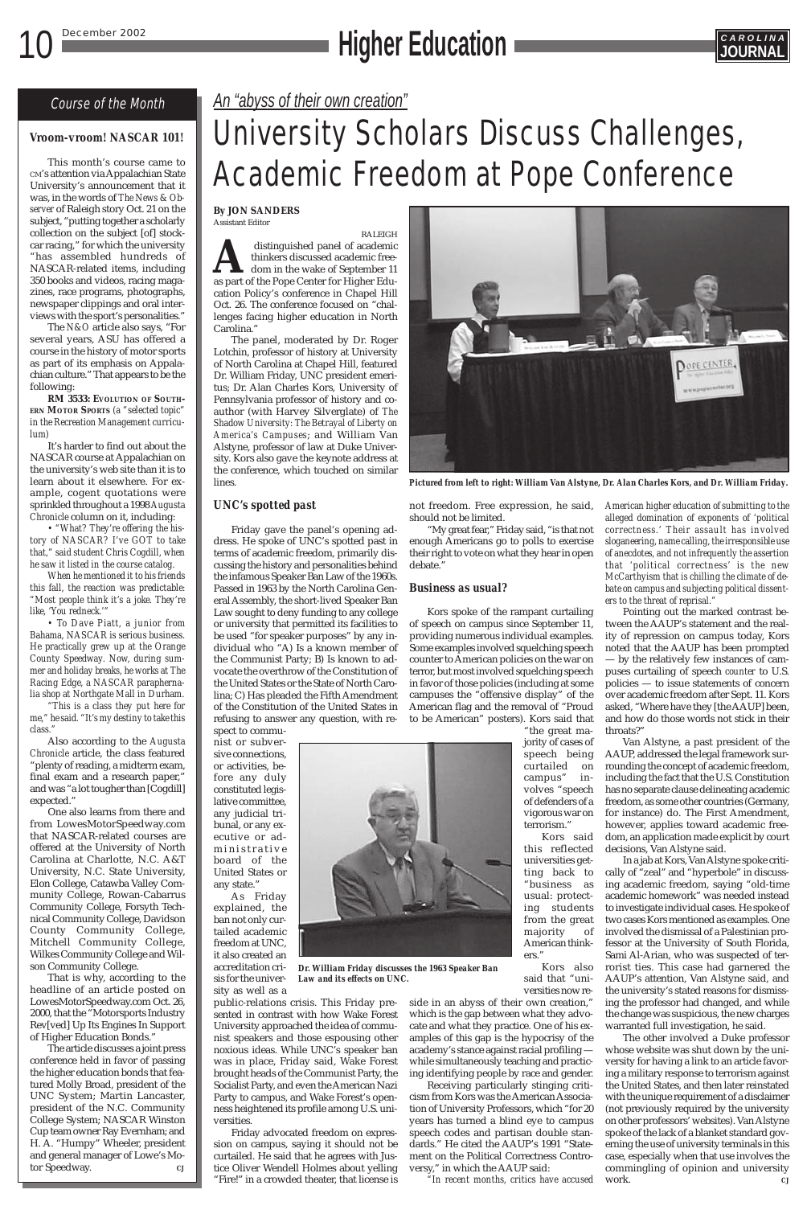## 10 December 2002 **Higher Education**



## Course of the Month

## *Vroom-vroom! NASCAR 101!*

This month's course came to CM's attention via Appalachian State University's announcement that it was, in the words of *The News & Observer* of Raleigh story Oct. 21 on the subject, "putting together a scholarly collection on the subject [of] stockcar racing," for which the university "has assembled hundreds of NASCAR-related items, including 350 books and videos, racing magazines, race programs, photographs, newspaper clippings and oral interviews with the sport's personalities."

The *N&O* article also says, "For several years, ASU has offered a course in the history of motor sports as part of its emphasis on Appalachian culture." That appears to be the following:

**RM 3533: EVOLUTION OF SOUTH-ERN MOTOR SPORTS** *(a "selected topic" in the Recreation Management curriculum)*

It's harder to find out about the NASCAR course at Appalachian on the university's web site than it is to learn about it elsewhere. For example, cogent quotations were sprinkled throughout a 1998 *Augusta Chronicle* column on it, including:

*• "What? They're offering the history of NASCAR? I've GOT to take that," said student Chris Cogdill, when he saw it listed in the course catalog.*

*When he mentioned it to his friends this fall, the reaction was predictable: "Most people think it's a joke. They're like, 'You redneck.'"*

*• To Dave Piatt, a junior from Bahama, NASCAR is serious business. He practically grew up at the Orange County Speedway. Now, during summer and holiday breaks, he works at The Racing Edge, a NASCAR paraphernalia shop at Northgate Mall in Durham.*

*"This is a class they put here for me," he said. "It's my destiny to take this class."*

Also according to the *Augusta Chronicle* article, the class featured "plenty of reading, a midterm exam, final exam and a research paper," and was "a lot tougher than [Cogdill] expected."

One also learns from there and from LowesMotorSpeedway.com that NASCAR-related courses are offered at the University of North Carolina at Charlotte, N.C. A&T University, N.C. State University, Elon College, Catawba Valley Community College, Rowan-Cabarrus Community College, Forsyth Technical Community College, Davidson County Community College, Mitchell Community College, Wilkes Community College and Wilson Community College. That is why, according to the headline of an article posted on LowesMotorSpeedway.com Oct. 26, 2000, that the "Motorsports Industry Rev[ved] Up Its Engines In Support of Higher Education Bonds." The article discusses a joint press conference held in favor of passing the higher education bonds that featured Molly Broad, president of the UNC System; Martin Lancaster, president of the N.C. Community College System; NASCAR Winston Cup team owner Ray Evernham; and H. A. "Humpy" Wheeler, president and general manager of Lowe's Motor Speedway. *CJ*

"My great fear," Friday said, "is that not enough Americans go to polls to exercise their right to vote on what they hear in open debate.'

## *An "abyss of their own creation"*

## University Scholars Discuss Challenges, Academic Freedom at Pope Conference

### **By JON SANDERS** Assistant Editor

RALEIGH distinguished panel of academic<br>thinkers discussed academic free-<br>dom in the wake of September 11<br>as part of the Pope Center for Higher Eduthinkers discussed academic freedom in the wake of September 11 as part of the Pope Center for Higher Education Policy's conference in Chapel Hill Oct. 26. The conference focused on "challenges facing higher education in North Carolina."

The panel, moderated by Dr. Roger Lotchin, professor of history at University of North Carolina at Chapel Hill, featured Dr. William Friday, UNC president emeritus; Dr. Alan Charles Kors, University of Pennsylvania professor of history and coauthor (with Harvey Silverglate) of *The Shadow University: The Betrayal of Liberty on America's Campuses*; and William Van Alstyne, professor of law at Duke University. Kors also gave the keynote address at the conference, which touched on similar lines.

## *UNC's spotted past*

Friday gave the panel's opening address. He spoke of UNC's spotted past in terms of academic freedom, primarily discussing the history and personalities behind the infamous Speaker Ban Law of the 1960s. Passed in 1963 by the North Carolina General Assembly, the short-lived Speaker Ban Law sought to deny funding to any college or university that permitted its facilities to be used "for speaker purposes" by any individual who "A) Is a known member of the Communist Party; B) Is known to advocate the overthrow of the Constitution of the United States or the State of North Carolina; C) Has pleaded the Fifth Amendment of the Constitution of the United States in refusing to answer any question, with respect to commu-

nist or subversive connections, or activities, before any duly constituted legislative committee, any judicial tribunal, or any executive or administrative board of the United States or any state."

As Friday explained, the ban not only curtailed academic freedom at UNC, it also created an accreditation cri-

sis for the university as well as a

public-relations crisis. This Friday presented in contrast with how Wake Forest University approached the idea of communist speakers and those espousing other noxious ideas. While UNC's speaker ban was in place, Friday said, Wake Forest brought heads of the Communist Party, the Socialist Party, and even the American Nazi Party to campus, and Wake Forest's openness heightened its profile among U.S. universities.

Friday advocated freedom on expression on campus, saying it should not be curtailed. He said that he agrees with Justice Oliver Wendell Holmes about yelling "Fire!" in a crowded theater, that license is not freedom. Free expression, he said, should not be limited.

## *Business as usual?*

Kors spoke of the rampant curtailing of speech on campus since September 11, providing numerous individual examples. Some examples involved squelching speech counter to American policies on the war on terror, but most involved squelching speech in favor of those policies (including at some campuses the "offensive display" of the American flag and the removal of "Proud to be American" posters). Kors said that

> "the great majority of cases of speech being curtailed on campus" involves "speech of defenders of a vigorous war on terrorism."

Kors said this reflected universities getting back to "business as

usual: protecting students from the great majority of American thinkers."

Kors also said that "universities now re-

side in an abyss of their own creation," which is the gap between what they advocate and what they practice. One of his examples of this gap is the hypocrisy of the academy's stance against racial profiling while simultaneously teaching and practicing identifying people by race and gender.

Receiving particularly stinging criticism from Kors was the American Association of University Professors, which "for 20 years has turned a blind eye to campus speech codes and partisan double standards." He cited the AAUP's 1991 "Statement on the Political Correctness Contro-

versy," in which the AAUP said:

*"In recent months, critics have accused*



*Pictured from left to right: William Van Alstyne, Dr. Alan Charles Kors, and Dr. William Friday.*

*Dr. William Friday discusses the 1963 Speaker Ban Law and its effects on UNC.*

*American higher education of submitting to the alleged domination of exponents of 'political correctness.' Their assault has involved sloganeering, name calling, the irresponsible use of anecdotes, and not infrequently the assertion that 'political correctness' is the new McCarthyism that is chilling the climate of debate on campus and subjecting political dissenters to the threat of reprisal."*

Pointing out the marked contrast between the AAUP's statement and the reality of repression on campus today, Kors noted that the AAUP has been prompted — by the relatively few instances of campuses curtailing of speech *counter* to U.S. policies — to issue statements of concern over academic freedom after Sept. 11. Kors asked, "Where have they [the AAUP] been, and how do those words not stick in their throats?"

Van Alstyne, a past president of the AAUP, addressed the legal framework surrounding the concept of academic freedom, including the fact that the U.S. Constitution has no separate clause delineating academic freedom, as some other countries (Germany, for instance) do. The First Amendment, however, applies toward academic freedom, an application made explicit by court decisions, Van Alstyne said.

In a jab at Kors, Van Alstyne spoke critically of "zeal" and "hyperbole" in discussing academic freedom, saying "old-time academic homework" was needed instead to investigate individual cases. He spoke of two cases Kors mentioned as examples. One involved the dismissal of a Palestinian professor at the University of South Florida, Sami Al-Arian, who was suspected of terrorist ties. This case had garnered the AAUP's attention, Van Alstyne said, and the university's stated reasons for dismissing the professor had changed, and while the change was suspicious, the new charges warranted full investigation, he said. The other involved a Duke professor whose website was shut down by the university for having a link to an article favoring a military response to terrorism against the United States, and then later reinstated with the unique requirement of a disclaimer (not previously required by the university on other professors' websites). Van Alstyne spoke of the lack of a blanket standard governing the use of university terminals in this case, especially when that use involves the commingling of opinion and university work. *CJ*

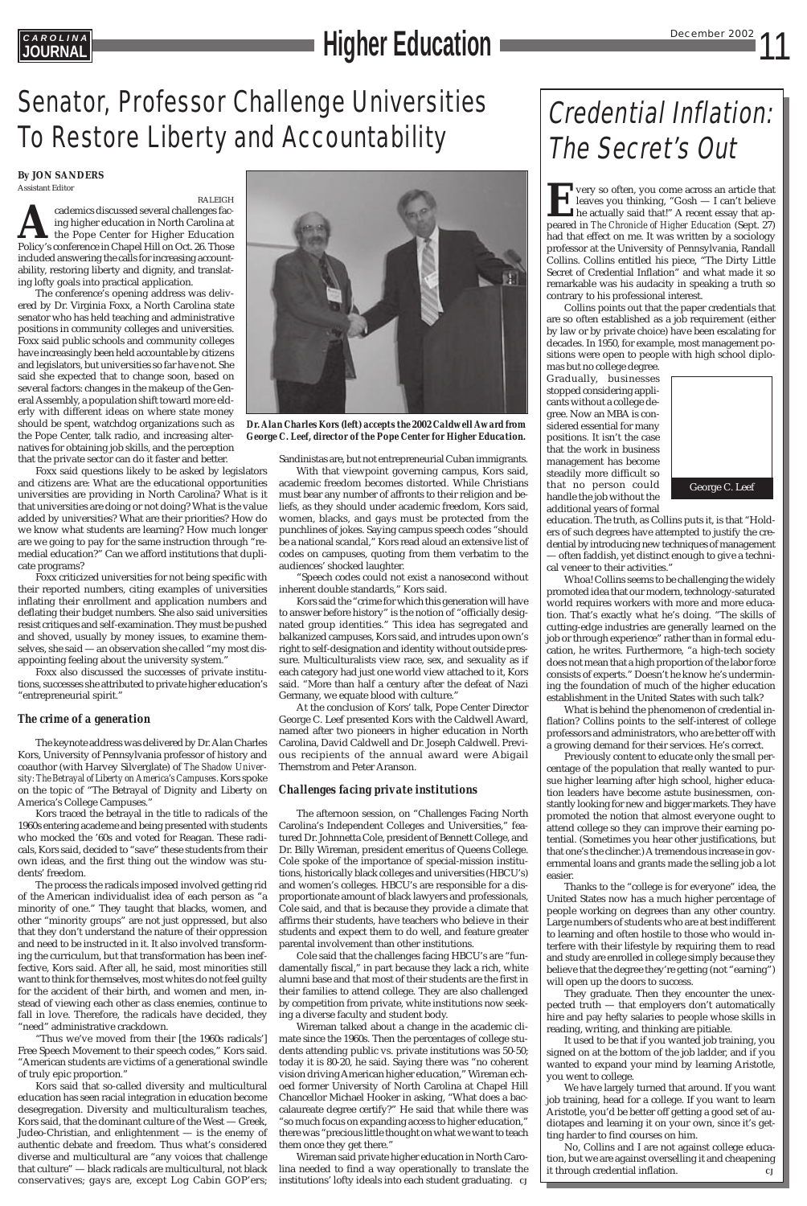**EVENT VERY SO often, you come across an article that<br>leaves you thinking, "Gosh — I can't believe<br>he actually said that!" A recent essay that ap-<br>peared in** *The Chronicle of Higher Education* **(Sept. 27)** leaves you thinking, "Gosh — I can't believe he actually said that!" A recent essay that appeared in *The Chronicle of Higher Education* (Sept. 27) had that effect on me. It was written by a sociology professor at the University of Pennsylvania, Randall Collins. Collins entitled his piece, "The Dirty Little Secret of Credential Inflation" and what made it so remarkable was his audacity in speaking a truth so contrary to his professional interest.

Collins points out that the paper credentials that are so often established as a job requirement (either by law or by private choice) have been escalating for decades. In 1950, for example, most management positions were open to people with high school diplo-

mas but no college degree. Gradually, businesses stopped considering applicants without a college degree. Now an MBA is considered essential for many positions. It isn't the case that the work in business management has become steadily more difficult so that no person could handle the job without the additional years of formal

education. The truth, as Collins puts it, is that "Holders of such degrees have attempted to justify the credential by introducing new techniques of management — often faddish, yet distinct enough to give a technical veneer to their activities."

Whoa! Collins seems to be challenging the widely promoted idea that our modern, technology-saturated world requires workers with more and more education. That's exactly what he's doing. "The skills of cutting-edge industries are generally learned on the job or through experience" rather than in formal education, he writes. Furthermore, "a high-tech society does not mean that a high proportion of the labor force consists of experts." Doesn't he know he's undermining the foundation of much of the higher education establishment in the United States with such talk?

What is behind the phenomenon of credential inflation? Collins points to the self-interest of college professors and administrators, who are better off with a growing demand for their services. He's correct.

Previously content to educate only the small percentage of the population that really wanted to pursue higher learning after high school, higher education leaders have become astute businessmen, constantly looking for new and bigger markets. They have promoted the notion that almost everyone ought to attend college so they can improve their earning potential. (Sometimes you hear other justifications, but that one's the clincher.) A tremendous increase in governmental loans and grants made the selling job a lot easier.

Thanks to the "college is for everyone" idea, the United States now has a much higher percentage of people working on degrees than any other country. Large numbers of students who are at best indifferent to learning and often hostile to those who would interfere with their lifestyle by requiring them to read and study are enrolled in college simply because they believe that the degree they're getting (not "earning") will open up the doors to success. They graduate. Then they encounter the unexpected truth — that employers don't automatically hire and pay hefty salaries to people whose skills in reading, writing, and thinking are pitiable. It used to be that if you wanted job training, you signed on at the bottom of the job ladder, and if you wanted to expand your mind by learning Aristotle, you went to college. We have largely turned that around. If you want job training, head for a college. If you want to learn Aristotle, you'd be better off getting a good set of audiotapes and learning it on your own, since it's getting harder to find courses on him. No, Collins and I are not against college education, but we are against overselling it and cheapening it through credential inflation. *CJ*

## Credential Inflation: The Secret's Out

## **EAROLINA**<br> **JOURNAL EDUCATION**

## Senator, Professor Challenge Universities To Restore Liberty and Accountability

**By JON SANDERS** Assistant Editor

RALEIGH **Academics discussed several challenges facing higher education in North Carolina at the Pope Center for Higher Education Policy's conference in Chapel Hill on Oct. 26. Those** ing higher education in North Carolina at the Pope Center for Higher Education Policy's conference in Chapel Hill on Oct. 26. Those included answering the calls for increasing accountability, restoring liberty and dignity, and translating lofty goals into practical application.

The conference's opening address was delivered by Dr. Virginia Foxx, a North Carolina state senator who has held teaching and administrative positions in community colleges and universities. Foxx said public schools and community colleges have increasingly been held accountable by citizens and legislators, but universities so far have not. She said she expected that to change soon, based on several factors: changes in the makeup of the General Assembly, a population shift toward more elderly with different ideas on where state money should be spent, watchdog organizations such as the Pope Center, talk radio, and increasing alternatives for obtaining job skills, and the perception that the private sector can do it faster and better.

Foxx said questions likely to be asked by legislators and citizens are: What are the educational opportunities universities are providing in North Carolina? What is it that universities are doing or not doing? What is the value added by universities? What are their priorities? How do we know what students are learning? How much longer are we going to pay for the same instruction through "remedial education?" Can we afford institutions that duplicate programs?

Foxx criticized universities for not being specific with their reported numbers, citing examples of universities inflating their enrollment and application numbers and deflating their budget numbers. She also said universities resist critiques and self-examination. They must be pushed and shoved, usually by money issues, to examine themselves, she said — an observation she called "my most disappointing feeling about the university system."

Foxx also discussed the successes of private institutions, successes she attributed to private higher education's "entrepreneurial spirit."

## *The crime of a generation*

The keynote address was delivered by Dr. Alan Charles Kors, University of Pennsylvania professor of history and coauthor (with Harvey Silverglate) of *The Shadow University: The Betrayal of Liberty on America's Campuses*. Kors spoke on the topic of "The Betrayal of Dignity and Liberty on America's College Campuses."

Kors traced the betrayal in the title to radicals of the 1960s entering academe and being presented with students who mocked the '60s and voted for Reagan. These radicals, Kors said, decided to "save" these students from their own ideas, and the first thing out the window was students' freedom.

The process the radicals imposed involved getting rid

of the American individualist idea of each person as "a minority of one." They taught that blacks, women, and other "minority groups" are not just oppressed, but also that they don't understand the nature of their oppression and need to be instructed in it. It also involved transforming the curriculum, but that transformation has been ineffective, Kors said. After all, he said, most minorities still want to think for themselves, most whites do not feel guilty for the accident of their birth, and women and men, instead of viewing each other as class enemies, continue to fall in love. Therefore, the radicals have decided, they "need" administrative crackdown.

"Thus we've moved from their [the 1960s radicals'] Free Speech Movement to their speech codes," Kors said. "American students are victims of a generational swindle of truly epic proportion."

Kors said that so-called diversity and multicultural education has seen racial integration in education become desegregation. Diversity and multiculturalism teaches, Kors said, that the dominant culture of the West — Greek, Judeo-Christian, and enlightenment — is the enemy of authentic debate and freedom. Thus what's considered diverse and multicultural are "any voices that challenge that culture" — black radicals are multicultural, not black conservatives; gays are, except Log Cabin GOP'ers;



Sandinistas are, but not entrepreneurial Cuban immigrants.

With that viewpoint governing campus, Kors said, academic freedom becomes distorted. While Christians must bear any number of affronts to their religion and beliefs, as they should under academic freedom, Kors said, women, blacks, and gays must be protected from the punchlines of jokes. Saying campus speech codes "should be a national scandal," Kors read aloud an extensive list of codes on campuses, quoting from them verbatim to the audiences' shocked laughter.

"Speech codes could not exist a nanosecond without inherent double standards," Kors said.

Kors said the "crime for which this generation will have to answer before history" is the notion of "officially designated group identities." This idea has segregated and balkanized campuses, Kors said, and intrudes upon own's right to self-designation and identity without outside pressure. Multiculturalists view race, sex, and sexuality as if each category had just one world view attached to it, Kors said. "More than half a century after the defeat of Nazi Germany, we equate blood with culture."

At the conclusion of Kors' talk, Pope Center Director George C. Leef presented Kors with the Caldwell Award, named after two pioneers in higher education in North Carolina, David Caldwell and Dr. Joseph Caldwell. Previous recipients of the annual award were Abigail Thernstrom and Peter Aranson.

## *Challenges facing private institutions*

The afternoon session, on "Challenges Facing North Carolina's Independent Colleges and Universities," featured Dr. Johnnetta Cole, president of Bennett College, and Dr. Billy Wireman, president emeritus of Queens College. Cole spoke of the importance of special-mission institutions, historically black colleges and universities (HBCU's) and women's colleges. HBCU's are responsible for a disproportionate amount of black lawyers and professionals, Cole said, and that is because they provide a climate that affirms their students, have teachers who believe in their students and expect them to do well, and feature greater parental involvement than other institutions. Cole said that the challenges facing HBCU's are "fundamentally fiscal," in part because they lack a rich, white alumni base and that most of their students are the first in their families to attend college. They are also challenged by competition from private, white institutions now seeking a diverse faculty and student body. Wireman talked about a change in the academic climate since the 1960s. Then the percentages of college students attending public vs. private institutions was 50-50; today it is 80-20, he said. Saying there was "no coherent vision driving American higher education," Wireman echoed former University of North Carolina at Chapel Hill Chancellor Michael Hooker in asking, "What does a baccalaureate degree certify?" He said that while there was "so much focus on expanding access to higher education," there was "precious little thought on what we want to teach them once they get there."

Wireman said private higher education in North Carolina needed to find a way operationally to translate the institutions' lofty ideals into each student graduating. *CJ*



*Dr. Alan Charles Kors (left) accepts the 2002 Caldwell Award from George C. Leef, director of the Pope Center for Higher Education.*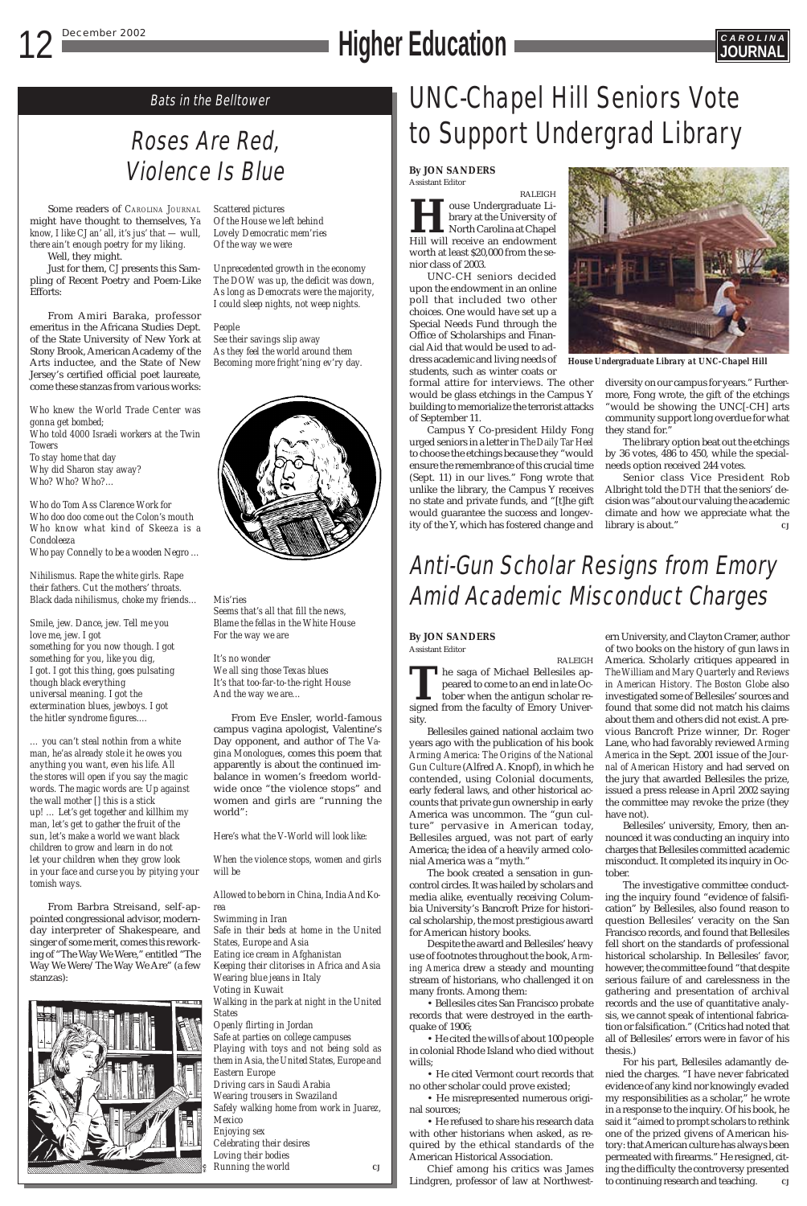## **12 December 2002 CAROLINA**<br> **Higher Education**



# Violence Is Blue

Bats in the Belltower

Some readers of *CAROLINA JOURNAL* might have thought to themselves, *Ya know, I like CJ an' all, it's jus' that — wull, there ain't enough poetry for my liking.*

Well, they might.

Just for them, *CJ* presents this Sampling of Recent Poetry and Poem-Like Efforts:

From Amiri Baraka, professor emeritus in the Africana Studies Dept. of the State University of New York at Stony Brook, American Academy of the Arts inductee, and the State of New Jersey's certified official poet laureate, come these stanzas from various works:

*Who knew the World Trade Center was gonna get bombed; Who told 4000 Israeli workers at the Twin Towers To stay home that day Why did Sharon stay away? Who? Who? Who?…*

*Who do Tom Ass Clarence Work for Who doo doo come out the Colon's mouth Who know what kind of Skeeza is a Condoleeza Who pay Connelly to be a wooden Negro …*

*Nihilismus. Rape the white girls. Rape their fathers. Cut the mothers' throats. Black dada nihilismus, choke my friends…*

*Smile, jew. Dance, jew. Tell me you love me, jew. I got something for you now though. I got something for you, like you dig, I got. I got this thing, goes pulsating though black everything universal meaning. I got the extermination blues, jewboys. I got the hitler syndrome figures.…*

*… you can't steal nothin from a white man, he'as already stole it he owes you anything you want, even his life. All the stores will open if you say the magic words. The magic words are: Up against the wall mother [] this is a stick up! … Let's get together and killhim my man, let's get to gather the fruit of the sun, let's make a world we want black children to grow and learn in do not let your children when they grow look in your face and curse you by pitying your tomish ways.*

From Barbra Streisand, self-appointed congressional advisor, modernday interpreter of Shakespeare, and singer of some merit, comes this reworking of "The Way We Were," entitled "The Way We Were/The Way We Are" (a few stanzas):



*Scattered pictures Of the House we left behind Lovely Democratic mem'ries Of the way we were*

*Unprecedented growth in the economy The DOW was up, the deficit was down, As long as Democrats were the majority, I could sleep nights, not weep nights.*

### *People*

*See their savings slip away As they feel the world around them Becoming more fright'ning ev'ry day.*



*Mis'ries Seems that's all that fill the news, Blame the fellas in the White House For the way we are*

*It's no wonder We all sing those Texas blues It's that too-far-to-the-right House And the way we are…*

From Eve Ensler, world-famous campus vagina apologist, Valentine's Day opponent, and author of *The Vagina Monologues*, comes this poem that apparently is about the continued imbalance in women's freedom worldwide once "the violence stops" and women and girls are "running the world":

*Here's what the V-World will look like:*

*When the violence stops, women and girls will be*

## UNC-Chapel Hill Seniors Vote Roses Are Red, **to Support Undergrad Library**

*Allowed to be born in China, India And Korea*

*Swimming in Iran Safe in their beds at home in the United States, Europe and Asia Eating ice cream in Afghanistan Keeping their clitorises in Africa and Asia Wearing blue jeans in Italy Voting in Kuwait*

*Walking in the park at night in the United States*

*Openly flirting in Jordan*

*Safe at parties on college campuses Playing with toys and not being sold as*

*them in Asia, the United States, Europe and Eastern Europe*

*Driving cars in Saudi Arabia*

*Wearing trousers in Swaziland*

*Safely walking home from work in Juarez, Mexico*

The investigative committee conducting the inquiry found "evidence of falsification" by Bellesiles, also found reason to question Bellesiles' veracity on the San Francisco records, and found that Bellesiles fell short on the standards of professional historical scholarship. In Bellesiles' favor, however, the committee found "that despite serious failure of and carelessness in the gathering and presentation of archival records and the use of quantitative analysis, we cannot speak of intentional fabrication or falsification." (Critics had noted that all of Bellesiles' errors were in favor of his thesis.) For his part, Bellesiles adamantly denied the charges. "I have never fabricated evidence of any kind nor knowingly evaded my responsibilities as a scholar," he wrote in a response to the inquiry. Of his book, he said it "aimed to prompt scholars to rethink one of the prized givens of American history: that American culture has always been permeated with firearms." He resigned, citing the difficulty the controversy presented to continuing research and teaching.

*Enjoying sex*

*Celebrating their desires*

*Loving their bodies Running the world CJ*

### **By JON SANDERS** Assistant Editor

RALEIGH **House Undergraduate Library at the University of<br>North Carolina at Chapel<br>Hill will receive an endowment** brary at the University of North Carolina at Chapel worth at least \$20,000 from the senior class of 2003.

UNC-CH seniors decided upon the endowment in an online poll that included two other choices. One would have set up a Special Needs Fund through the Office of Scholarships and Financial Aid that would be used to address academic and living needs of students, such as winter coats or

formal attire for interviews. The other would be glass etchings in the Campus Y building to memorialize the terrorist attacks of September 11.

> Senior class Vice President Rob Albright told the *DTH* that the seniors' decision was "about our valuing the academic climate and how we appreciate what the library is about."

Campus Y Co-president Hildy Fong urged seniors in a letter in *The Daily Tar Heel* to choose the etchings because they "would ensure the remembrance of this crucial time (Sept. 11) in our lives." Fong wrote that unlike the library, the Campus Y receives no state and private funds, and "[t]he gift would guarantee the success and longevity of the Y, which has fostered change and

## Anti-Gun Scholar Resigns from Emory Amid Academic Misconduct Charges

### **By JON SANDERS** Assistant Editor

RALEIGH **T**he saga of Michael Bellesiles appeared to come to an end in late October when the antigun scholar resigned from the faculty of Emory University.

Bellesiles gained national acclaim two years ago with the publication of his book *Arming America: The Origins of the National Gun Culture* (Alfred A. Knopf), in which he contended, using Colonial documents, early federal laws, and other historical accounts that private gun ownership in early America was uncommon. The "gun culture" pervasive in American today, Bellesiles argued, was not part of early America; the idea of a heavily armed colonial America was a "myth."

The book created a sensation in guncontrol circles. It was hailed by scholars and media alike, eventually receiving Columbia University's Bancroft Prize for historical scholarship, the most prestigious award for American history books. Despite the award and Bellesiles' heavy use of footnotes throughout the book, *Arming America* drew a steady and mounting stream of historians, who challenged it on many fronts. Among them: • Bellesiles cites San Francisco probate records that were destroyed in the earthquake of 1906; • He cited the wills of about 100 people in colonial Rhode Island who died without wills;

• He cited Vermont court records that no other scholar could prove existed;

• He misrepresented numerous original sources;

• He refused to share his research data with other historians when asked, as required by the ethical standards of the American Historical Association.

Chief among his critics was James Lindgren, professor of law at Northwest-

ern University, and Clayton Cramer, author of two books on the history of gun laws in America. Scholarly critiques appeared in *The William and Mary Quarterly* and *Reviews in American History. The Boston Globe* also investigated some of Bellesiles' sources and found that some did not match his claims about them and others did not exist. A previous Bancroft Prize winner, Dr. Roger Lane, who had favorably reviewed *Arming America* in the Sept. 2001 issue of the *Journal of American History* and had served on the jury that awarded Bellesiles the prize, issued a press release in April 2002 saying the committee may revoke the prize (they have not).

Bellesiles' university, Emory, then announced it was conducting an inquiry into charges that Bellesiles committed academic misconduct. It completed its inquiry in October.

diversity on our campus for years." Furthermore, Fong wrote, the gift of the etchings "would be showing the UNC[-CH] arts community support long overdue for what they stand for."

The library option beat out the etchings by 36 votes, 486 to 450, while the specialneeds option received 244 votes.



*House Undergraduate Library at UNC-Chapel Hill*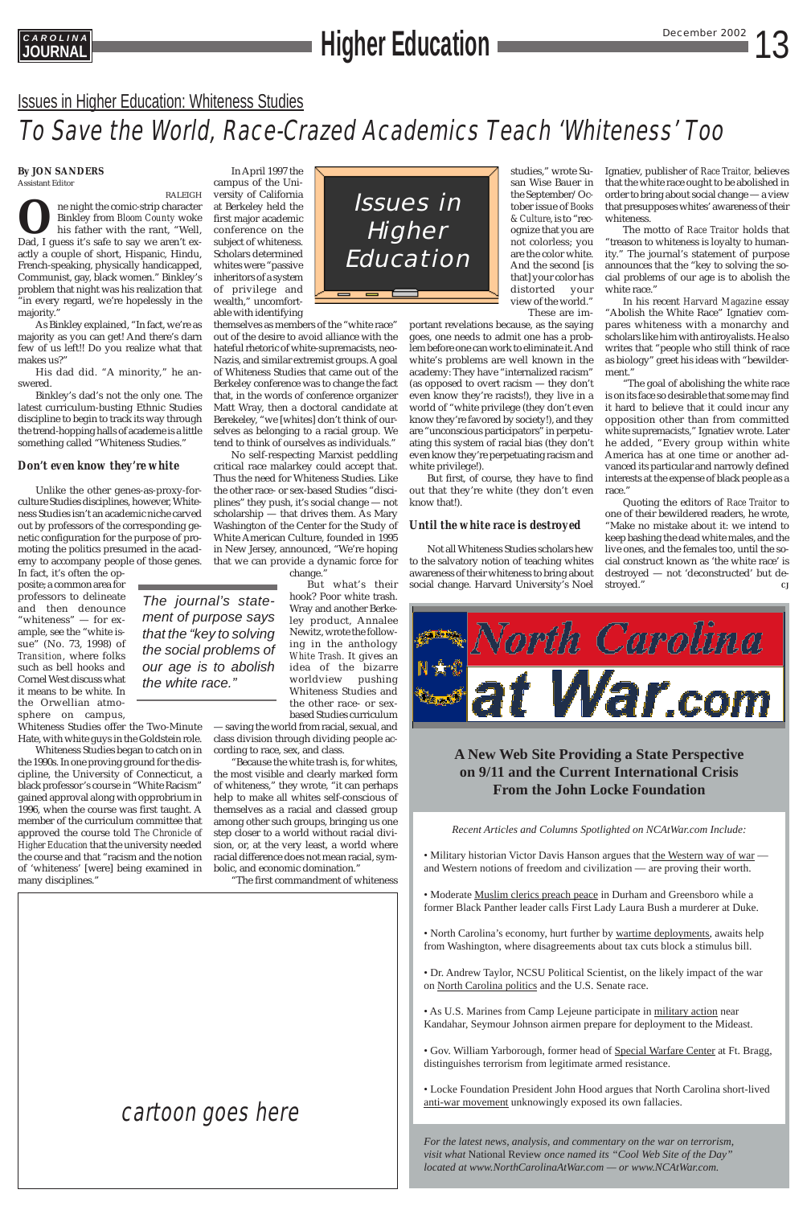*The journal's statement of purpose says that the "key to solving the social problems of our age is to abolish the white race."*

## 13 December 2002 **C A R O L I N A JOURNAL Higher Education**

### **By JON SANDERS** Assistant Editor

RALEIGH **O**ne night the comic-strip character<br>Binkley from *Bloom County* woke<br>his father with the rant, "Well,<br>Dad, I guess it's safe to say we aren't ex-Binkley from *Bloom County* woke his father with the rant, "Well, actly a couple of short, Hispanic, Hindu, French-speaking, physically handicapped, Communist, gay, black women." Binkley's problem that night was his realization that "in every regard, we're hopelessly in the majority."

As Binkley explained, "In fact, we're as majority as you can get! And there's darn few of us left!! Do you realize what that makes us?"

His dad did. "A minority," he answered.

Binkley's dad's not the only one. The latest curriculum-busting Ethnic Studies discipline to begin to track its way through the trend-hopping halls of academe is a little something called "Whiteness Studies."

### *Don't even know they're white*

Unlike the other genes-as-proxy-forculture Studies disciplines, however, Whiteness Studies isn't an academic niche carved out by professors of the corresponding genetic configuration for the purpose of promoting the politics presumed in the academy to accompany people of those genes.

In fact, it's often the opposite; a common area for professors to delineate and then denounce "whiteness" — for example, see the "white issue" (No. 73, 1998) of *Transition*, where folks such as bell hooks and Cornel West discuss what it means to be white. In the Orwellian atmosphere on campus,

No self-respecting Marxist peddling critical race malarkey could accept that. Thus the need for Whiteness Studies. Like the other race- or sex-based Studies "disciplines" they push, it's social change — not scholarship — that drives them. As Mary Washington of the Center for the Study of White American Culture, founded in 1995 in New Jersey, announced, "We're hoping that we can provide a dynamic force for change.

Whiteness Studies offer the Two-Minute Hate, with white guys in the Goldstein role.

Whiteness Studies began to catch on in the 1990s. In one proving ground for the discipline, the University of Connecticut, a black professor's course in "White Racism" gained approval along with opprobrium in 1996, when the course was first taught. A member of the curriculum committee that approved the course told *The Chronicle of Higher Education* that the university needed the course and that "racism and the notion of 'whiteness' [were] being examined in many disciplines."

• Military historian Victor Davis Hanson argues that the Western way of war and Western notions of freedom and civilization — are proving their worth.

In April 1997 the campus of the University of California at Berkeley held the first major academic conference on the subject of whiteness. Scholars determined whites were "passive inheritors of a system of privilege and wealth," uncomfortable with identifying

> • North Carolina's economy, hurt further by wartime deployments, awaits help from Washington, where disagreements about tax cuts block a stimulus bill.

themselves as members of the "white race" out of the desire to avoid alliance with the hateful rhetoric of white-supremacists, neo-Nazis, and similar extremist groups. A goal of Whiteness Studies that came out of the Berkeley conference was to change the fact that, in the words of conference organizer Matt Wray, then a doctoral candidate at Berekeley, "we [whites] don't think of ourselves as belonging to a racial group. We tend to think of ourselves as individuals."

> But what's their hook? Poor white trash. Wray and another Berkeley product, Annalee Newitz, wrote the following in the anthology *White Trash*. It gives an idea of the bizarre worldview pushing Whiteness Studies and the other race- or sexbased Studies curriculum

— saving the world from racial, sexual, and class division through dividing people according to race, sex, and class.

Quoting the editors of *Race Traitor* to one of their bewildered readers, he wrote, "Make no mistake about it: we intend to keep bashing the dead white males, and the live ones, and the females too, until the social construct known as 'the white race' is destroyed — not 'deconstructed' but destroyed."



"Because the white trash is, for whites, the most visible and clearly marked form of whiteness," they wrote, "it can perhaps help to make all whites self-conscious of themselves as a racial and classed group among other such groups, bringing us one step closer to a world without racial division, or, at the very least, a world where racial difference does not mean racial, symbolic, and economic domination."

"The first commandment of whiteness

## **A New Web Site Providing a State Perspective on 9/11 and the Current International Crisis From the John Locke Foundation**

*Recent Articles and Columns Spotlighted on NCAtWar.com Include:*

• Moderate Muslim clerics preach peace in Durham and Greensboro while a former Black Panther leader calls First Lady Laura Bush a murderer at Duke.

• Dr. Andrew Taylor, NCSU Political Scientist, on the likely impact of the war on North Carolina politics and the U.S. Senate race.

• As U.S. Marines from Camp Lejeune participate in military action near Kandahar, Seymour Johnson airmen prepare for deployment to the Mideast.

• Gov. William Yarborough, former head of Special Warfare Center at Ft. Bragg, distinguishes terrorism from legitimate armed resistance.

• Locke Foundation President John Hood argues that North Carolina short-lived anti-war movement unknowingly exposed its own fallacies.

*For the latest news, analysis, and commentary on the war on terrorism, visit what* National Review *once named its "Cool Web Site of the Day" located at www.NorthCarolinaAtWar.com — or www.NCAtWar.com.*

## Issues in Higher Education: Whiteness Studies

## To Save the World, Race-Crazed Academics Teach 'Whiteness' Too

These are important revelations because, as the saying goes, one needs to admit one has a problem before one can work to eliminate it. And white's problems are well known in the academy: They have "internalized racism" (as opposed to overt racism — they don't even know they're racists!), they live in a world of "white privilege (they don't even know they're favored by society!), and they are "unconscious participators" in perpetuating this system of racial bias (they don't even know they're perpetuating racism and white privilege!).

But first, of course, they have to find out that they're white (they don't even know that!).

## *Until the white race is destroyed*

Not all Whiteness Studies scholars hew to the salvatory notion of teaching whites awareness of their whiteness to bring about social change. Harvard University's Noel Ignatiev, publisher of *Race Traitor,* believes that the white race ought to be abolished in order to bring about social change — a view that presupposes whites' awareness of their whiteness.



The motto of *Race Traitor* holds that "treason to whiteness is loyalty to humanity." The journal's statement of purpose announces that the "key to solving the social problems of our age is to abolish the white race."

In his recent *Harvard Magazine* essay "Abolish the White Race" Ignatiev compares whiteness with a monarchy and scholars like him with antiroyalists. He also writes that "people who still think of race as biology" greet his ideas with "bewilderment."

"The goal of abolishing the white race is on its face so desirable that some may find it hard to believe that it could incur any opposition other than from committed white supremacists," Ignatiev wrote. Later he added, "Every group within white America has at one time or another advanced its particular and narrowly defined interests at the expense of black people as a race."

## cartoon goes here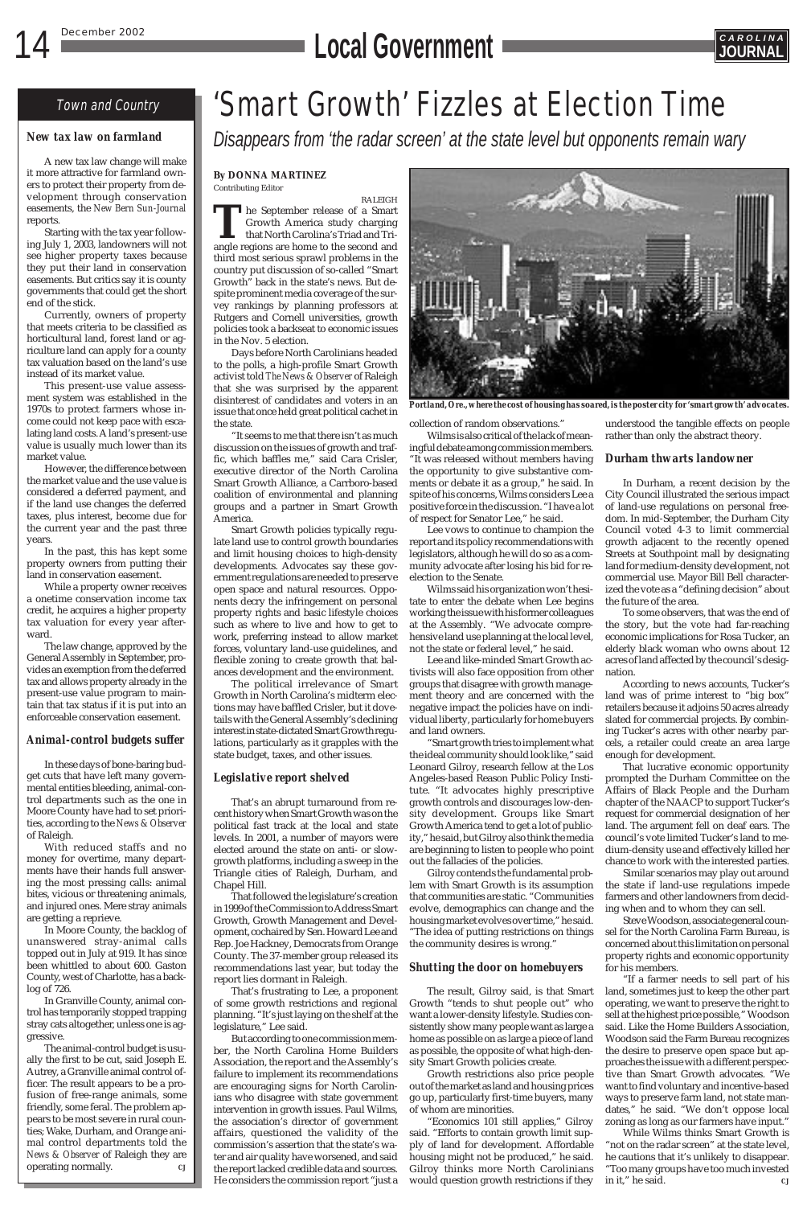## **14 December 2002 CAROLINA**<br> **LOCAL GOVERNMENT**



## Town and Country 'Smart Growth' Fizzles at Election Time

*Disappears from 'the radar screen' at the state level but opponents remain wary*

### **By DONNA MARTINEZ** Contributing Editor

RALEIGH **T**he September release of a Smart Growth America study charging that North Carolina's Triad and Triangle regions are home to the second and third most serious sprawl problems in the country put discussion of so-called "Smart Growth" back in the state's news. But despite prominent media coverage of the survey rankings by planning professors at Rutgers and Cornell universities, growth policies took a backseat to economic issues in the Nov. 5 election.

Days before North Carolinians headed to the polls, a high-profile Smart Growth activist told *The News & Observer* of Raleigh that she was surprised by the apparent disinterest of candidates and voters in an issue that once held great political cachet in the state.

That's an abrupt turnaround from recent history when Smart Growth was on the political fast track at the local and state levels. In 2001, a number of mayors were elected around the state on anti- or slowgrowth platforms, including a sweep in the Triangle cities of Raleigh, Durham, and Chanel Hill

"It seems to me that there isn't as much discussion on the issues of growth and traffic, which baffles me," said Cara Crisler, executive director of the North Carolina Smart Growth Alliance, a Carrboro-based coalition of environmental and planning groups and a partner in Smart Growth America.

Smart Growth policies typically regulate land use to control growth boundaries and limit housing choices to high-density developments. Advocates say these government regulations are needed to preserve open space and natural resources. Opponents decry the infringement on personal property rights and basic lifestyle choices such as where to live and how to get to work, preferring instead to allow market forces, voluntary land-use guidelines, and flexible zoning to create growth that balances development and the environment.

The political irrelevance of Smart Growth in North Carolina's midterm elections may have baffled Crisler, but it dovetails with the General Assembly's declining interest in state-dictated Smart Growth regulations, particularly as it grapples with the state budget, taxes, and other issues.

## *Legislative report shelved*

That followed the legislature's creation in 1999 of the Commission to Address Smart Growth, Growth Management and Development, cochaired by Sen. Howard Lee and Rep. Joe Hackney, Democrats from Orange County. The 37-member group released its recommendations last year, but today the report lies dormant in Raleigh.

That's frustrating to Lee, a proponent of some growth restrictions and regional planning. "It's just laying on the shelf at the legislature," Lee said.

But according to one commission member, the North Carolina Home Builders Association, the report and the Assembly's failure to implement its recommendations are encouraging signs for North Carolinians who disagree with state government intervention in growth issues. Paul Wilms, the association's director of government affairs, questioned the validity of the commission's assertion that the state's water and air quality have worsened, and said the report lacked credible data and sources. He considers the commission report "just a collection of random observations."

Wilms is also critical of the lack of meaningful debate among commission members. "It was released without members having the opportunity to give substantive comments or debate it as a group," he said. In spite of his concerns, Wilms considers Lee a positive force in the discussion. "I have a lot of respect for Senator Lee," he said.

> Similar scenarios may play out around state if land-use regulations impede farmers and other landowners from deciding when and to whom they can sell. Steve Woodson, associate general counsel for the North Carolina Farm Bureau, is concerned about this limitation on personal property rights and economic opportunity for his members. "If a farmer needs to sell part of his land, sometimes just to keep the other part operating, we want to preserve the right to sell at the highest price possible," Woodson said. Like the Home Builders Association, Woodson said the Farm Bureau recognizes the desire to preserve open space but approaches the issue with a different perspective than Smart Growth advocates. "We want to find voluntary and incentive-based ways to preserve farm land, not state mandates," he said. "We don't oppose local zoning as long as our farmers have input." While Wilms thinks Smart Growth is "not on the radar screen" at the state level, he cautions that it's unlikely to disappear. "Too many groups have too much invested in it," he said.

Lee vows to continue to champion the report and its policy recommendations with legislators, although he will do so as a community advocate after losing his bid for reelection to the Senate.

Wilms said his organization won't hesitate to enter the debate when Lee begins working the issue with his former colleagues at the Assembly. "We advocate comprehensive land use planning at the local level, not the state or federal level," he said.

Lee and like-minded Smart Growth activists will also face opposition from other groups that disagree with growth management theory and are concerned with the negative impact the policies have on individual liberty, particularly for home buyers and land owners.

"Smart growth tries to implement what the ideal community should look like," said Leonard Gilroy, research fellow at the Los Angeles-based Reason Public Policy Institute. "It advocates highly prescriptive growth controls and discourages low-density development. Groups like Smart Growth America tend to get a lot of publicity," he said, but Gilroy also think the media are beginning to listen to people who point out the fallacies of the policies.

Gilroy contends the fundamental probwith Smart Growth is its assumption that communities are static. "Communities evolve, demographics can change and the housing market evolves over time," he said. "The idea of putting restrictions on things the community desires is wrong."

## *Shutting the door on homebuyers*

The result, Gilroy said, is that Smart Growth "tends to shut people out" who want a lower-density lifestyle. Studies consistently show many people want as large a home as possible on as large a piece of land as possible, the opposite of what high-density Smart Growth policies create.

Growth restrictions also price people out of the market as land and housing prices go up, particularly first-time buyers, many of whom are minorities.

"Economics 101 still applies," Gilroy said. "Efforts to contain growth limit supply of land for development. Affordable housing might not be produced," he said. Gilroy thinks more North Carolinians would question growth restrictions if they

understood the tangible effects on people rather than only the abstract theory.

## *Durham thwarts landowner*

In Durham, a recent decision by the City Council illustrated the serious impact of land-use regulations on personal freedom. In mid-September, the Durham City Council voted 4-3 to limit commercial growth adjacent to the recently opened Streets at Southpoint mall by designating land for medium-density development, not commercial use. Mayor Bill Bell characterized the vote as a "defining decision" about the future of the area.

To some observers, that was the end of the story, but the vote had far-reaching economic implications for Rosa Tucker, an elderly black woman who owns about 12 acres of land affected by the council's designation.

According to news accounts, Tucker's land was of prime interest to "big box" retailers because it adjoins 50 acres already slated for commercial projects. By combining Tucker's acres with other nearby parcels, a retailer could create an area large enough for development.

That lucrative economic opportunity prompted the Durham Committee on the Affairs of Black People and the Durham chapter of the NAACP to support Tucker's request for commercial designation of her land. The argument fell on deaf ears. The council's vote limited Tucker's land to medium-density use and effectively killed her chance to work with the interested parties.



*Portland, Ore., where the cost of housing has soared, is the poster city for 'smart growth' advocates.*

## *New tax law on farmland*

A new tax law change will make it more attractive for farmland owners to protect their property from development through conservation easements, the *New Bern Sun-Journal* reports.

Starting with the tax year following July 1, 2003, landowners will not see higher property taxes because they put their land in conservation easements. But critics say it is county governments that could get the short end of the stick.

Currently, owners of property that meets criteria to be classified as horticultural land, forest land or agriculture land can apply for a county tax valuation based on the land's use instead of its market value.

This present-use value assessment system was established in the 1970s to protect farmers whose income could not keep pace with escalating land costs. A land's present-use value is usually much lower than its market value.

However, the difference between the market value and the use value is considered a deferred payment, and if the land use changes the deferred taxes, plus interest, become due for the current year and the past three years.

In the past, this has kept some property owners from putting their land in conservation easement.

While a property owner receives a onetime conservation income tax credit, he acquires a higher property tax valuation for every year afterward.

The law change, approved by the General Assembly in September, provides an exemption from the deferred tax and allows property already in the present-use value program to maintain that tax status if it is put into an enforceable conservation easement.

## *Animal-control budgets suffer*

In these days of bone-baring budget cuts that have left many governmental entities bleeding, animal-control departments such as the one in Moore County have had to set priorities, according to the *News & Observer* of Raleigh.

With reduced staffs and no money for overtime, many departments have their hands full answering the most pressing calls: animal bites, vicious or threatening animals, and injured ones. Mere stray animals are getting a reprieve. In Moore County, the backlog of unanswered stray-animal calls topped out in July at 919. It has since been whittled to about 600. Gaston County, west of Charlotte, has a backlog of 726. In Granville County, animal control has temporarily stopped trapping stray cats altogether, unless one is aggressive. The animal-control budget is usually the first to be cut, said Joseph E. Autrey, a Granville animal control officer. The result appears to be a profusion of free-range animals, some friendly, some feral. The problem appears to be most severe in rural counties; Wake, Durham, and Orange animal control departments told the *News & Observer* of Raleigh they are operating normally. *CJ*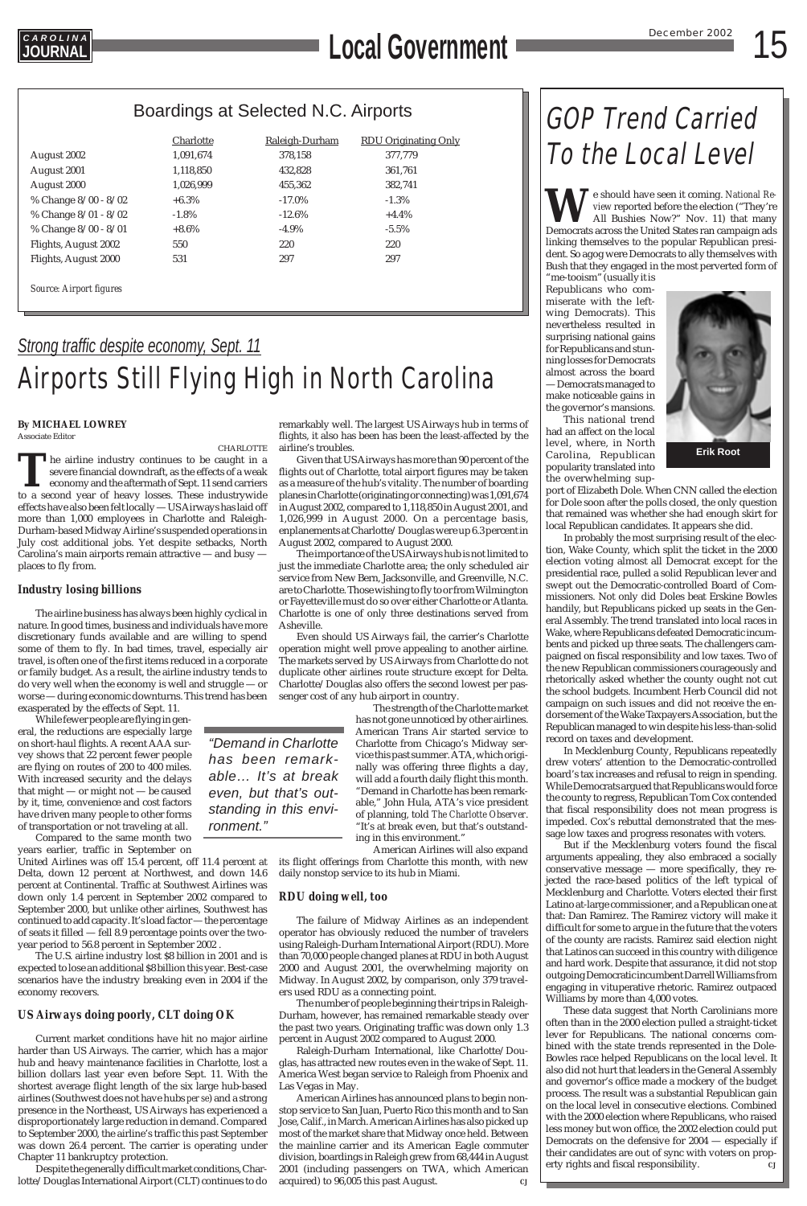## 15 December 2002 **C A R O L I N A JOURNAL Local Government**

## GOP Trend Carried To the Local Level

## *Strong traffic despite economy, Sept. 11* Airports Still Flying High in North Carolina

## **By MICHAEL LOWREY**

Associate Editor

CHARLOTTE

The airline industry continues to be caught in a severe financial downdraft, as the effects of a weak economy and the aftermath of Sept. 11 send carriers to a second year of heavy losses. These industrywide effects have also been felt locally — US Airways has laid off more than 1,000 employees in Charlotte and Raleigh-Durham-based Midway Airline's suspended operations in July cost additional jobs. Yet despite setbacks, North Carolina's main airports remain attractive — and busy places to fly from.

## *Industry losing billions*

The airline business has always been highly cyclical in nature. In good times, business and individuals have more discretionary funds available and are willing to spend some of them to fly. In bad times, travel, especially air travel, is often one of the first items reduced in a corporate or family budget. As a result, the airline industry tends to do very well when the economy is well and struggle — or worse — during economic downturns. This trend has been exasperated by the effects of Sept. 11.

United Airlines was off 15.4 percent, off 11.4 percent at its flight offerings from Charlotte this month, with new Delta, down 12 percent at Northwest, and down 14.6 percent at Continental. Traffic at Southwest Airlines was down only 1.4 percent in September 2002 compared to September 2000, but unlike other airlines, Southwest has continued to add capacity. It's load factor — the percentage of seats it filled — fell 8.9 percentage points over the twoyear period to 56.8 percent in September 2002 . The U.S. airline industry lost \$8 billion in 2001 and is expected to lose an additional \$8 billion this year. Best-case scenarios have the industry breaking even in 2004 if the economy recovers.

While fewer people are flying in general, the reductions are especially large on short-haul flights. A recent AAA survey shows that 22 percent fewer people are flying on routes of 200 to 400 miles. With increased security and the delays that might — or might not — be caused by it, time, convenience and cost factors have driven many people to other forms of transportation or not traveling at all.

Compared to the same month two years earlier, traffic in September on

## *US Airways doing poorly, CLT doing OK*

Current market conditions have hit no major airline harder than US Airways. The carrier, which has a major hub and heavy maintenance facilities in Charlotte, lost a billion dollars last year even before Sept. 11. With the shortest average flight length of the six large hub-based airlines (Southwest does not have hubs *per se*) and a strong presence in the Northeast, US Airways has experienced a disproportionately large reduction in demand. Compared to September 2000, the airline's traffic this past September was down 26.4 percent. The carrier is operating under Chapter 11 bankruptcy protection.

Despite the generally difficult market conditions, Charlotte/Douglas International Airport (CLT) continues to do

remarkably well. The largest US Airways hub in terms of flights, it also has been has been the least-affected by the airline's troubles.

Given that US Airways has more than 90 percent of the flights out of Charlotte, total airport figures may be taken as a measure of the hub's vitality. The number of boarding planes in Charlotte (originating or connecting) was 1,091,674 in August 2002, compared to 1,118,850 in August 2001, and 1,026,999 in August 2000. On a percentage basis, enplanements at Charlotte/Douglas were up 6.3 percent in August 2002, compared to August 2000.

The importance of the US Airways hub is not limited to just the immediate Charlotte area; the only scheduled air service from New Bern, Jacksonville, and Greenville, N.C. are to Charlotte. Those wishing to fly to or from Wilmington or Fayetteville must do so over either Charlotte or Atlanta. Charlotte is one of only three destinations served from Asheville.

Even should US Airways fail, the carrier's Charlotte operation might well prove appealing to another airline. The markets served by US Airways from Charlotte do not duplicate other airlines route structure except for Delta. Charlotte/Douglas also offers the second lowest per passenger cost of any hub airport in country.

The strength of the Charlotte market has not gone unnoticed by other airlines. American Trans Air started service to Charlotte from Chicago's Midway service this past summer. ATA, which originally was offering three flights a day, will add a fourth daily flight this month. "Demand in Charlotte has been remarkable," John Hula, ATA's vice president of planning, told *The Charlotte Observer*. "It's at break even, but that's outstanding in this environment."

American Airlines will also expand daily nonstop service to its hub in Miami.

## *RDU doing well, too*

The failure of Midway Airlines as an independent operator has obviously reduced the number of travelers using Raleigh-Durham International Airport (RDU). More than 70,000 people changed planes at RDU in both August 2000 and August 2001, the overwhelming majority on Midway. In August 2002, by comparison, only 379 travelers used RDU as a connecting point.

The number of people beginning their trips in Raleigh-Durham, however, has remained remarkable steady over the past two years. Originating traffic was down only 1.3 percent in August 2002 compared to August 2000.

Raleigh-Durham International, like Charlotte/Douglas, has attracted new routes even in the wake of Sept. 11. America West began service to Raleigh from Phoenix and Las Vegas in May.

American Airlines has announced plans to begin nonstop service to San Juan, Puerto Rico this month and to San Jose, Calif., in March. American Airlines has also picked up most of the market share that Midway once held. Between the mainline carrier and its American Eagle commuter division, boardings in Raleigh grew from 68,444 in August 2001 (including passengers on TWA, which American acquired) to 96,005 this past August. *CJ*

*"Demand in Charlotte has been remarkable… It's at break even, but that's outstanding in this environment."*



## Boardings at Selected N.C. Airports

|                                | Charlotte | Raleigh-Durham | <b>RDU Originating Only</b> |
|--------------------------------|-----------|----------------|-----------------------------|
| August 2002                    | 1,091,674 | 378,158        | 377,779                     |
| August 2001                    | 1,118,850 | 432,828        | 361,761                     |
| August 2000                    | 1,026,999 | 455.362        | 382,741                     |
| % Change 8/00 - 8/02           | $+6.3\%$  | $-17.0\%$      | $-1.3\%$                    |
| % Change 8/01 - 8/02           | $-1.8\%$  | $-12.6\%$      | $+4.4%$                     |
| % Change 8/00 - 8/01           | $+8.6\%$  | $-4.9\%$       | $-5.5\%$                    |
| Flights, August 2002           | 550       | 220            | 220                         |
| Flights, August 2000           | 531       | 297            | 297                         |
|                                |           |                |                             |
| <b>Source: Airport figures</b> |           |                |                             |

**W**e should have seen it coming. *National Review* reported before the election ("They're All Bushies Now?" Nov. 11) that many Democrats across the United States ran campaign ads linking themselves to the popular Republican president. So agog were Democrats to ally themselves with Bush that they engaged in the most perverted form of

"me-tooism" (usually it is Republicans who commiserate with the leftwing Democrats). This nevertheless resulted in surprising national gains for Republicans and stunning losses for Democrats almost across the board — Democrats managed to make noticeable gains in the governor's mansions.

This national trend had an affect on the local level, where, in North Carolina, Republican popularity translated into the overwhelming sup-

port of Elizabeth Dole. When CNN called the election for Dole soon after the polls closed, the only question that remained was whether she had enough skirt for local Republican candidates. It appears she did.

In probably the most surprising result of the election, Wake County, which split the ticket in the 2000 election voting almost all Democrat except for the presidential race, pulled a solid Republican lever and swept out the Democratic-controlled Board of Commissioners. Not only did Doles beat Erskine Bowles handily, but Republicans picked up seats in the General Assembly. The trend translated into local races in Wake, where Republicans defeated Democratic incumbents and picked up three seats. The challengers campaigned on fiscal responsibility and low taxes. Two of the new Republican commissioners courageously and rhetorically asked whether the county ought not cut the school budgets. Incumbent Herb Council did not campaign on such issues and did not receive the endorsement of the Wake Taxpayers Association, but the Republican managed to win despite his less-than-solid record on taxes and development.

In Mecklenburg County, Republicans repeatedly drew voters' attention to the Democratic-controlled board's tax increases and refusal to reign in spending. While Democrats argued that Republicans would force the county to regress, Republican Tom Cox contended that fiscal responsibility does not mean progress is impeded. Cox's rebuttal demonstrated that the message low taxes and progress resonates with voters.

But if the Mecklenburg voters found the fiscal arguments appealing, they also embraced a socially conservative message — more specifically, they rejected the race-based politics of the left typical of Mecklenburg and Charlotte. Voters elected their first Latino at-large commissioner, and a Republican one at that: Dan Ramirez. The Ramirez victory will make it difficult for some to argue in the future that the voters of the county are racists. Ramirez said election night that Latinos can succeed in this country with diligence and hard work. Despite that assurance, it did not stop outgoing Democratic incumbent Darrell Williams from engaging in vituperative rhetoric. Ramirez outpaced Williams by more than 4,000 votes. These data suggest that North Carolinians more often than in the 2000 election pulled a straight-ticket lever for Republicans. The national concerns combined with the state trends represented in the Dole-Bowles race helped Republicans on the local level. It also did not hurt that leaders in the General Assembly and governor's office made a mockery of the budget process. The result was a substantial Republican gain on the local level in consecutive elections. Combined with the 2000 election where Republicans, who raised less money but won office, the 2002 election could put Democrats on the defensive for 2004 — especially if their candidates are out of sync with voters on property rights and fiscal responsibility. *CJ*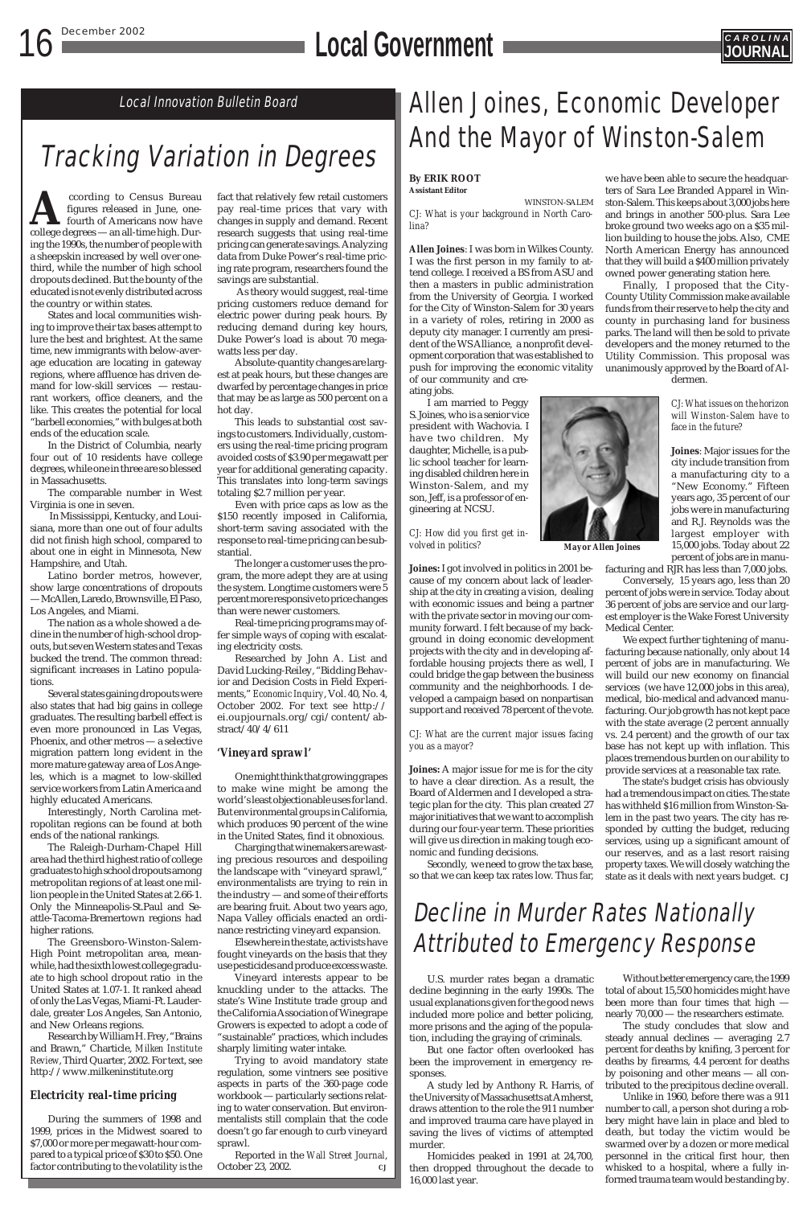## **16 December 2002 CAROLINAL**



## Tracking Variation in Degrees

Local Innovation Bulletin Board

**According to Census Bureau**<br>figures released in June, one-<br>college degrees — an all-time high. Durfigures released in June, onefourth of Americans now have ing the 1990s, the number of people with a sheepskin increased by well over onethird, while the number of high school dropouts declined. But the bounty of the educated is not evenly distributed across the country or within states.

States and local communities wishing to improve their tax bases attempt to lure the best and brightest. At the same time, new immigrants with below-average education are locating in gateway regions, where affluence has driven demand for low-skill services — restaurant workers, office cleaners, and the like. This creates the potential for local "barbell economies," with bulges at both ends of the education scale.

In the District of Columbia, nearly four out of 10 residents have college degrees, while one in three are so blessed in Massachusetts.

The comparable number in West Virginia is one in seven.

In Mississippi, Kentucky, and Louisiana, more than one out of four adults did not finish high school, compared to about one in eight in Minnesota, New Hampshire, and Utah.

Latino border metros, however, show large concentrations of dropouts — McAllen, Laredo, Brownsville, El Paso, Los Angeles, and Miami.

The nation as a whole showed a decline in the number of high-school dropouts, but seven Western states and Texas bucked the trend. The common thread: significant increases in Latino populations.

Several states gaining dropouts were also states that had big gains in college graduates. The resulting barbell effect is even more pronounced in Las Vegas, Phoenix, and other metros — a selective migration pattern long evident in the more mature gateway area of Los Angeles, which is a magnet to low-skilled service workers from Latin America and highly educated Americans.

Interestingly, North Carolina metropolitan regions can be found at both ends of the national rankings.

The Raleigh-Durham-Chapel Hill area had the third highest ratio of college graduates to high school dropouts among metropolitan regions of at least one million people in the United States at 2.66-1. Only the Minneapolis-St.Paul and Seattle-Tacoma-Bremertown regions had higher rations. The Greensboro-Winston-Salem-High Point metropolitan area, meanwhile, had the sixth lowest college graduate to high school dropout ratio in the United States at 1.07-1. It ranked ahead of only the Las Vegas, Miami-Ft. Lauderdale, greater Los Angeles, San Antonio, and New Orleans regions. Research by William H. Frey, "Brains and Brawn," Charticle, *Milken Institute Review*, Third Quarter, 2002. For text, see http://www.milkeninstitute.org

## *Electricity real-time pricing*

During the summers of 1998 and 1999, prices in the Midwest soared to \$7,000 or more per megawatt-hour compared to a typical price of \$30 to \$50. One factor contributing to the volatility is the

fact that relatively few retail customers pay real-time prices that vary with changes in supply and demand. Recent research suggests that using real-time pricing can generate savings. Analyzing data from Duke Power's real-time pricing rate program, researchers found the savings are substantial.

As theory would suggest, real-time pricing customers reduce demand for electric power during peak hours. By reducing demand during key hours, Duke Power's load is about 70 megawatts less per day.

Absolute-quantity changes are largest at peak hours, but these changes are dwarfed by percentage changes in price that may be as large as 500 percent on a hot day.

This leads to substantial cost savings to customers. Individually, customers using the real-time pricing program avoided costs of \$3.90 per megawatt per year for additional generating capacity. This translates into long-term savings totaling \$2.7 million per year.

Even with price caps as low as the \$150 recently imposed in California, short-term saving associated with the response to real-time pricing can be substantial.

The longer a customer uses the program, the more adept they are at using the system. Longtime customers were 5 percent more responsive to price changes than were newer customers.

Real-time pricing programs may offer simple ways of coping with escalating electricity costs.

Researched by John A. List and David Lucking-Reiley, "Bidding Behavior and Decision Costs in Field Experiments," *Economic Inquiry*, Vol. 40, No. 4, October 2002. For text see http:// ei.oupjournals.org/cgi/content/abstract/40/4/611

### *'Vineyard sprawl'*

One might think that growing grapes to make wine might be among the world's least objectionable uses for land. But environmental groups in California, which produces 90 percent of the wine in the United States, find it obnoxious.

Charging that winemakers are wasting precious resources and despoiling the landscape with "vineyard sprawl," environmentalists are trying to rein in the industry — and some of their efforts are bearing fruit. About two years ago, Napa Valley officials enacted an ordinance restricting vineyard expansion. Elsewhere in the state, activists have fought vineyards on the basis that they use pesticides and produce excess waste. Vineyard interests appear to be knuckling under to the attacks. The state's Wine Institute trade group and the California Association of Winegrape Growers is expected to adopt a code of "sustainable" practices, which includes sharply limiting water intake. Trying to avoid mandatory state regulation, some vintners see positive aspects in parts of the 360-page code workbook — particularly sections relating to water conservation. But environmentalists still complain that the code doesn't go far enough to curb vineyard sprawl.

Reported in the *Wall Street Journal*, October 23, 2002. *CJ*

## Allen Joines, Economic Developer And the Mayor of Winston-Salem

### **By ERIK ROOT Assistant Editor**

WINSTON-SALEM *CJ: What is your background in North Carolina?*

**Allen Joines**: I was born in Wilkes County. I was the first person in my family to attend college. I received a BS from ASU and then a masters in public administration from the University of Georgia. I worked for the City of Winston-Salem for 30 years in a variety of roles, retiring in 2000 as deputy city manager. I currently am president of the WS Alliance, a nonprofit development corporation that was established to push for improving the economic vitality of our community and cre-

ating jobs.

I am married to Peggy S. Joines, who is a senior vice president with Wachovia. I have two children. My daughter, Michelle, is a public school teacher for learning disabled children here in Winston-Salem, and my son, Jeff, is a professor of engineering at NCSU.

*CJ: How did you first get involved in politics?*

**Joines:** I got involved in politics in 2001 because of my concern about lack of leadership at the city in creating a vision, dealing with economic issues and being a partner with the private sector in moving our community forward. I felt because of my background in doing economic development projects with the city and in developing affordable housing projects there as well, I could bridge the gap between the business community and the neighborhoods. I developed a campaign based on nonpartisan support and received 78 percent of the vote.

### *CJ: What are the current major issues facing you as a mayor?*

**Joines:** A major issue for me is for the city to have a clear direction. As a result, the Board of Aldermen and I developed a strategic plan for the city. This plan created 27 major initiatives that we want to accomplish during our four-year term. These priorities will give us direction in making tough economic and funding decisions.

Secondly, we need to grow the tax base, so that we can keep tax rates low. Thus far,

we have been able to secure the headquarters of Sara Lee Branded Apparel in Winston-Salem. This keeps about 3,000 jobs here and brings in another 500-plus. Sara Lee broke ground two weeks ago on a \$35 million building to house the jobs. Also, CME North American Energy has announced that they will build a \$400 million privately owned power generating station here.

Finally, I proposed that the City-County Utility Commission make available funds from their reserve to help the city and county in purchasing land for business parks. The land will then be sold to private developers and the money returned to the Utility Commission. This proposal was unanimously approved by the Board of Aldermen.

> *CJ: What issues on the horizon will Winston-Salem have to face in the future?*

> **Joines**: Major issues for the city include transition from a manufacturing city to a "New Economy." Fifteen years ago, 35 percent of our jobs were in manufacturing and R.J. Reynolds was the largest employer with 15,000 jobs. Today about 22 percent of jobs are in manu-

facturing and RJR has less than 7,000 jobs.

Conversely, 15 years ago, less than 20 percent of jobs were in service. Today about 36 percent of jobs are service and our largest employer is the Wake Forest University Medical Center.

We expect further tightening of manufacturing because nationally, only about 14 percent of jobs are in manufacturing. We will build our new economy on financial services (we have 12,000 jobs in this area), medical, bio-medical and advanced manufacturing. Our job growth has not kept pace with the state average (2 percent annually vs. 2.4 percent) and the growth of our tax base has not kept up with inflation. This places tremendous burden on our ability to provide services at a reasonable tax rate.

The state's budget crisis has obviously had a tremendous impact on cities. The state has withheld \$16 million from Winston-Salem in the past two years. The city has responded by cutting the budget, reducing services, using up a significant amount of our reserves, and as a last resort raising property taxes. We will closely watching the state as it deals with next years budget. *CJ*

## Decline in Murder Rates Nationally Attributed to Emergency Response

U.S. murder rates began a dramatic decline beginning in the early 1990s. The usual explanations given for the good news included more police and better policing, more prisons and the aging of the population, including the graying of criminals.

But one factor often overlooked has been the improvement in emergency responses.

A study led by Anthony R. Harris, of the University of Massachusetts at Amherst, draws attention to the role the 911 number and improved trauma care have played in saving the lives of victims of attempted murder.

Homicides peaked in 1991 at 24,700, then dropped throughout the decade to 16,000 last year.

Without better emergency care, the 1999 total of about 15,500 homicides might have been more than four times that high nearly 70,000 — the researchers estimate.

The study concludes that slow and steady annual declines — averaging 2.7 percent for deaths by knifing, 3 percent for deaths by firearms, 4.4 percent for deaths by poisoning and other means — all contributed to the precipitous decline overall.

Unlike in 1960, before there was a 911 number to call, a person shot during a robbery might have lain in place and bled to death, but today the victim would be swarmed over by a dozen or more medical personnel in the critical first hour, then whisked to a hospital, where a fully informed trauma team would be standing by.

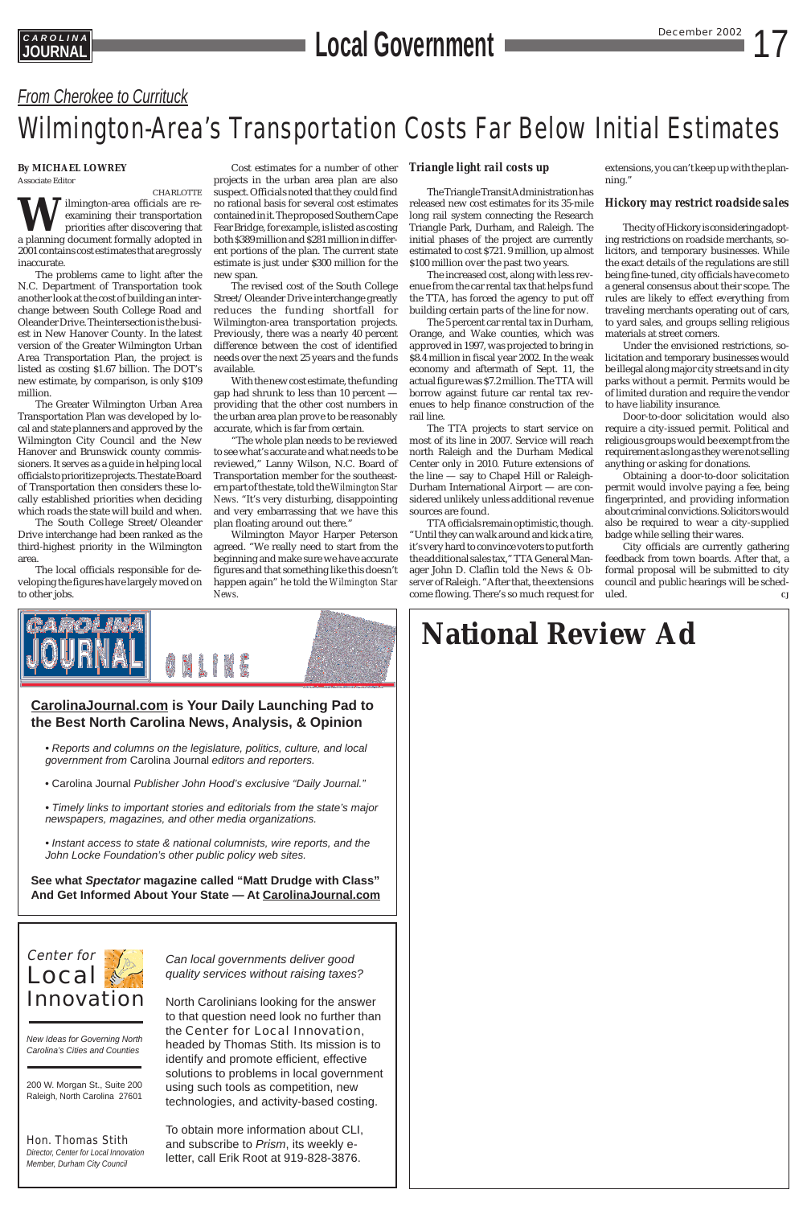## *From Cherokee to Currituck*

## Wilmington-Area's Transportation Costs Far Below Initial Estimates

## Center for **Local** Innovation

*New Ideas for Governing North Carolina's Cities and Counties*

200 W. Morgan St., Suite 200 Raleigh, North Carolina 27601

## Hon. Thomas Stith

*Director, Center for Local Innovation Member, Durham City Council*

*Can local governments deliver good quality services without raising taxes?*

North Carolinians looking for the answer to that question need look no further than the Center for Local Innovation, headed by Thomas Stith. Its mission is to identify and promote efficient, effective solutions to problems in local government using such tools as competition, new technologies, and activity-based costing.

To obtain more information about CLI, and subscribe to *Prism*, its weekly eletter, call Erik Root at 919-828-3876.

### **By MICHAEL LOWREY** Associate Editor

CHARLOTTE **W**ilmington-area officials are re-<br>examining their transportation<br>priorities after discovering that<br>a planning document formally adopted in examining their transportation priorities after discovering that 2001 contains cost estimates that are grossly inaccurate.

The problems came to light after the N.C. Department of Transportation took another look at the cost of building an interchange between South College Road and Oleander Drive. The intersection is the busiest in New Hanover County. In the latest version of the Greater Wilmington Urban Area Transportation Plan, the project is listed as costing \$1.67 billion. The DOT's new estimate, by comparison, is only \$109 million.

The Greater Wilmington Urban Area Transportation Plan was developed by local and state planners and approved by the Wilmington City Council and the New Hanover and Brunswick county commissioners. It serves as a guide in helping local officials to prioritize projects. The state Board of Transportation then considers these locally established priorities when deciding which roads the state will build and when.

The South College Street/Oleander Drive interchange had been ranked as the third-highest priority in the Wilmington area.

The local officials responsible for developing the figures have largely moved on to other jobs.

## **CarolinaJournal.com is Your Daily Launching Pad to the Best North Carolina News, Analysis, & Opinion**

- Reports and columns on the legislature, politics, culture, and local government from Carolina Journal editors and reporters.
- Carolina Journal Publisher John Hood's exclusive "Daily Journal."
- Timely links to important stories and editorials from the state's major newspapers, magazines, and other media organizations.
- Instant access to state & national columnists, wire reports, and the John Locke Foundation's other public policy web sites.

**See what Spectator magazine called "Matt Drudge with Class"**

**And Get Informed About Your State — At CarolinaJournal.com**

## **National Review Ad**

Cost estimates for a number of other projects in the urban area plan are also suspect. Officials noted that they could find no rational basis for several cost estimates contained in it. The proposed Southern Cape Fear Bridge, for example, is listed as costing both \$389 million and \$281 million in different portions of the plan. The current state estimate is just under \$300 million for the new span.

The revised cost of the South College Street/Oleander Drive interchange greatly reduces the funding shortfall for Wilmington-area transportation projects. Previously, there was a nearly 40 percent difference between the cost of identified needs over the next 25 years and the funds available.

> City officials are currently gathering feedback from town boards. After that, a formal proposal will be submitted to city council and public hearings will be scheduled.  $\qquad \qquad \qquad cJ$



With the new cost estimate, the funding gap had shrunk to less than 10 percent providing that the other cost numbers in the urban area plan prove to be reasonably accurate, which is far from certain.

"The whole plan needs to be reviewed to see what's accurate and what needs to be reviewed," Lanny Wilson, N.C. Board of Transportation member for the southeastern part of the state, told the *Wilmington Star News*. "It's very disturbing, disappointing and very embarrassing that we have this plan floating around out there."

Wilmington Mayor Harper Peterson agreed. "We really need to start from the beginning and make sure we have accurate figures and that something like this doesn't happen again" he told the *Wilmington Star News*.

## *Triangle light rail costs up*

The Triangle Transit Administration has released new cost estimates for its 35-mile long rail system connecting the Research Triangle Park, Durham, and Raleigh. The initial phases of the project are currently estimated to cost \$721. 9 million, up almost \$100 million over the past two years.

The increased cost, along with less revenue from the car rental tax that helps fund the TTA, has forced the agency to put off building certain parts of the line for now.

The 5 percent car rental tax in Durham, Orange, and Wake counties, which was approved in 1997, was projected to bring in \$8.4 million in fiscal year 2002. In the weak economy and aftermath of Sept. 11, the actual figure was \$7.2 million. The TTA will borrow against future car rental tax revenues to help finance construction of the rail line.

The TTA projects to start service on most of its line in 2007. Service will reach north Raleigh and the Durham Medical Center only in 2010. Future extensions of the line — say to Chapel Hill or Raleigh-Durham International Airport — are considered unlikely unless additional revenue sources are found.

TTA officials remain optimistic, though. "Until they can walk around and kick a tire, it's very hard to convince voters to put forth the additional sales tax," TTA General Manager John D. Claflin told the *News & Observer* of Raleigh. "After that, the extensions come flowing. There's so much request for extensions, you can't keep up with the planning."

## *Hickory may restrict roadside sales*

The city of Hickory is considering adopting restrictions on roadside merchants, solicitors, and temporary businesses. While the exact details of the regulations are still being fine-tuned, city officials have come to a general consensus about their scope. The rules are likely to effect everything from traveling merchants operating out of cars, to yard sales, and groups selling religious materials at street corners.

Under the envisioned restrictions, solicitation and temporary businesses would be illegal along major city streets and in city parks without a permit. Permits would be of limited duration and require the vendor to have liability insurance.

Door-to-door solicitation would also require a city-issued permit. Political and religious groups would be exempt from the requirement as long as they were not selling anything or asking for donations.

Obtaining a door-to-door solicitation permit would involve paying a fee, being fingerprinted, and providing information about criminal convictions. Solicitors would also be required to wear a city-supplied badge while selling their wares.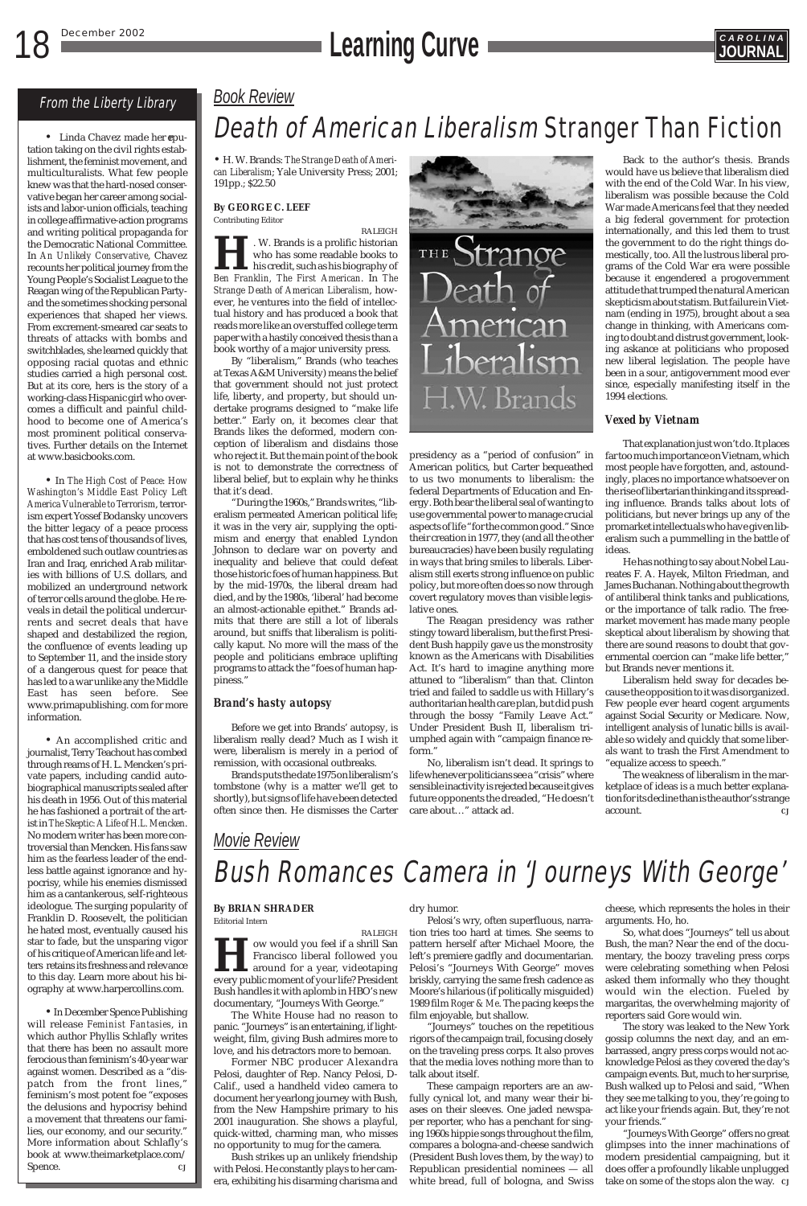## *Book Review*

## Death of American Liberalism Stranger Than Fiction

*Movie Review*

## Bush Romances Camera in 'Journeys With George'

• H. W. Brands: *The Strange Death of American Liberalism*; Yale University Press; 2001; 191pp.; \$22.50

### **By GEORGE C. LEEF** Contributing Editor

RALEIGH **H**. W. Brands is a prolific historian *Ben Franklin, The First American*. In *The* who has some readable books to his credit, such as his biography of *Strange Death of American Liberalism*, however, he ventures into the field of intellectual history and has produced a book that reads more like an overstuffed college term paper with a hastily conceived thesis than a book worthy of a major university press.

By "liberalism," Brands (who teaches at Texas A&M University) means the belief that government should not just protect life, liberty, and property, but should undertake programs designed to "make life better." Early on, it becomes clear that Brands likes the deformed, modern conception of liberalism and disdains those who reject it. But the main point of the book is not to demonstrate the correctness of liberal belief, but to explain why he thinks that it's dead.

"During the 1960s," Brands writes, "liberalism permeated American political life; it was in the very air, supplying the optimism and energy that enabled Lyndon Johnson to declare war on poverty and inequality and believe that could defeat those historic foes of human happiness. But by the mid-1970s, the liberal dream had died, and by the 1980s, 'liberal' had become an almost-actionable epithet." Brands admits that there are still a lot of liberals around, but sniffs that liberalism is politically kaput. No more will the mass of the people and politicians embrace uplifting programs to attack the "foes of human happiness."

## *Brand's hasty autopsy*

Before we get into Brands' autopsy, is liberalism really dead? Much as I wish it were, liberalism is merely in a period of remission, with occasional outbreaks.

Brands puts the date 1975 on liberalism's tombstone (why is a matter we'll get to shortly), but signs of life have been detected often since then. He dismisses the Carter



presidency as a "period of confusion" in American politics, but Carter bequeathed to us two monuments to liberalism: the federal Departments of Education and Energy. Both bear the liberal seal of wanting to use governmental power to manage crucial aspects of life "for the common good." Since their creation in 1977, they (and all the other bureaucracies) have been busily regulating in ways that bring smiles to liberals. Liberalism still exerts strong influence on public policy, but more often does so now through covert regulatory moves than visible legislative ones.

> The weakness of liberalism in the marketplace of ideas is a much better explanation for its decline than is the author's strange account.

**How would you feel if a shrill San Francisco liberal followed you around for a year, videotaping every public moment of your life? President** Francisco liberal followed you around for a year, videotaping Bush handles it with aplomb in HBO's new documentary, "Journeys With George."

The Reagan presidency was rather stingy toward liberalism, but the first President Bush happily gave us the monstrosity known as the Americans with Disabilities Act. It's hard to imagine anything more attuned to "liberalism" than that. Clinton tried and failed to saddle us with Hillary's authoritarian health care plan, but did push through the bossy "Family Leave Act." Under President Bush II, liberalism triumphed again with "campaign finance reform."

No, liberalism isn't dead. It springs to life whenever politicians see a "crisis" where sensible inactivity is rejected because it gives future opponents the dreaded, "He doesn't care about…" attack ad.

Back to the author's thesis. Brands would have us believe that liberalism died with the end of the Cold War. In his view, liberalism was possible because the Cold War made Americans feel that they needed a big federal government for protection internationally, and this led them to trust the government to do the right things domestically, too. All the lustrous liberal programs of the Cold War era were possible because it engendered a progovernment attitude that trumped the natural American skepticism about statism. But failure in Vietnam (ending in 1975), brought about a sea change in thinking, with Americans coming to doubt and distrust government, looking askance at politicians who proposed new liberal legislation. The people have been in a sour, antigovernment mood ever since, especially manifesting itself in the 1994 elections.

### *Vexed by Vietnam*

That explanation just won't do. It places far too much importance on Vietnam, which most people have forgotten, and, astoundingly, places no importance whatsoever on the rise of libertarian thinking and its spreading influence. Brands talks about lots of politicians, but never brings up any of the promarket intellectuals who have given liberalism such a pummelling in the battle of ideas.

• Linda Chavez made her reputation taking on the civil rights establishment, the feminist movement, and multiculturalists. What few people knew was that the hard-nosed conservative began her career among socialists and labor-union officials, teaching in college affirmative-action programs and writing political propaganda for the Democratic National Committee. In *An Unlikely Conservative*, Chavez recounts her political journey from the Young People's Socialist League to the Reagan wing of the Republican Partyand the sometimes shocking personal experiences that shaped her views. From excrement-smeared car seats to threats of attacks with bombs and switchblades, she learned quickly that opposing racial quotas and ethnic studies carried a high personal cost. But at its core, hers is the story of a working-class Hispanic girl who overcomes a difficult and painful childhood to become one of America's most prominent political conservatives. Further details on the Internet at www.basicbooks.com.

> He has nothing to say about Nobel Laureates F. A. Hayek, Milton Friedman, and James Buchanan. Nothing about the growth of antiliberal think tanks and publications, or the importance of talk radio. The freemarket movement has made many people skeptical about liberalism by showing that there are sound reasons to doubt that governmental coercion can "make life better," but Brands never mentions it.

> Liberalism held sway for decades because the opposition to it was disorganized. Few people ever heard cogent arguments against Social Security or Medicare. Now, intelligent analysis of lunatic bills is available so widely and quickly that some liberals want to trash the First Amendment to "equalize access to speech."

•In December Spence Publishing will release *Feminist Fantasies*, in which author Phyllis Schlafly writes that there has been no assault more ferocious than feminism's 40-year war against women. Described as a "dispatch from the front lines," feminism's most potent foe "exposes the delusions and hypocrisy behind a movement that threatens our families, our economy, and our security." More information about Schlafly's book at www.theimarketplace.com/ Spence. and *CJ* 

## **By BRIAN SHRADER**

Editorial Intern

RALEIGH

The White House had no reason to panic. "Journeys" is an entertaining, if lightweight, film, giving Bush admires more to love, and his detractors more to bemoan.

Former NBC producer Alexandra Pelosi, daughter of Rep. Nancy Pelosi, D-Calif., used a handheld video camera to document her yearlong journey with Bush, from the New Hampshire primary to his 2001 inauguration. She shows a playful, quick-witted, charming man, who misses no opportunity to mug for the camera.

Bush strikes up an unlikely friendship with Pelosi. He constantly plays to her camera, exhibiting his disarming charisma and

### dry humor.

Pelosi's wry, often superfluous, narration tries too hard at times. She seems to pattern herself after Michael Moore, the left's premiere gadfly and documentarian. Pelosi's "Journeys With George" moves briskly, carrying the same fresh cadence as Moore's hilarious (if politically misguided) 1989 film *Roger & Me*. The pacing keeps the film enjoyable, but shallow.

"Journeys" touches on the repetitious rigors of the campaign trail, focusing closely on the traveling press corps. It also proves that the media loves nothing more than to talk about itself.

These campaign reporters are an awfully cynical lot, and many wear their biases on their sleeves. One jaded newspaper reporter, who has a penchant for singing 1960s hippie songs throughout the film, compares a bologna-and-cheese sandwich (President Bush loves them, by the way) to Republican presidential nominees — all white bread, full of bologna, and Swiss

cheese, which represents the holes in their arguments. Ho, ho.

So, what does "Journeys" tell us about Bush, the man? Near the end of the documentary, the boozy traveling press corps were celebrating something when Pelosi asked them informally who they thought would win the election. Fueled by margaritas, the overwhelming majority of reporters said Gore would win.

The story was leaked to the New York gossip columns the next day, and an embarrassed, angry press corps would not acknowledge Pelosi as they covered the day's campaign events. But, much to her surprise, Bush walked up to Pelosi and said, "When they see me talking to you, they're going to act like your friends again. But, they're not your friends."

"Journeys With George" offers no great glimpses into the inner machinations of modern presidential campaigning, but it does offer a profoundly likable unplugged take on some of the stops alon the way. *CJ*

## **18 December 2002 CAROLINA**



## From the Liberty Library

• In *The High Cost of Peace: How Washington's Middle East Policy Left America Vulnerable to Terrorism*, terrorism expert Yossef Bodansky uncovers the bitter legacy of a peace process that has cost tens of thousands of lives, emboldened such outlaw countries as Iran and Iraq, enriched Arab militaries with billions of U.S. dollars, and mobilized an underground network of terror cells around the globe. He reveals in detail the political undercurrents and secret deals that have shaped and destabilized the region, the confluence of events leading up to September 11, and the inside story of a dangerous quest for peace that has led to a war unlike any the Middle East has seen before. See www.primapublishing. com for more information.

• An accomplished critic and journalist, Terry Teachout has combed through reams of H. L. Mencken's private papers, including candid autobiographical manuscripts sealed after his death in 1956. Out of this material he has fashioned a portrait of the artist in *The Skeptic: A Life of H.L. Mencken*. No modern writer has been more controversial than Mencken. His fans saw him as the fearless leader of the endless battle against ignorance and hypocrisy, while his enemies dismissed him as a cantankerous, self-righteous ideologue. The surging popularity of Franklin D. Roosevelt, the politician he hated most, eventually caused his star to fade, but the unsparing vigor of his critique of American life and letters retains its freshness and relevance to this day. Learn more about his biography at www.harpercollins.com.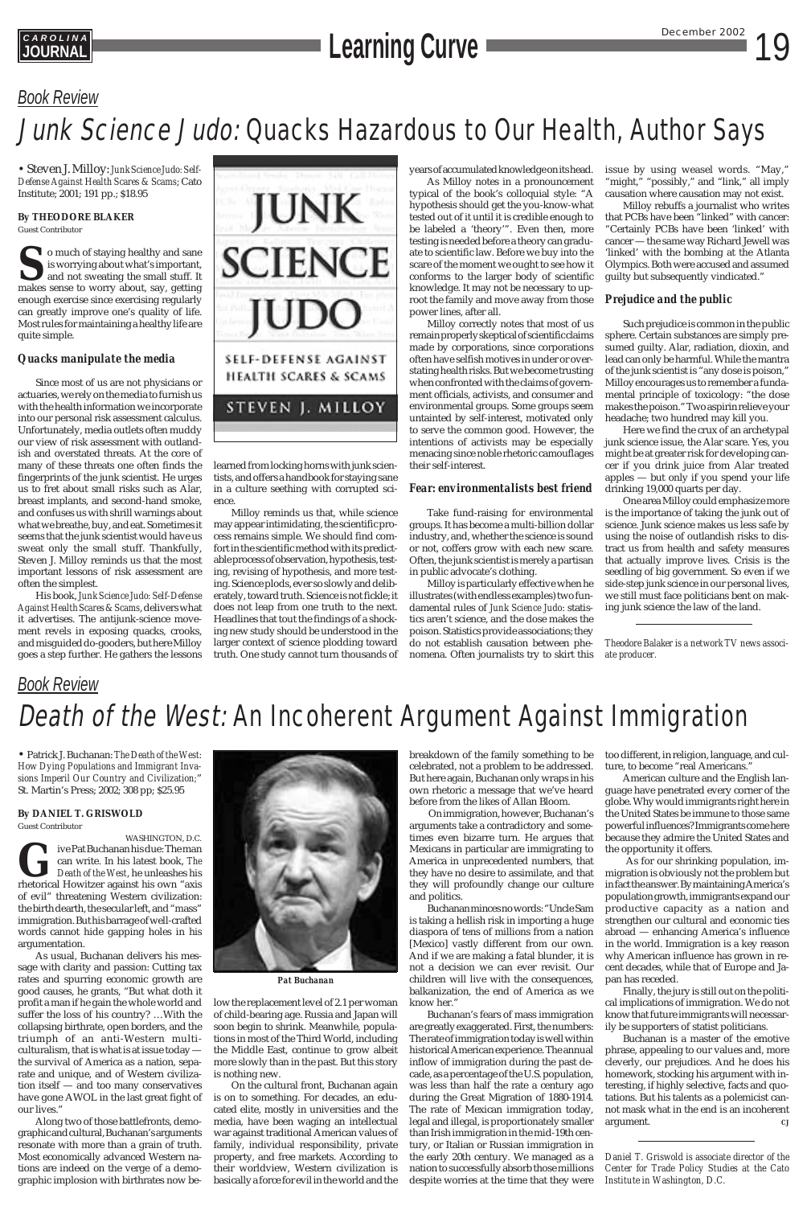## *Book Review* Death of the West: An Incoherent Argument Against Immigration

## **CAROLINA**<br> **Learning Curve Curve December 2002** 19

## *Book Review*

## Junk Science Judo: Quacks Hazardous to Our Health, Author Says

• Steven J. Milloy: *Junk Science Judo: Self-Defense Against Health Scares & Scams*; Cato Institute; 2001; 191 pp.; \$18.95

**By THEODORE BLAKER**

Guest Contributor

**S**o much of staying healthy and sane is worrying about what's important, and not sweating the small stuff. It makes sense to worry about, say, getting enough exercise since exercising regularly can greatly improve one's quality of life. Most rules for maintaining a healthy life are quite simple.

## *Quacks manipulate the media*

Since most of us are not physicians or actuaries, we rely on the media to furnish us with the health information we incorporate into our personal risk assessment calculus. Unfortunately, media outlets often muddy our view of risk assessment with outlandish and overstated threats. At the core of many of these threats one often finds the fingerprints of the junk scientist. He urges us to fret about small risks such as Alar, breast implants, and second-hand smoke, and confuses us with shrill warnings about what we breathe, buy, and eat. Sometimes it seems that the junk scientist would have us sweat only the small stuff. Thankfully, Steven J. Milloy reminds us that the most important lessons of risk assessment are often the simplest.

His book, *Junk Science Judo: Self-Defense Against Health Scares & Scams*, delivers what it advertises. The antijunk-science movement revels in exposing quacks, crooks, and misguided do-gooders, but here Milloy goes a step further. He gathers the lessons



learned from locking horns with junk scientists, and offers a handbook for staying sane in a culture seething with corrupted science.

Milloy reminds us that, while science may appear intimidating, the scientific process remains simple. We should find comfort in the scientific method with its predictable process of observation, hypothesis, testing, revising of hypothesis, and more testing. Science plods, ever so slowly and deliberately, toward truth. Science is not fickle; it does not leap from one truth to the next. Headlines that tout the findings of a shocking new study should be understood in the larger context of science plodding toward truth. One study cannot turn thousands of years of accumulated knowledge on its head.

As Milloy notes in a pronouncement typical of the book's colloquial style: "A hypothesis should get the you-know-what tested out of it until it is credible enough to be labeled a 'theory'". Even then, more testing is needed before a theory can graduate to scientific law. Before we buy into the scare of the moment we ought to see how it conforms to the larger body of scientific knowledge. It may not be necessary to uproot the family and move away from those power lines, after all.

Milloy correctly notes that most of us remain properly skeptical of scientific claims made by corporations, since corporations often have selfish motives in under or overstating health risks. But we become trusting when confronted with the claims of government officials, activists, and consumer and environmental groups. Some groups seem untainted by self-interest, motivated only to serve the common good. However, the intentions of activists may be especially menacing since noble rhetoric camouflages their self-interest.

## *Fear: environmentalists best friend*

Take fund-raising for environmental groups. It has become a multi-billion dollar industry, and, whether the science is sound or not, coffers grow with each new scare. Often, the junk scientist is merely a partisan in public advocate's clothing.

Milloy is particularly effective when he illustrates (with endless examples) two fundamental rules of *Junk Science Judo*: statistics aren't science, and the dose makes the poison. Statistics provide associations; they do not establish causation between phenomena. Often journalists try to skirt this issue by using weasel words. "May," "might," "possibly," and "link," all imply causation where causation may not exist.

Milloy rebuffs a journalist who writes that PCBs have been "linked" with cancer: "Certainly PCBs have been 'linked' with cancer — the same way Richard Jewell was 'linked' with the bombing at the Atlanta Olympics. Both were accused and assumed guilty but subsequently vindicated."

## *Prejudice and the public*

Such prejudice is common in the public sphere. Certain substances are simply presumed guilty. Alar, radiation, dioxin, and lead can only be harmful. While the mantra of the junk scientist is "any dose is poison," Milloy encourages us to remember a fundamental principle of toxicology: "the dose makes the poison." Two aspirin relieve your headache; two hundred may kill you.

Here we find the crux of an archetypal junk science issue, the Alar scare. Yes, you might be at greater risk for developing cancer if you drink juice from Alar treated apples — but only if you spend your life drinking 19,000 quarts per day.

One area Milloy could emphasize more is the importance of taking the junk out of science. Junk science makes us less safe by using the noise of outlandish risks to distract us from health and safety measures that actually improve lives. Crisis is the seedling of big government. So even if we side-step junk science in our personal lives, we still must face politicians bent on making junk science the law of the land.

*Theodore Balaker is a network TV news associate producer.*

• Patrick J. Buchanan: *The Death of the West: How Dying Populations and Immigrant Invasions Imperil Our Country and Civilization;*" St. Martin's Press; 2002; 308 pp; \$25.95

**By DANIEL T. GRISWOLD** Guest Contributor





of evil" threatening Western civilization: the birth dearth, the secular left, and "mass" immigration. But his barrage of well-crafted words cannot hide gapping holes in his argumentation.

As usual, Buchanan delivers his message with clarity and passion: Cutting tax rates and spurring economic growth are good causes, he grants, "But what doth it profit a man if he gain the whole world and suffer the loss of his country? …With the collapsing birthrate, open borders, and the triumph of an anti-Western multiculturalism, that is what is at issue today the survival of America as a nation, separate and unique, and of Western civilization itself — and too many conservatives have gone AWOL in the last great fight of our lives."

Along two of those battlefronts, demographic and cultural, Buchanan's arguments resonate with more than a grain of truth. Most economically advanced Western nations are indeed on the verge of a demographic implosion with birthrates now below the replacement level of 2.1 per woman of child-bearing age. Russia and Japan will soon begin to shrink. Meanwhile, populations in most of the Third World, including the Middle East, continue to grow albeit more slowly than in the past. But this story is nothing new.

On the cultural front, Buchanan again is on to something. For decades, an educated elite, mostly in universities and the media, have been waging an intellectual war against traditional American values of family, individual responsibility, private property, and free markets. According to their worldview, Western civilization is basically a force for evil in the world and the breakdown of the family something to be celebrated, not a problem to be addressed. But here again, Buchanan only wraps in his own rhetoric a message that we've heard before from the likes of Allan Bloom.

On immigration, however, Buchanan's arguments take a contradictory and sometimes even bizarre turn. He argues that Mexicans in particular are immigrating to America in unprecedented numbers, that they have no desire to assimilate, and that they will profoundly change our culture

and politics.

Buchanan minces no words: "Uncle Sam is taking a hellish risk in importing a huge diaspora of tens of millions from a nation [Mexico] vastly different from our own. And if we are making a fatal blunder, it is not a decision we can ever revisit. Our children will live with the consequences, balkanization, the end of America as we know her."

Buchanan's fears of mass immigration are greatly exaggerated. First, the numbers: The rate of immigration today is well within historical American experience. The annual inflow of immigration during the past decade, as a percentage of the U.S. population, was less than half the rate a century ago during the Great Migration of 1880-1914. The rate of Mexican immigration today, legal and illegal, is proportionately smaller than Irish immigration in the mid-19th century, or Italian or Russian immigration in the early 20th century. We managed as a nation to successfully absorb those millions despite worries at the time that they were

too different, in religion, language, and culture, to become "real Americans."

American culture and the English language have penetrated every corner of the globe. Why would immigrants right here in the United States be immune to those same powerful influences? Immigrants come here because they admire the United States and the opportunity it offers.

As for our shrinking population, immigration is obviously not the problem but in fact the answer. By maintaining America's population growth, immigrants expand our productive capacity as a nation and strengthen our cultural and economic ties abroad — enhancing America's influence in the world. Immigration is a key reason why American influence has grown in recent decades, while that of Europe and Japan has receded. Finally, the jury is still out on the political implications of immigration. We do not know that future immigrants will necessarily be supporters of statist politicians. Buchanan is a master of the emotive phrase, appealing to our values and, more cleverly, our prejudices. And he does his homework, stocking his argument with interesting, if highly selective, facts and quotations. But his talents as a polemicist cannot mask what in the end is an incoherent argument. *CJ*

*Daniel T. Griswold is associate director of the Center for Trade Policy Studies at the Cato Institute in Washington, D.C.*

*Pat Buchanan*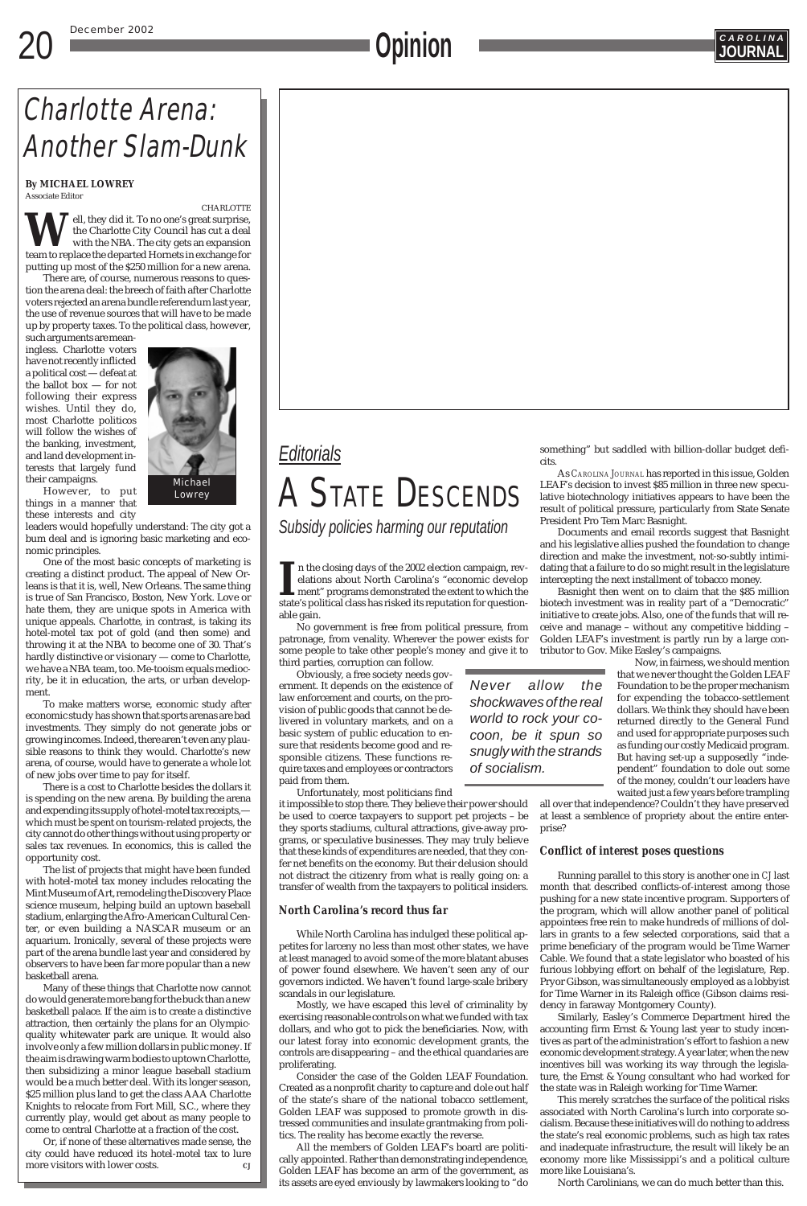### December 2002

## **COPINION**



## *Editorials* A STATE DESCENDS

*Subsidy policies harming our reputation*

*Never allow the shockwaves of the real world to rock your cocoon, be it spun so snugly with the strands of socialism.*

## Charlotte Arena: Another Slam-Dunk

## **By MICHAEL LOWREY**

Associate Editor

CHARLOTTE ell, they did it. To no one's great surprise, the Charlotte City Council has cut a deal with the NBA. The city gets an expansion team to replace the departed Hornets in exchange for putting up most of the \$250 million for a new arena.

There are, of course, numerous reasons to question the arena deal: the breech of faith after Charlotte voters rejected an arena bundle referendum last year, the use of revenue sources that will have to be made up by property taxes. To the political class, however,

such arguments are meaningless. Charlotte voters have not recently inflicted a political cost — defeat at the ballot box — for not following their express wishes. Until they do, most Charlotte politicos will follow the wishes of the banking, investment, and land development interests that largely fund their campaigns.

However, to put things in a manner that these interests and city

leaders would hopefully understand: The city got a bum deal and is ignoring basic marketing and economic principles.

One of the most basic concepts of marketing is creating a distinct product. The appeal of New Orleans is that it is, well, New Orleans. The same thing is true of San Francisco, Boston, New York. Love or hate them, they are unique spots in America with unique appeals. Charlotte, in contrast, is taking its hotel-motel tax pot of gold (and then some) and throwing it at the NBA to become one of 30. That's hardly distinctive or visionary — come to Charlotte, we have a NBA team, too. Me-tooism equals mediocrity, be it in education, the arts, or urban development.

II in the closing days of the 2002 election campaign, revelations about North Carolina's "economic develop ment" programs demonstrated the extent to which the state's political class has risked its reputation for questionn the closing days of the 2002 election campaign, revelations about North Carolina's "economic develop ment" programs demonstrated the extent to which the able gain.

To make matters worse, economic study after economic study has shown that sports arenas are bad investments. They simply do not generate jobs or growing incomes. Indeed, there aren't even any plausible reasons to think they would. Charlotte's new arena, of course, would have to generate a whole lot of new jobs over time to pay for itself.

There is a cost to Charlotte besides the dollars it is spending on the new arena. By building the arena and expending its supply of hotel-motel tax receipts, which must be spent on tourism-related projects, the city cannot do other things without using property or sales tax revenues. In economics, this is called the opportunity cost.

The list of projects that might have been funded with hotel-motel tax money includes relocating the

Mint Museum of Art, remodeling the Discovery Place science museum, helping build an uptown baseball stadium, enlarging the Afro-American Cultural Center, or even building a NASCAR museum or an aquarium. Ironically, several of these projects were part of the arena bundle last year and considered by observers to have been far more popular than a new basketball arena.

Many of these things that Charlotte now cannot do would generate more bang for the buck than a new basketball palace. If the aim is to create a distinctive attraction, then certainly the plans for an Olympicquality whitewater park are unique. It would also involve only a few million dollars in public money. If the aim is drawing warm bodies to uptown Charlotte, then subsidizing a minor league baseball stadium would be a much better deal. With its longer season, \$25 million plus land to get the class AAA Charlotte Knights to relocate from Fort Mill, S.C., where they currently play, would get about as many people to come to central Charlotte at a fraction of the cost.

Or, if none of these alternatives made sense, the city could have reduced its hotel-motel tax to lure more visitors with lower costs. *CJ*



Lowrey

No government is free from political pressure, from patronage, from venality. Wherever the power exists for some people to take other people's money and give it to third parties, corruption can follow.

Obviously, a free society needs government. It depends on the existence of law enforcement and courts, on the provision of public goods that cannot be delivered in voluntary markets, and on a basic system of public education to ensure that residents become good and responsible citizens. These functions require taxes and employees or contractors paid from them.

Unfortunately, most politicians find

it impossible to stop there. They believe their power should be used to coerce taxpayers to support pet projects – be they sports stadiums, cultural attractions, give-away programs, or speculative businesses. They may truly believe that these kinds of expenditures are needed, that they confer net benefits on the economy. But their delusion should not distract the citizenry from what is really going on: a

transfer of wealth from the taxpayers to political insiders.

## *North Carolina's record thus far*

While North Carolina has indulged these political appetites for larceny no less than most other states, we have at least managed to avoid some of the more blatant abuses of power found elsewhere. We haven't seen any of our governors indicted. We haven't found large-scale bribery scandals in our legislature.

Mostly, we have escaped this level of criminality by exercising reasonable controls on what we funded with tax dollars, and who got to pick the beneficiaries. Now, with our latest foray into economic development grants, the controls are disappearing – and the ethical quandaries are proliferating.

Consider the case of the Golden LEAF Foundation. Created as a nonprofit charity to capture and dole out half of the state's share of the national tobacco settlement, Golden LEAF was supposed to promote growth in distressed communities and insulate grantmaking from politics. The reality has become exactly the reverse.

All the members of Golden LEAF's board are politically appointed. Rather than demonstrating independence, Golden LEAF has become an arm of the government, as its assets are eyed enviously by lawmakers looking to "do something" but saddled with billion-dollar budget deficits.

As *CAROLINA JOURNAL* has reported in this issue, Golden LEAF's decision to invest \$85 million in three new speculative biotechnology initiatives appears to have been the result of political pressure, particularly from State Senate President Pro Tem Marc Basnight.

Documents and email records suggest that Basnight and his legislative allies pushed the foundation to change direction and make the investment, not-so-subtly intimidating that a failure to do so might result in the legislature intercepting the next installment of tobacco money.

Basnight then went on to claim that the \$85 million biotech investment was in reality part of a "Democratic" initiative to create jobs. Also, one of the funds that will receive and manage – without any competitive bidding – Golden LEAF's investment is partly run by a large contributor to Gov. Mike Easley's campaigns.

> Now, in fairness, we should mention that we never thought the Golden LEAF Foundation to be the proper mechanism for expending the tobacco-settlement dollars. We think they should have been returned directly to the General Fund and used for appropriate purposes such as funding our costly Medicaid program. But having set-up a supposedly "independent" foundation to dole out some of the money, couldn't our leaders have waited just a few years before trampling

all over that independence? Couldn't they have preserved at least a semblence of propriety about the entire enterprise?

## *Conflict of interest poses questions*

Running parallel to this story is another one in *CJ* last month that described conflicts-of-interest among those pushing for a new state incentive program. Supporters of the program, which will allow another panel of political appointees free rein to make hundreds of millions of dollars in grants to a few selected corporations, said that a prime beneficiary of the program would be Time Warner Cable. We found that a state legislator who boasted of his furious lobbying effort on behalf of the legislature, Rep. Pryor Gibson, was simultaneously employed as a lobbyist for Time Warner in its Raleigh office (Gibson claims residency in faraway Montgomery County). Similarly, Easley's Commerce Department hired the accounting firm Ernst & Young last year to study incentives as part of the administration's effort to fashion a new economic development strategy. A year later, when the new incentives bill was working its way through the legislature, the Ernst & Young consultant who had worked for the state was in Raleigh working for Time Warner. This merely scratches the surface of the political risks associated with North Carolina's lurch into corporate socialism. Because these initiatives will do nothing to address the state's real economic problems, such as high tax rates and inadequate infrastructure, the result will likely be an economy more like Mississippi's and a political culture more like Louisiana's.

North Carolinians, we can do much better than this.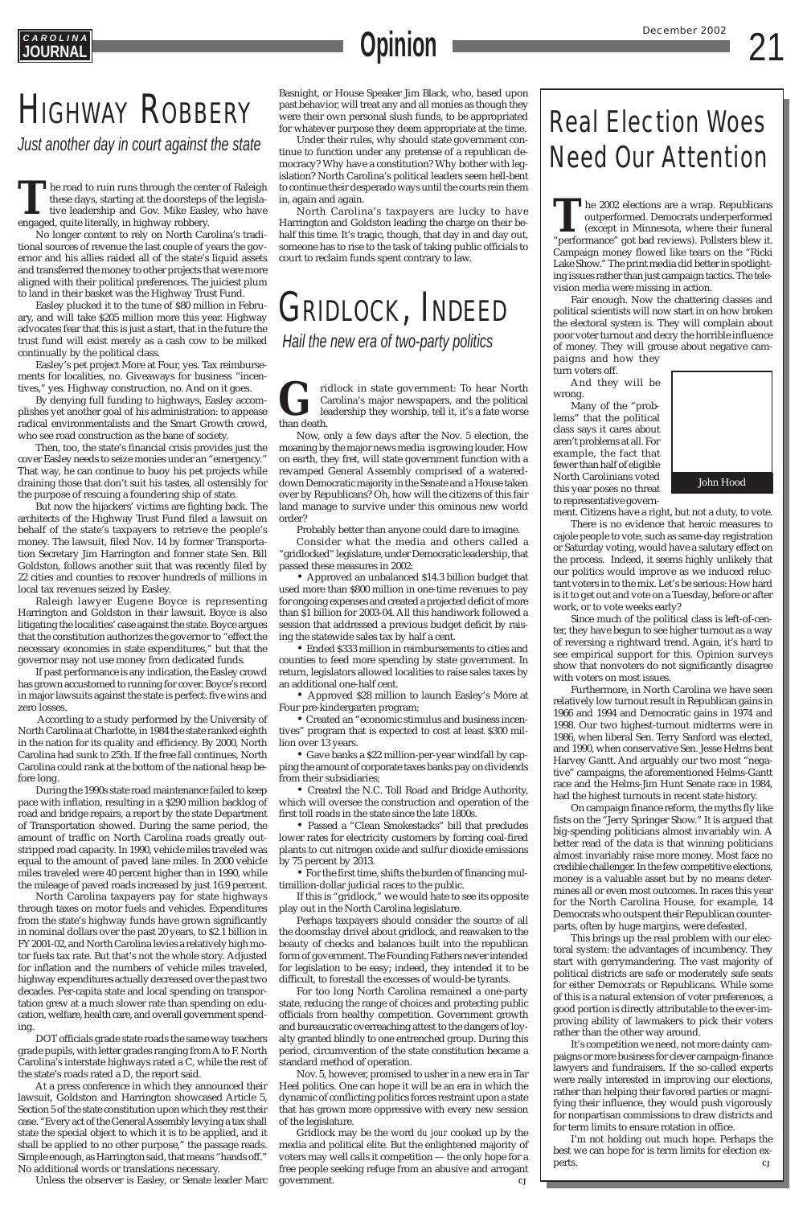## **C A R O L I N A URNA**l

## GRIDLOCK, INDEED  *Hail the new era of two-party politics*

*Just another day in court against the state*

## Real Election Woes Need Our Attention

ridlock in state government: To hear North Carolina's major newspapers, and the political leadership they worship, tell it, it's a fate worse than death.



## **Opinion**

## **HIGHWAY ROBBERY**

Now, only a few days after the Nov. 5 election, the moaning by the major news media is growing louder. How on earth, they fret, will state government function with a revamped General Assembly comprised of a watereddown Democratic majority in the Senate and a House taken over by Republicans? Oh, how will the citizens of this fair land manage to survive under this ominous new world order?

Probably better than anyone could dare to imagine.

Consider what the media and others called a "gridlocked" legislature, under Democratic leadership, that passed these measures in 2002:

• For the first time, shifts the burden of financing mul-Ilion-dollar judicial races to the public.

• Approved an unbalanced \$14.3 billion budget that used more than \$800 million in one-time revenues to pay for ongoing expenses and created a projected deficit of more than \$1 billion for 2003-04. All this handiwork followed a session that addressed a previous budget deficit by raising the statewide sales tax by half a cent.

• Ended \$333 million in reimbursements to cities and counties to feed more spending by state government. In return, legislators allowed localities to raise sales taxes by an additional one-half cent.

• Approved \$28 million to launch Easley's More at Four pre-kindergarten program;

• Created an "economic stimulus and business incentives" program that is expected to cost at least \$300 million over 13 years.

• Gave banks a \$22 million-per-year windfall by capping the amount of corporate taxes banks pay on dividends from their subsidiaries;

• Created the N.C. Toll Road and Bridge Authority, which will oversee the construction and operation of the first toll roads in the state since the late 1800s.

• Passed a "Clean Smokestacks" bill that precludes lower rates for electricity customers by forcing coal-fired plants to cut nitrogen oxide and sulfur dioxide emissions by 75 percent by 2013.

If this is "gridlock," we would hate to see its opposite play out in the North Carolina legislature.

Perhaps taxpayers should consider the source of all the doomsday drivel about gridlock, and reawaken to the beauty of checks and balances built into the republican form of government. The Founding Fathers never intended for legislation to be easy; indeed, they intended it to be difficult, to forestall the excesses of would-be tyrants.

For too long North Carolina remained a one-party state, reducing the range of choices and protecting public officials from healthy competition. Government growth and bureaucratic overreaching attest to the dangers of loyalty granted blindly to one entrenched group. During this period, circumvention of the state constitution became a standard method of operation.

Nov. 5, however, promised to usher in a new era in Tar Heel politics. One can hope it will be an era in which the dynamic of conflicting politics forces restraint upon a state that has grown more oppressive with every new session of the legislature.

Gridlock may be the word *du jour* cooked up by the media and political elite. But the enlightened majority of voters may well calls it competition — the only hope for a free people seeking refuge from an abusive and arrogant government. *CJ*

**T**he road to ruin runs through the center of Raleigh these days, starting at the doorsteps of the legislative leadership and Gov. Mike Easley, who have engaged, quite literally, in highway robbery.

No longer content to rely on North Carolina's traditional sources of revenue the last couple of years the governor and his allies raided all of the state's liquid assets and transferred the money to other projects that were more aligned with their political preferences. The juiciest plum to land in their basket was the Highway Trust Fund.

Easley plucked it to the tune of \$80 million in February, and will take \$205 million more this year. Highway advocates fear that this is just a start, that in the future the trust fund will exist merely as a cash cow to be milked continually by the political class.

Easley's pet project More at Four, yes. Tax reimbursements for localities, no. Giveaways for business "incentives," yes. Highway construction, no. And on it goes.

By denying full funding to highways, Easley accomplishes yet another goal of his administration: to appease radical environmentalists and the Smart Growth crowd, who see road construction as the bane of society.

The 2002 elections are a wrap. Republicans<br>
outperformed. Democrats underperformed<br>
(except in Minnesota, where their funeral<br>
"performance" got bad reviews). Pollsters blew it. outperformed. Democrats underperformed (except in Minnesota, where their funeral "performance" got bad reviews). Pollsters blew it. Campaign money flowed like tears on the "Ricki Lake Show." The print media did better in spotlighting issues rather than just campaign tactics. The television media were missing in action.

Then, too, the state's financial crisis provides just the cover Easley needs to seize monies under an "emergency." That way, he can continue to buoy his pet projects while draining those that don't suit his tastes, all ostensibly for the purpose of rescuing a foundering ship of state.

But now the hijackers' victims are fighting back. The architects of the Highway Trust Fund filed a lawsuit on behalf of the state's taxpayers to retrieve the people's money. The lawsuit, filed Nov. 14 by former Transportation Secretary Jim Harrington and former state Sen. Bill Goldston, follows another suit that was recently filed by 22 cities and counties to recover hundreds of millions in local tax revenues seized by Easley.

> On campaign finance reform, the myths fly like fists on the "Jerry Springer Show." It is argued that big-spending politicians almost invariably win. A better read of the data is that winning politicians almost invariably raise more money. Most face no credible challenger. In the few competitive elections, money is a valuable asset but by no means determines all or even most outcomes. In races this year for the North Carolina House, for example, 14 Democrats who outspent their Republican counterparts, often by huge margins, were defeated. This brings up the real problem with our electoral system: the advantages of incumbency. They start with gerrymandering. The vast majority of political districts are safe or moderately safe seats for either Democrats or Republicans. While some of this is a natural extension of voter preferences, a good portion is directly attributable to the ever-improving ability of lawmakers to pick their voters rather than the other way around. It's competition we need, not more dainty campaigns or more business for clever campaign-finance lawyers and fundraisers. If the so-called experts were really interested in improving our elections, rather than helping their favored parties or magnifying their influence, they would push vigorously for nonpartisan commissions to draw districts and for term limits to ensure rotation in office. I'm not holding out much hope. Perhaps the best we can hope for is term limits for election experts.  $\qquad \qquad CJ$

Raleigh lawyer Eugene Boyce is representing Harrington and Goldston in their lawsuit. Boyce is also litigating the localities' case against the state. Boyce argues that the constitution authorizes the governor to "effect the necessary economies in state expenditures," but that the governor may not use money from dedicated funds.

If past performance is any indication, the Easley crowd has grown accustomed to running for cover. Boyce's record in major lawsuits against the state is perfect: five wins and zero losses.

According to a study performed by the University of North Carolina at Charlotte, in 1984 the state ranked eighth in the nation for its quality and efficiency. By 2000, North Carolina had sunk to 25th. If the free fall continues, North Carolina could rank at the bottom of the national heap before long.

During the 1990s state road maintenance failed to keep pace with inflation, resulting in a \$290 million backlog of road and bridge repairs, a report by the state Department of Transportation showed. During the same period, the amount of traffic on North Carolina roads greatly outstripped road capacity. In 1990, vehicle miles traveled was equal to the amount of paved lane miles. In 2000 vehicle miles traveled were 40 percent higher than in 1990, while the mileage of paved roads increased by just 16.9 percent. North Carolina taxpayers pay for state highways through taxes on motor fuels and vehicles. Expenditures from the state's highway funds have grown significantly in nominal dollars over the past 20 years, to \$2.1 billion in FY 2001-02, and North Carolina levies a relatively high motor fuels tax rate. But that's not the whole story. Adjusted for inflation and the numbers of vehicle miles traveled, highway expenditures actually decreased over the past two decades. Per-capita state and local spending on transportation grew at a much slower rate than spending on education, welfare, health care, and overall government spending. DOT officials grade state roads the same way teachers grade pupils, with letter grades ranging from A to F. North Carolina's interstate highways rated a C, while the rest of the state's roads rated a D, the report said. At a press conference in which they announced their lawsuit, Goldston and Harrington showcased Article 5, Section 5 of the state constitution upon which they rest their case. "Every act of the General Assembly levying a tax shall state the special object to which it is to be applied, and it shall be applied to no other purpose," the passage reads. Simple enough, as Harrington said, that means "hands off." No additional words or translations necessary.

Unless the observer is Easley, or Senate leader Marc

Basnight, or House Speaker Jim Black, who, based upon past behavior, will treat any and all monies as though they were their own personal slush funds, to be appropriated for whatever purpose they deem appropriate at the time.

Under their rules, why should state government continue to function under any pretense of a republican democracy? Why have a constitution? Why bother with legislation? North Carolina's political leaders seem hell-bent to continue their desperado ways until the courts rein them in, again and again.

North Carolina's taxpayers are lucky to have Harrington and Goldston leading the charge on their behalf this time. It's tragic, though, that day in and day out, someone has to rise to the task of taking public officials to court to reclaim funds spent contrary to law.

> Fair enough. Now the chattering classes and political scientists will now start in on how broken the electoral system is. They will complain about poor voter turnout and decry the horrible influence of money. They will grouse about negative campaigns and how they

turn voters off.

And they will be wrong.

Many of the "problems" that the political class says it cares about aren't problems at all. For example, the fact that fewer than half of eligible North Carolinians voted this year poses no threat to representative govern-

ment. Citizens have a right, but not a duty, to vote.

There is no evidence that heroic measures to cajole people to vote, such as same-day registration or Saturday voting, would have a salutary effect on the process. Indeed, it seems highly unlikely that our politics would improve as we induced reluctant voters in to the mix. Let's be serious: How hard is it to get out and vote on a Tuesday, before or after work, or to vote weeks early?

Since much of the political class is left-of-center, they have begun to see higher turnout as a way of reversing a rightward trend. Again, it's hard to see empirical support for this. Opinion surveys show that nonvoters do not significantly disagree with voters on most issues.

Furthermore, in North Carolina we have seen relatively low turnout result in Republican gains in 1966 and 1994 and Democratic gains in 1974 and 1998. Our two highest-turnout midterms were in 1986, when liberal Sen. Terry Sanford was elected, and 1990, when conservative Sen. Jesse Helms beat Harvey Gantt. And arguably our two most "negative" campaigns, the aforementioned Helms-Gantt race and the Helms-Jim Hunt Senate race in 1984, had the highest turnouts in recent state history.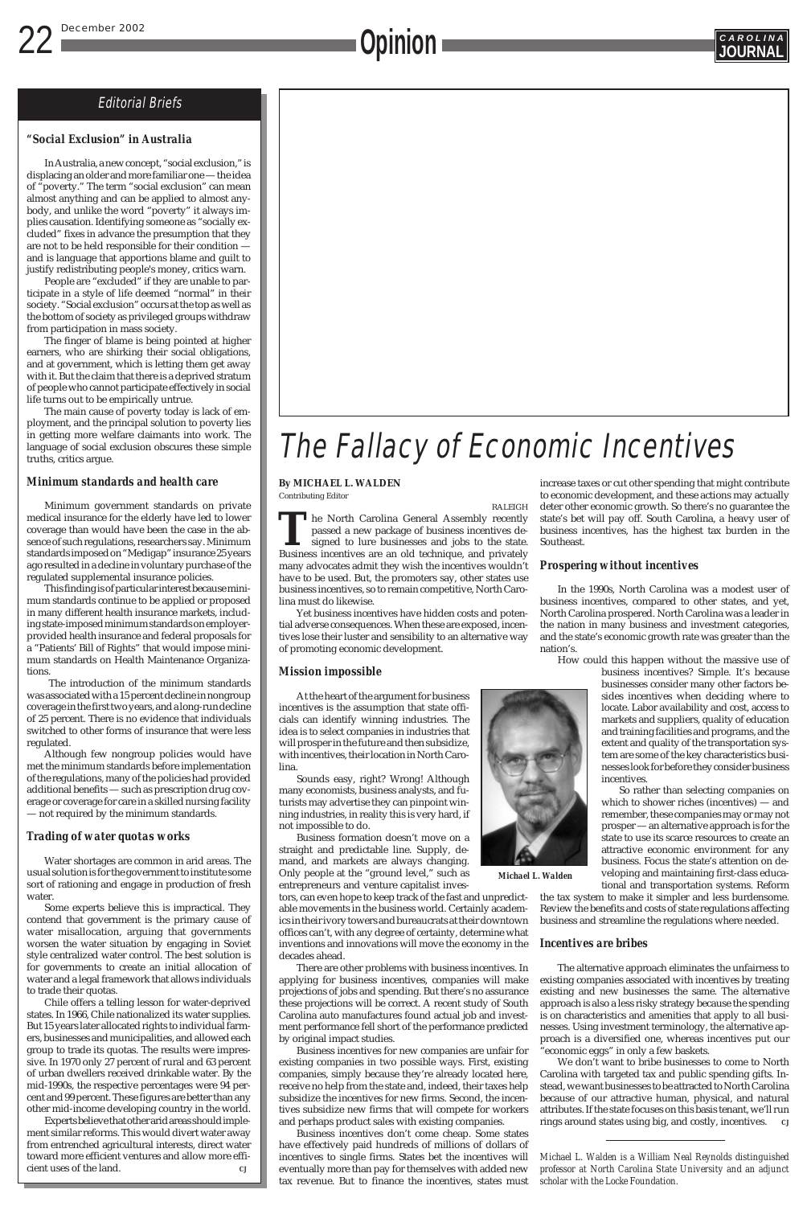## **C A R O L I N A Opinion JOURNAL**

## Editorial Briefs

## The Fallacy of Economic Incentives

### **By MICHAEL L. WALDEN** Contributing Editor

RALEIGH

**T**he North Carolina General Assembly recently passed a new package of business incentives designed to lure businesses and jobs to the state. Business incentives are an old technique, and privately many advocates admit they wish the incentives wouldn't have to be used. But, the promoters say, other states use business incentives, so to remain competitive, North Carolina must do likewise.

Yet business incentives have hidden costs and potential adverse consequences. When these are exposed, incentives lose their luster and sensibility to an alternative way of promoting economic development.

## *Mission impossible*

At the heart of the argument for business incentives is the assumption that state officials can identify winning industries. The idea is to select companies in industries that will prosper in the future and then subsidize, with incentives, their location in North Carolina.

Sounds easy, right? Wrong! Although many economists, business analysts, and futurists may advertise they can pinpoint winning industries, in reality this is very hard, if not impossible to do.

Business formation doesn't move on a straight and predictable line. Supply, demand, and markets are always changing. Only people at the "ground level," such as entrepreneurs and venture capitalist investors, can even hope to keep track of the fast and unpredictable movements in the business world. Certainly academics in their ivory towers and bureaucrats at their downtown offices can't, with any degree of certainty, determine what inventions and innovations will move the economy in the decades ahead. There are other problems with business incentives. In applying for business incentives, companies will make projections of jobs and spending. But there's no assurance these projections will be correct. A recent study of South Carolina auto manufactures found actual job and investment performance fell short of the performance predicted by original impact studies. Business incentives for new companies are unfair for existing companies in two possible ways. First, existing companies, simply because they're already located here, receive no help from the state and, indeed, their taxes help subsidize the incentives for new firms. Second, the incentives subsidize new firms that will compete for workers and perhaps product sales with existing companies. Business incentives don't come cheap. Some states have effectively paid hundreds of millions of dollars of incentives to single firms. States bet the incentives will eventually more than pay for themselves with added new tax revenue. But to finance the incentives, states must

increase taxes or cut other spending that might contribute to economic development, and these actions may actually deter other economic growth. So there's no guarantee the state's bet will pay off. South Carolina, a heavy user of business incentives, has the highest tax burden in the Southeast.

## *Prospering without incentives*

In the 1990s, North Carolina was a modest user of business incentives, compared to other states, and yet, North Carolina prospered. North Carolina was a leader in the nation in many business and investment categories, and the state's economic growth rate was greater than the nation's.

How could this happen without the massive use of

business incentives? Simple. It's because businesses consider many other factors besides incentives when deciding where to locate. Labor availability and cost, access to markets and suppliers, quality of education and training facilities and programs, and the extent and quality of the transportation system are some of the key characteristics businesses look for before they consider business incentives.

So rather than selecting companies on which to shower riches (incentives) — and remember, these companies may or may not prosper — an alternative approach is for the state to use its scarce resources to create an attractive economic environment for any business. Focus the state's attention on developing and maintaining first-class educational and transportation systems. Reform the tax system to make it simpler and less burdensome. Review the benefits and costs of state regulations affecting business and streamline the regulations where needed.

### *Incentives are bribes*

The alternative approach eliminates the unfairness to existing companies associated with incentives by treating existing and new businesses the same. The alternative approach is also a less risky strategy because the spending is on characteristics and amenities that apply to all businesses. Using investment terminology, the alternative approach is a diversified one, whereas incentives put our "economic eggs" in only a few baskets.

We don't want to bribe businesses to come to North Carolina with targeted tax and public spending gifts. Instead, we want businesses to be attracted to North Carolina because of our attractive human, physical, and natural attributes. If the state focuses on this basis tenant, we'll run rings around states using big, and costly, incentives. *CJ*

## *"Social Exclusion" in Australia*

In Australia, a new concept, "social exclusion," is displacing an older and more familiar one — the idea of "poverty." The term "social exclusion" can mean almost anything and can be applied to almost anybody, and unlike the word "poverty" it always implies causation. Identifying someone as "socially excluded" fixes in advance the presumption that they are not to be held responsible for their condition and is language that apportions blame and guilt to justify redistributing people's money, critics warn.

People are "excluded" if they are unable to participate in a style of life deemed "normal" in their society. "Social exclusion" occurs at the top as well as the bottom of society as privileged groups withdraw from participation in mass society.

The finger of blame is being pointed at higher earners, who are shirking their social obligations, and at government, which is letting them get away with it. But the claim that there is a deprived stratum of people who cannot participate effectively in social life turns out to be empirically untrue.

The main cause of poverty today is lack of employment, and the principal solution to poverty lies in getting more welfare claimants into work. The language of social exclusion obscures these simple truths, critics argue.

### *Minimum standards and health care*

Minimum government standards on private medical insurance for the elderly have led to lower coverage than would have been the case in the absence of such regulations, researchers say. Minimum standards imposed on "Medigap" insurance 25 years ago resulted in a decline in voluntary purchase of the regulated supplemental insurance policies.

This finding is of particular interest because minimum standards continue to be applied or proposed in many different health insurance markets, including state-imposed minimum standards on employerprovided health insurance and federal proposals for a "Patients' Bill of Rights" that would impose minimum standards on Health Maintenance Organizations.

The introduction of the minimum standards was associated with a 15 percent decline in nongroup coverage in the first two years, and a long-run decline of 25 percent. There is no evidence that individuals switched to other forms of insurance that were less regulated.

Although few nongroup policies would have met the minimum standards before implementation of the regulations, many of the policies had provided additional benefits — such as prescription drug coverage or coverage for care in a skilled nursing facility — not required by the minimum standards.

## *Trading of water quotas works*

Water shortages are common in arid areas. The usual solution is for the government to institute some sort of rationing and engage in production of fresh



water.

Some experts believe this is impractical. They contend that government is the primary cause of water misallocation, arguing that governments worsen the water situation by engaging in Soviet style centralized water control. The best solution is for governments to create an initial allocation of water and a legal framework that allows individuals to trade their quotas.

Chile offers a telling lesson for water-deprived states. In 1966, Chile nationalized its water supplies. But 15 years later allocated rights to individual farmers, businesses and municipalities, and allowed each group to trade its quotas. The results were impressive. In 1970 only 27 percent of rural and 63 percent of urban dwellers received drinkable water. By the mid-1990s, the respective percentages were 94 percent and 99 percent. These figures are better than any other mid-income developing country in the world.

Experts believe that other arid areas should implement similar reforms. This would divert water away from entrenched agricultural interests, direct water toward more efficient ventures and allow more efficient uses of the land. *CJ*



*Michael L. Walden*

*Michael L. Walden is a William Neal Reynolds distinguished professor at North Carolina State University and an adjunct scholar with the Locke Foundation.*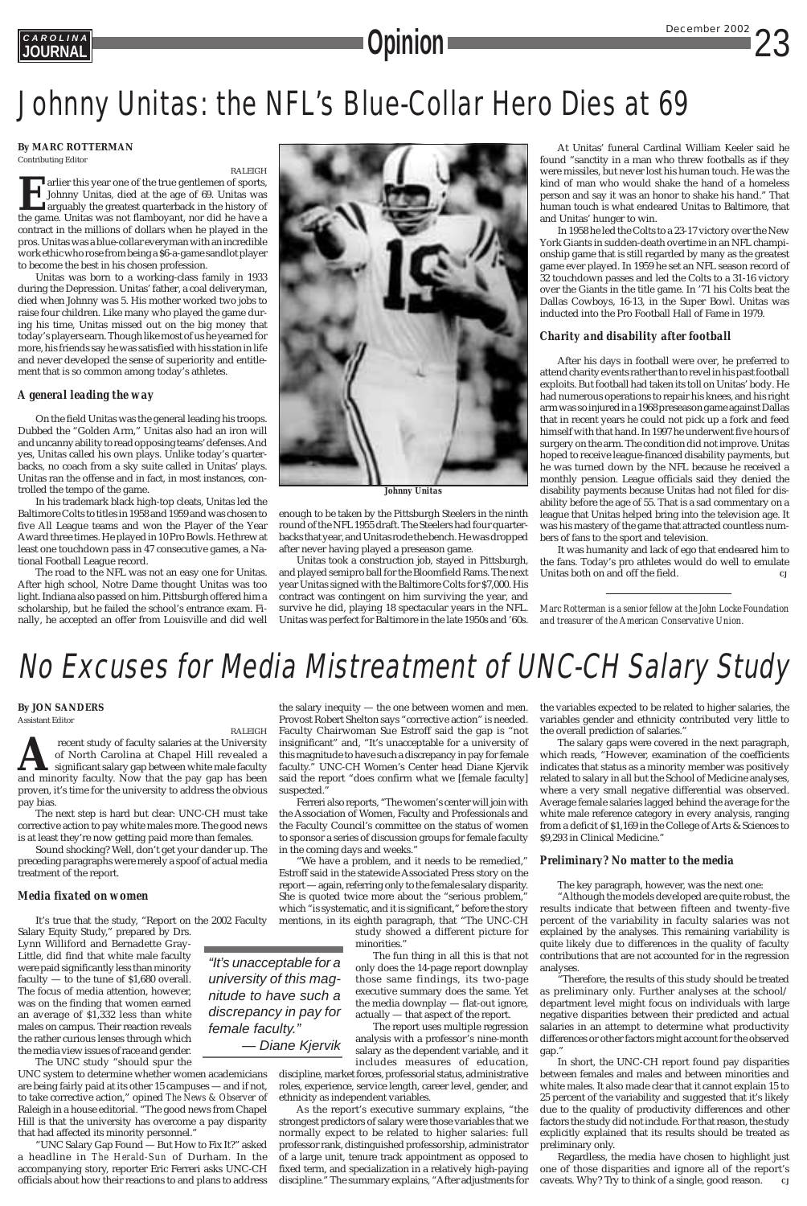## *<u>Opinion</u>*

**C A R O L I N A**

## No Excuses for Media Mistreatment of UNC-CH Salary Study

## **By MARC ROTTERMAN**

Contributing Editor

RALEIGH **Example 1** arlier this year one of the true gentlemen of sports,<br>Johnny Unitas, died at the age of 69. Unitas was<br>arguably the greatest quarterback in the history of<br>the game. Unitas was not flambovant, nor did he have a Johnny Unitas, died at the age of 69. Unitas was arguably the greatest quarterback in the history of the game. Unitas was not flamboyant, nor did he have a contract in the millions of dollars when he played in the pros. Unitas was a blue-collar everyman with an incredible work ethic who rose from being a \$6-a-game sandlot player to become the best in his chosen profession.

Unitas was born to a working-class family in 1933 during the Depression. Unitas' father, a coal deliveryman, died when Johnny was 5. His mother worked two jobs to raise four children. Like many who played the game during his time, Unitas missed out on the big money that today's players earn. Though like most of us he yearned for more, his friends say he was satisfied with his station in life and never developed the sense of superiority and entitlement that is so common among today's athletes.

## *A general leading the way*

On the field Unitas was the general leading his troops. Dubbed the "Golden Arm," Unitas also had an iron will and uncanny ability to read opposing teams' defenses. And yes, Unitas called his own plays. Unlike today's quarterbacks, no coach from a sky suite called in Unitas' plays. Unitas ran the offense and in fact, in most instances, controlled the tempo of the game.

In his trademark black high-top cleats, Unitas led the Baltimore Colts to titles in 1958 and 1959 and was chosen to five All League teams and won the Player of the Year Award three times. He played in 10 Pro Bowls. He threw at least one touchdown pass in 47 consecutive games, a National Football League record.

The road to the NFL was not an easy one for Unitas. After high school, Notre Dame thought Unitas was too light. Indiana also passed on him. Pittsburgh offered him a scholarship, but he failed the school's entrance exam. Finally, he accepted an offer from Louisville and did well

It was humanity and lack of ego that endeared him to the fans. Today's pro athletes would do well to emulate Unitas both on and off the field.

enough to be taken by the Pittsburgh Steelers in the ninth round of the NFL 1955 draft. The Steelers had four quarterbacks that year, and Unitas rode the bench. He was dropped after never having played a preseason game.

recent study of faculty salaries at the University of North Carolina at Chapel Hill revealed a significant salary gap between white male faculty and minority faculty. Now that the pay gap has been proven, it's time for the university to address the obvious pay bias.

Unitas took a construction job, stayed in Pittsburgh, and played semipro ball for the Bloomfield Rams. The next year Unitas signed with the Baltimore Colts for \$7,000. His contract was contingent on him surviving the year, and survive he did, playing 18 spectacular years in the NFL. Unitas was perfect for Baltimore in the late 1950s and '60s.

At Unitas' funeral Cardinal William Keeler said he found "sanctity in a man who threw footballs as if they were missiles, but never lost his human touch. He was the kind of man who would shake the hand of a homeless person and say it was an honor to shake his hand." That human touch is what endeared Unitas to Baltimore, that and Unitas' hunger to win.

In 1958 he led the Colts to a 23-17 victory over the New York Giants in sudden-death overtime in an NFL championship game that is still regarded by many as the greatest game ever played. In 1959 he set an NFL season record of 32 touchdown passes and led the Colts to a 31-16 victory over the Giants in the title game. In '71 his Colts beat the Dallas Cowboys, 16-13, in the Super Bowl. Unitas was inducted into the Pro Football Hall of Fame in 1979.

## *Charity and disability after football*

*"It's unacceptable for a university of this magnitude to have such a discrepancy in pay for female faculty." — Diane Kjervik* "We have a problem, and it needs to be remedied," Estroff said in the statewide Associated Press story on the report — again, referring only to the female salary disparity. She is quoted twice more about the "serious problem," which "is systematic, and it is significant," before the story mentions, in its eighth paragraph, that "The UNC-CH study showed a different picture for minorities." The fun thing in all this is that not only does the 14-page report downplay those same findings, its two-page executive summary does the same. Yet the media downplay — flat-out ignore, actually — that aspect of the report. The report uses multiple regression analysis with a professor's nine-month salary as the dependent variable, and it includes measures of education,

After his days in football were over, he preferred to attend charity events rather than to revel in his past football exploits. But football had taken its toll on Unitas' body. He had numerous operations to repair his knees, and his right arm was so injured in a 1968 preseason game against Dallas that in recent years he could not pick up a fork and feed himself with that hand. In 1997 he underwent five hours of surgery on the arm. The condition did not improve. Unitas hoped to receive league-financed disability payments, but he was turned down by the NFL because he received a monthly pension. League officials said they denied the disability payments because Unitas had not filed for disability before the age of 55. That is a sad commentary on a league that Unitas helped bring into the television age. It was his mastery of the game that attracted countless numbers of fans to the sport and television.

*Marc Rotterman is a senior fellow at the John Locke Foundation and treasurer of the American Conservative Union.*



*Johnny Unitas*

## Johnny Unitas: the NFL's Blue-Collar Hero Dies at 69

### **By JON SANDERS**

Assistant Editor

RALEIGH

Regardless, the media have chosen to highlight just one of those disparities and ignore all of the report's caveats. Why? Try to think of a single, good reason.

The next step is hard but clear: UNC-CH must take corrective action to pay white males more. The good news is at least they're now getting paid more than females.

Sound shocking? Well, don't get your dander up. The preceding paragraphs were merely a spoof of actual media treatment of the report.

### *Media fixated on women*

It's true that the study, "Report on the 2002 Faculty Salary Equity Study," prepared by Drs. Lynn Williford and Bernadette Gray-Little, did find that white male faculty were paid significantly less than minority faculty — to the tune of \$1,680 overall. The focus of media attention, however, was on the finding that women earned an average of \$1,332 less than white males on campus. Their reaction reveals the rather curious lenses through which the media view issues of race and gender.

The UNC study "should spur the UNC system to determine whether women academicians are being fairly paid at its other 15 campuses — and if not, to take corrective action," opined *The News & Observer* of Raleigh in a house editorial. "The good news from Chapel Hill is that the university has overcome a pay disparity that had affected its minority personnel."

"UNC Salary Gap Found — But How to Fix It?" asked a headline in *The Herald-Sun* of Durham. In the accompanying story, reporter Eric Ferreri asks UNC-CH officials about how their reactions to and plans to address

the salary inequity — the one between women and men. Provost Robert Shelton says "corrective action" is needed. Faculty Chairwoman Sue Estroff said the gap is "not insignificant" and, "It's unacceptable for a university of this magnitude to have such a discrepancy in pay for female faculty." UNC-CH Women's Center head Diane Kjervik said the report "does confirm what we [female faculty] suspected."

Ferreri also reports, "The women's center will join with the Association of Women, Faculty and Professionals and the Faculty Council's committee on the status of women to sponsor a series of discussion groups for female faculty in the coming days and weeks."

discipline, market forces, professorial status, administrative roles, experience, service length, career level, gender, and ethnicity as independent variables.

As the report's executive summary explains, "the strongest predictors of salary were those variables that we normally expect to be related to higher salaries: full professor rank, distinguished professorship, administrator of a large unit, tenure track appointment as opposed to fixed term, and specialization in a relatively high-paying discipline." The summary explains, "After adjustments for

the variables expected to be related to higher salaries, the variables gender and ethnicity contributed very little to the overall prediction of salaries."

The salary gaps were covered in the next paragraph, which reads, "However, examination of the coefficients indicates that status as a minority member was positively related to salary in all but the School of Medicine analyses, where a very small negative differential was observed. Average female salaries lagged behind the average for the white male reference category in every analysis, ranging from a deficit of \$1,169 in the College of Arts & Sciences to \$9,293 in Clinical Medicine."

## *Preliminary? No matter to the media*

The key paragraph, however, was the next one:

"Although the models developed are quite robust, the results indicate that between fifteen and twenty-five percent of the variability in faculty salaries was not explained by the analyses. This remaining variability is quite likely due to differences in the quality of faculty contributions that are not accounted for in the regression analyses.

"Therefore, the results of this study should be treated as preliminary only. Further analyses at the school/ department level might focus on individuals with large negative disparities between their predicted and actual salaries in an attempt to determine what productivity differences or other factors might account for the observed gap."

In short, the UNC-CH report found pay disparities between females and males and between minorities and white males. It also made clear that it cannot explain 15 to 25 percent of the variability and suggested that it's likely due to the quality of productivity differences and other factors the study did not include. For that reason, the study explicitly explained that its results should be treated as preliminary only.